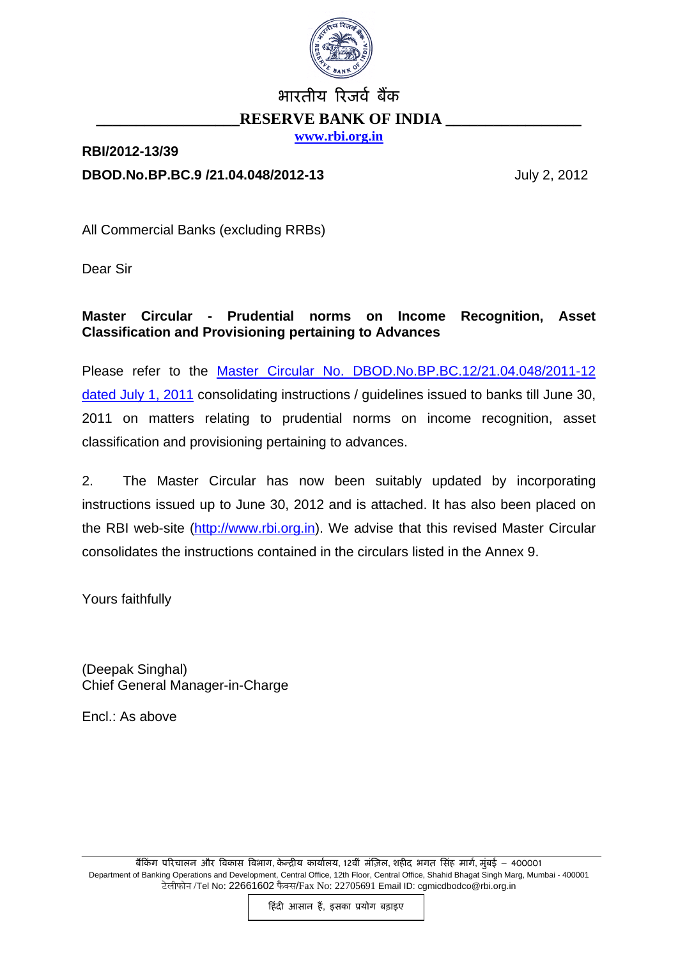

# भारतीय रिजर्व बैंक **RESERVE BANK OF INDIA**

**www.rbi.org.in**

**RBI/2012-13/39** 

# **DBOD.No.BP.BC.9 /21.04.048/2012-13** July 2, 2012

All Commercial Banks (excluding RRBs)

Dear Sir

# **Master Circular - Prudential norms on Income Recognition, Asset Classification and Provisioning pertaining to Advances**

Please refer to the [Master Circular No. DBOD.No.BP.BC.12/21.04.048/2011-12](http://rbi.org.in/scripts/BS_ViewMasCirculardetails.aspx?Id=6519&Mode=0) [dated July 1, 2011](http://rbi.org.in/scripts/BS_ViewMasCirculardetails.aspx?Id=6519&Mode=0) consolidating instructions / guidelines issued to banks till June 30, 2011 on matters relating to prudential norms on income recognition, asset classification and provisioning pertaining to advances.

2. The Master Circular has now been suitably updated by incorporating instructions issued up to June 30, 2012 and is attached. It has also been placed on the RBI web-site ([http://www.rbi.org.in\)](http://www.rbi.org.in/). We advise that this revised Master Circular consolidates the instructions contained in the circulars listed in the Annex 9.

Yours faithfully

(Deepak Singhal) Chief General Manager-in-Charge

Encl.: As above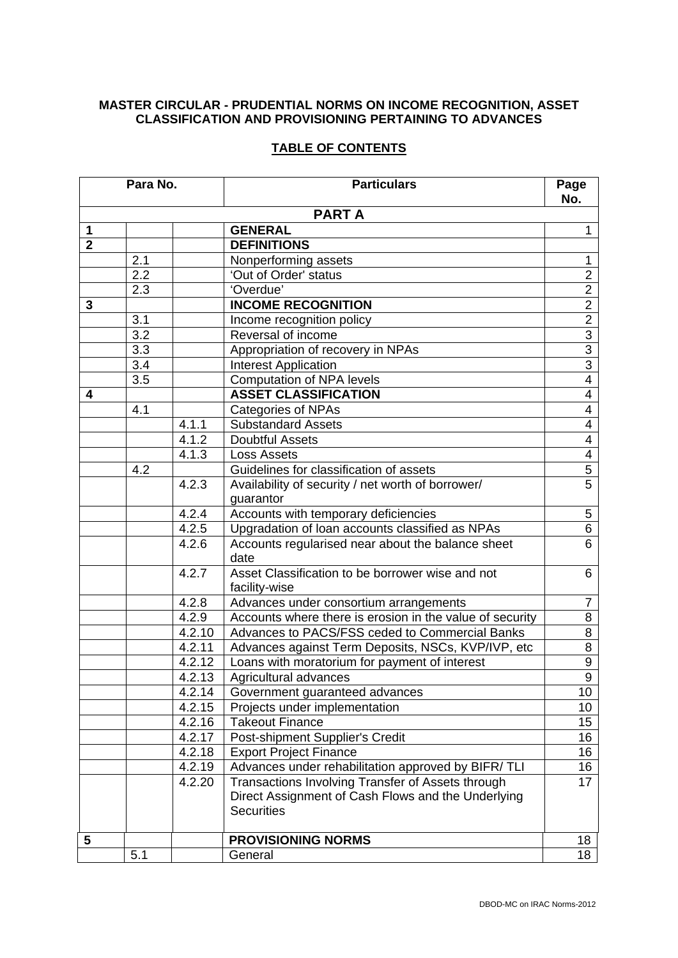### **MASTER CIRCULAR - PRUDENTIAL NORMS ON INCOME RECOGNITION, ASSET CLASSIFICATION AND PROVISIONING PERTAINING TO ADVANCES**

### **TABLE OF CONTENTS**

| Para No.       |                  |        | <b>Particulars</b>                                                      |                         |  |  |
|----------------|------------------|--------|-------------------------------------------------------------------------|-------------------------|--|--|
| <b>PARTA</b>   |                  |        |                                                                         |                         |  |  |
| 1              |                  |        | <b>GENERAL</b>                                                          | $\mathbf{1}$            |  |  |
| $\overline{2}$ |                  |        | <b>DEFINITIONS</b>                                                      |                         |  |  |
|                | 2.1              |        | Nonperforming assets                                                    | 1                       |  |  |
|                | $\overline{2.2}$ |        | 'Out of Order' status                                                   | $\overline{2}$          |  |  |
|                | 2.3              |        | 'Overdue'                                                               | $\overline{2}$          |  |  |
| 3              |                  |        | <b>INCOME RECOGNITION</b>                                               | $\overline{2}$          |  |  |
|                | 3.1              |        | Income recognition policy                                               | $\frac{2}{3}$           |  |  |
|                | $\overline{3.2}$ |        | Reversal of income                                                      |                         |  |  |
|                | $\overline{3.3}$ |        | Appropriation of recovery in NPAs                                       | $\overline{3}$          |  |  |
|                | 3.4              |        | <b>Interest Application</b>                                             | $\overline{3}$          |  |  |
|                | 3.5              |        | <b>Computation of NPA levels</b>                                        | $\overline{4}$          |  |  |
| 4              |                  |        | <b>ASSET CLASSIFICATION</b>                                             | $\overline{\mathbf{4}}$ |  |  |
|                | 4.1              |        | <b>Categories of NPAs</b>                                               | $\overline{\mathbf{4}}$ |  |  |
|                |                  | 4.1.1  | <b>Substandard Assets</b>                                               | $\overline{\mathbf{4}}$ |  |  |
|                |                  | 4.1.2  | <b>Doubtful Assets</b>                                                  | $\overline{\mathbf{4}}$ |  |  |
|                |                  | 4.1.3  | <b>Loss Assets</b>                                                      | $\overline{4}$          |  |  |
|                | 4.2              |        | Guidelines for classification of assets                                 | $\overline{5}$          |  |  |
|                |                  | 4.2.3  | Availability of security / net worth of borrower/                       | $\overline{5}$          |  |  |
|                |                  |        | guarantor                                                               |                         |  |  |
|                |                  | 4.2.4  | Accounts with temporary deficiencies                                    | 5                       |  |  |
|                |                  | 4.2.5  | Upgradation of loan accounts classified as NPAs                         | 6                       |  |  |
|                |                  | 4.2.6  | Accounts regularised near about the balance sheet                       | 6                       |  |  |
|                |                  |        | date                                                                    |                         |  |  |
|                |                  | 4.2.7  | Asset Classification to be borrower wise and not                        | 6                       |  |  |
|                |                  |        | facility-wise                                                           |                         |  |  |
|                |                  | 4.2.8  | Advances under consortium arrangements                                  | $\overline{7}$          |  |  |
|                |                  | 4.2.9  | Accounts where there is erosion in the value of security                | 8                       |  |  |
|                |                  | 4.2.10 | Advances to PACS/FSS ceded to Commercial Banks                          | $\overline{8}$          |  |  |
|                |                  | 4.2.11 | Advances against Term Deposits, NSCs, KVP/IVP, etc                      | $\overline{8}$          |  |  |
|                |                  | 4.2.12 | Loans with moratorium for payment of interest                           | $\overline{9}$          |  |  |
|                |                  | 4.2.13 | Agricultural advances                                                   | 9                       |  |  |
|                |                  | 4.2.14 | Government guaranteed advances                                          | 10                      |  |  |
|                |                  | 4.2.15 | Projects under implementation                                           | 10                      |  |  |
|                |                  | 4.2.16 | <b>Takeout Finance</b>                                                  | 15                      |  |  |
|                |                  | 4.2.17 | Post-shipment Supplier's Credit                                         | 16                      |  |  |
|                |                  | 4.2.18 | <b>Export Project Finance</b>                                           | 16                      |  |  |
|                |                  | 4.2.19 | Advances under rehabilitation approved by BIFR/TLI                      | 16                      |  |  |
|                |                  | 4.2.20 | Transactions Involving Transfer of Assets through                       | 17                      |  |  |
|                |                  |        | Direct Assignment of Cash Flows and the Underlying<br><b>Securities</b> |                         |  |  |
| 5              |                  |        | <b>PROVISIONING NORMS</b>                                               | 18                      |  |  |
|                | 5.1              |        | General                                                                 | 18                      |  |  |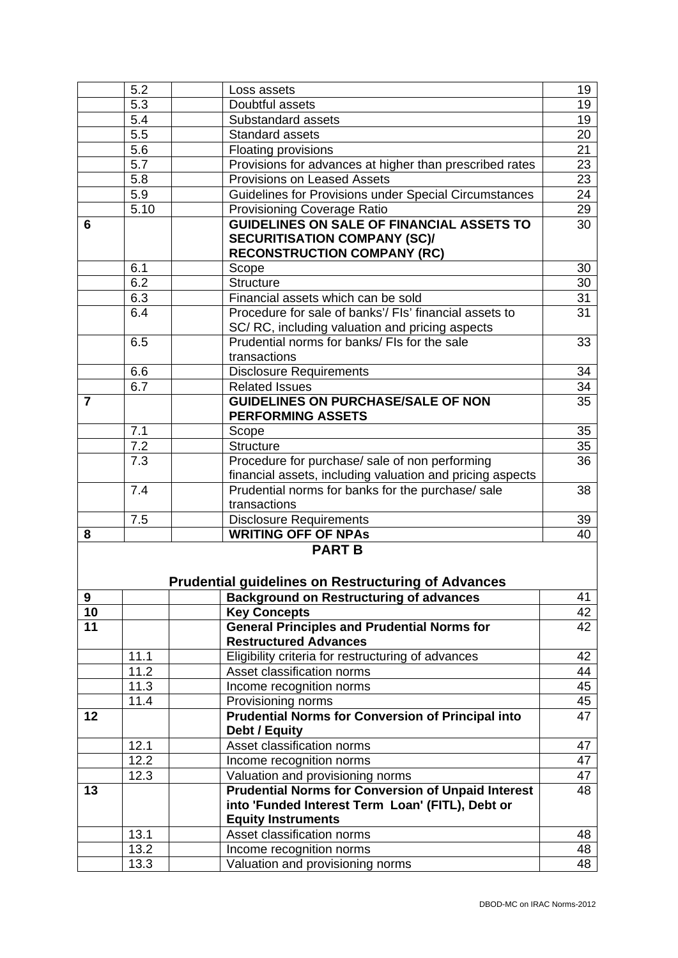|                | 5.2  | Loss assets                                               | 19       |
|----------------|------|-----------------------------------------------------------|----------|
|                | 5.3  | Doubtful assets                                           | 19       |
|                | 5.4  | Substandard assets                                        | 19       |
|                | 5.5  | Standard assets                                           | 20       |
|                | 5.6  | Floating provisions                                       | 21       |
|                | 5.7  | Provisions for advances at higher than prescribed rates   | 23       |
|                | 5.8  | <b>Provisions on Leased Assets</b>                        | 23       |
|                | 5.9  | Guidelines for Provisions under Special Circumstances     | 24       |
|                | 5.10 | Provisioning Coverage Ratio                               | 29       |
| 6              |      | <b>GUIDELINES ON SALE OF FINANCIAL ASSETS TO</b>          | 30       |
|                |      | <b>SECURITISATION COMPANY (SC)/</b>                       |          |
|                |      | <b>RECONSTRUCTION COMPANY (RC)</b>                        |          |
|                | 6.1  | Scope                                                     | 30       |
|                | 6.2  | <b>Structure</b>                                          | 30       |
|                | 6.3  | Financial assets which can be sold                        | 31       |
|                | 6.4  | Procedure for sale of banks'/ FIs' financial assets to    | 31       |
|                |      | SC/ RC, including valuation and pricing aspects           |          |
|                | 6.5  | Prudential norms for banks/ FIs for the sale              | 33       |
|                |      | transactions                                              |          |
|                | 6.6  | <b>Disclosure Requirements</b>                            | 34       |
|                | 6.7  | <b>Related Issues</b>                                     | 34       |
| $\overline{7}$ |      | <b>GUIDELINES ON PURCHASE/SALE OF NON</b>                 | 35       |
|                | 7.1  | <b>PERFORMING ASSETS</b>                                  |          |
|                | 7.2  | Scope<br><b>Structure</b>                                 | 35<br>35 |
|                | 7.3  | Procedure for purchase/ sale of non performing            | 36       |
|                |      | financial assets, including valuation and pricing aspects |          |
|                | 7.4  | Prudential norms for banks for the purchase/ sale         | 38       |
|                |      | transactions                                              |          |
|                | 7.5  | <b>Disclosure Requirements</b>                            | 39       |
| 8              |      | <b>WRITING OFF OF NPAS</b>                                | 40       |
|                |      | <b>PART B</b>                                             |          |
|                |      |                                                           |          |
|                |      | <b>Prudential guidelines on Restructuring of Advances</b> |          |
| 9              |      | <b>Background on Restructuring of advances</b>            | 41       |
| 10             |      | <b>Key Concepts</b>                                       | 42       |
| 11             |      | <b>General Principles and Prudential Norms for</b>        | 42       |
|                |      | <b>Restructured Advances</b>                              |          |
|                | 11.1 | Eligibility criteria for restructuring of advances        | 42       |
|                | 11.2 | Asset classification norms                                | 44       |
|                | 11.3 | Income recognition norms                                  | 45       |
|                | 11.4 | Provisioning norms                                        | 45       |
| 12             |      | <b>Prudential Norms for Conversion of Principal into</b>  | 47       |
|                |      | Debt / Equity                                             |          |
|                | 12.1 | Asset classification norms                                | 47       |
|                | 12.2 | Income recognition norms                                  | 47       |
|                | 12.3 | Valuation and provisioning norms                          | 47       |
| 13             |      | <b>Prudential Norms for Conversion of Unpaid Interest</b> | 48       |
|                |      | into 'Funded Interest Term Loan' (FITL), Debt or          |          |
|                |      | <b>Equity Instruments</b>                                 |          |
|                | 13.1 | Asset classification norms                                | 48       |
|                | 13.2 | Income recognition norms                                  | 48       |
|                | 13.3 | Valuation and provisioning norms                          | 48       |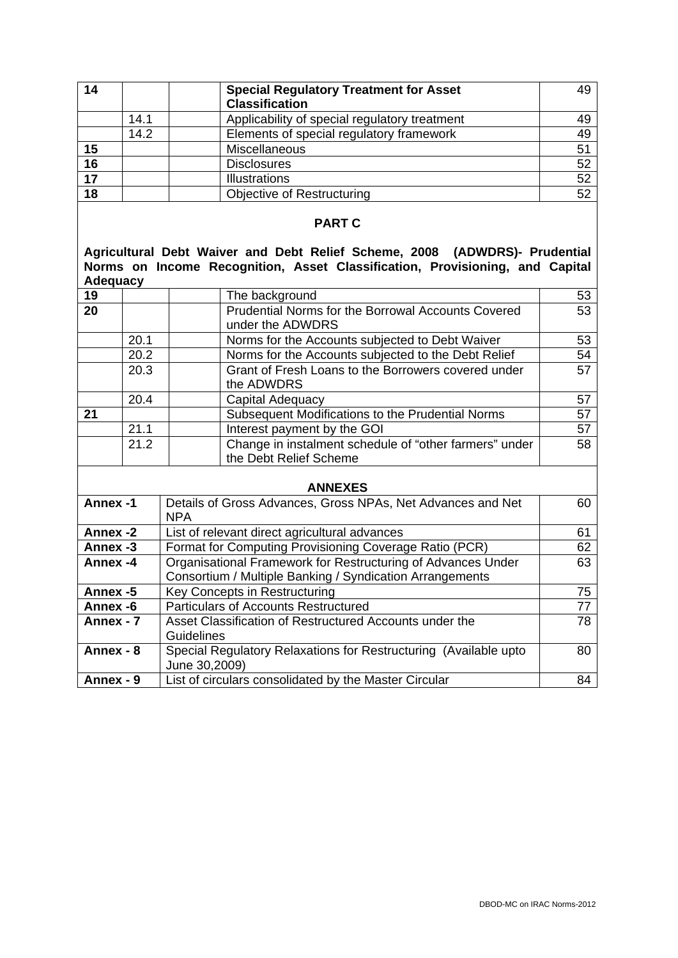| 14                                                                 |      | <b>Special Regulatory Treatment for Asset</b><br><b>Classification</b>                                                                                     |    |  |
|--------------------------------------------------------------------|------|------------------------------------------------------------------------------------------------------------------------------------------------------------|----|--|
|                                                                    | 14.1 | Applicability of special regulatory treatment                                                                                                              | 49 |  |
|                                                                    | 14.2 | Elements of special regulatory framework                                                                                                                   | 49 |  |
| 15                                                                 |      | Miscellaneous                                                                                                                                              | 51 |  |
| 16                                                                 |      | <b>Disclosures</b>                                                                                                                                         | 52 |  |
| 17                                                                 |      | Illustrations                                                                                                                                              | 52 |  |
| 18                                                                 |      |                                                                                                                                                            | 52 |  |
|                                                                    |      | Objective of Restructuring                                                                                                                                 |    |  |
|                                                                    |      | <b>PART C</b>                                                                                                                                              |    |  |
| <b>Adequacy</b>                                                    |      | Agricultural Debt Waiver and Debt Relief Scheme, 2008 (ADWDRS)- Prudential<br>Norms on Income Recognition, Asset Classification, Provisioning, and Capital |    |  |
| 19                                                                 |      | The background                                                                                                                                             | 53 |  |
| 20                                                                 |      | Prudential Norms for the Borrowal Accounts Covered<br>under the ADWDRS                                                                                     | 53 |  |
|                                                                    | 20.1 | Norms for the Accounts subjected to Debt Waiver                                                                                                            | 53 |  |
| 20.2                                                               |      | Norms for the Accounts subjected to the Debt Relief                                                                                                        | 54 |  |
| 20.3                                                               |      | Grant of Fresh Loans to the Borrowers covered under<br>the ADWDRS                                                                                          | 57 |  |
|                                                                    | 20.4 | Capital Adequacy                                                                                                                                           | 57 |  |
| 21                                                                 |      | Subsequent Modifications to the Prudential Norms                                                                                                           | 57 |  |
| 21.1                                                               |      | Interest payment by the GOI                                                                                                                                | 57 |  |
| 21.2                                                               |      | Change in instalment schedule of "other farmers" under<br>the Debt Relief Scheme                                                                           | 58 |  |
|                                                                    |      | <b>ANNEXES</b>                                                                                                                                             |    |  |
| Annex -1                                                           |      | Details of Gross Advances, Gross NPAs, Net Advances and Net<br><b>NPA</b>                                                                                  | 60 |  |
| <b>Annex-2</b>                                                     |      | List of relevant direct agricultural advances                                                                                                              | 61 |  |
| Annex -3                                                           |      | Format for Computing Provisioning Coverage Ratio (PCR)                                                                                                     | 62 |  |
| Annex-4                                                            |      | Organisational Framework for Restructuring of Advances Under<br>Consortium / Multiple Banking / Syndication Arrangements                                   | 63 |  |
| Annex -5                                                           |      | Key Concepts in Restructuring                                                                                                                              | 75 |  |
| Annex -6                                                           |      | Particulars of Accounts Restructured                                                                                                                       |    |  |
| Annex - 7                                                          |      | Asset Classification of Restructured Accounts under the                                                                                                    | 78 |  |
|                                                                    |      | Guidelines                                                                                                                                                 |    |  |
| Annex - 8                                                          |      | Special Regulatory Relaxations for Restructuring (Available upto<br>June 30,2009)                                                                          | 80 |  |
| List of circulars consolidated by the Master Circular<br>Annex - 9 |      |                                                                                                                                                            |    |  |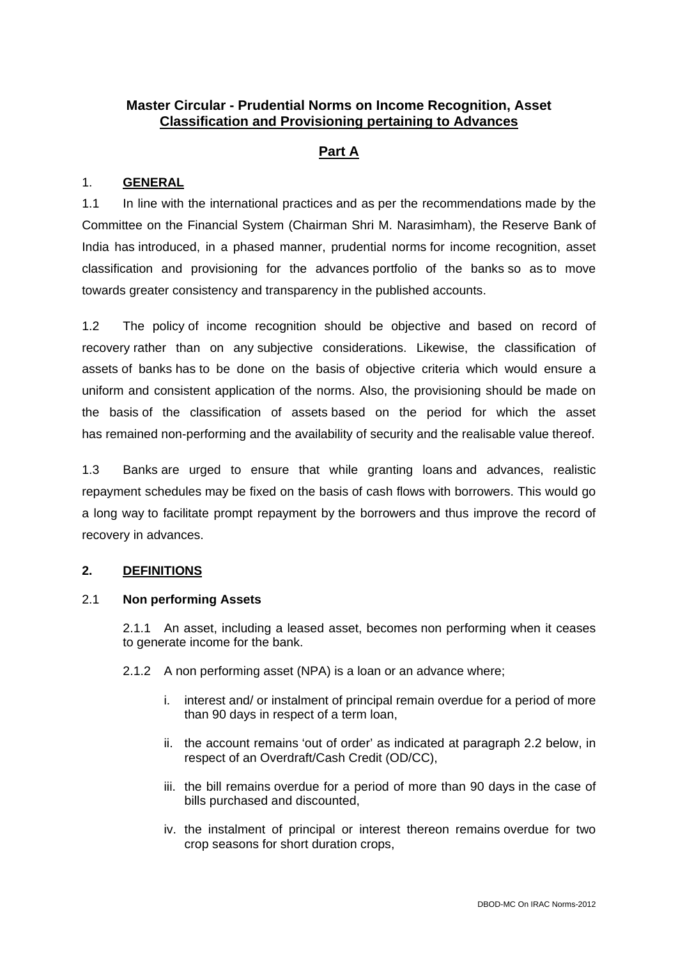# **Master Circular - Prudential Norms on Income Recognition, Asset Classification and Provisioning pertaining to Advances**

# **Part A**

### 1. **GENERAL**

1.1 In line with the international practices and as per the recommendations made by the Committee on the Financial System (Chairman Shri M. Narasimham), the Reserve Bank of India has introduced, in a phased manner, prudential norms for income recognition, asset classification and provisioning for the advances portfolio of the banks so as to move towards greater consistency and transparency in the published accounts.

1.2 The policy of income recognition should be objective and based on record of recovery rather than on any subjective considerations. Likewise, the classification of assets of banks has to be done on the basis of objective criteria which would ensure a uniform and consistent application of the norms. Also, the provisioning should be made on the basis of the classification of assets based on the period for which the asset has remained non-performing and the availability of security and the realisable value thereof.

1.3 Banks are urged to ensure that while granting loans and advances, realistic repayment schedules may be fixed on the basis of cash flows with borrowers. This would go a long way to facilitate prompt repayment by the borrowers and thus improve the record of recovery in advances.

### **2. DEFINITIONS**

#### 2.1 **Non performing Assets**

 2.1.1 An asset, including a leased asset, becomes non performing when it ceases to generate income for the bank.

- 2.1.2 A non performing asset (NPA) is a loan or an advance where;
	- i. interest and/ or instalment of principal remain overdue for a period of more than 90 days in respect of a term loan,
	- ii. the account remains 'out of order' as indicated at paragraph 2.2 below, in respect of an Overdraft/Cash Credit (OD/CC),
	- iii. the bill remains overdue for a period of more than 90 days in the case of bills purchased and discounted,
	- iv. the instalment of principal or interest thereon remains overdue for two crop seasons for short duration crops,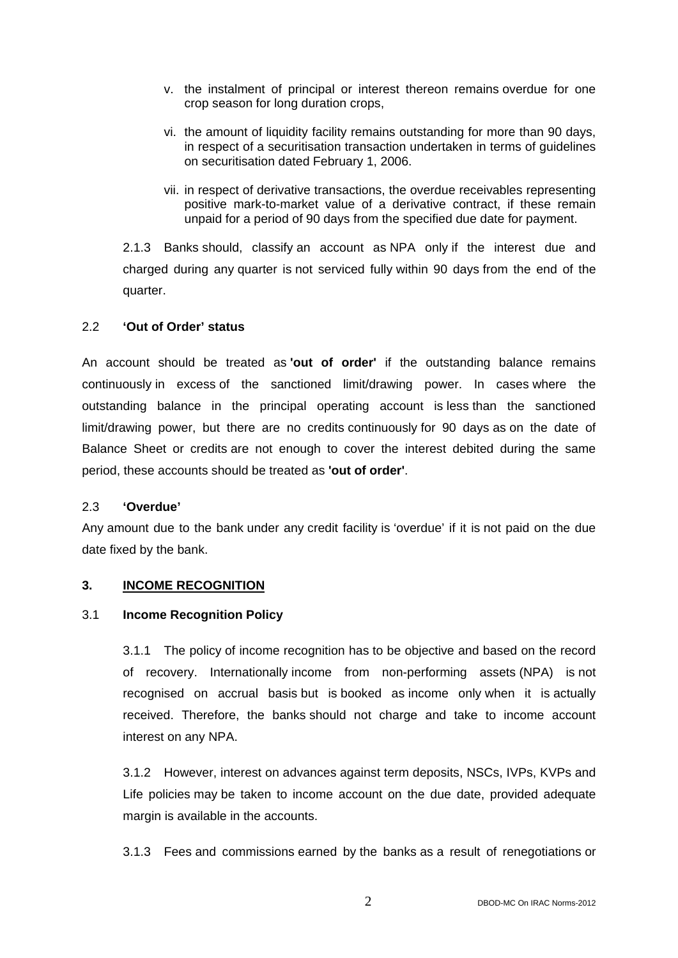- v. the instalment of principal or interest thereon remains overdue for one crop season for long duration crops,
- vi. the amount of liquidity facility remains outstanding for more than 90 days, in respect of a securitisation transaction undertaken in terms of guidelines on securitisation dated February 1, 2006.
- vii. in respect of derivative transactions, the overdue receivables representing positive mark-to-market value of a derivative contract, if these remain unpaid for a period of 90 days from the specified due date for payment.

 2.1.3 Banks should, classify an account as NPA only if the interest due and charged during any quarter is not serviced fully within 90 days from the end of the quarter.

### 2.2 **'Out of Order' status**

An account should be treated as **'out of order'** if the outstanding balance remains continuously in excess of the sanctioned limit/drawing power. In cases where the outstanding balance in the principal operating account is less than the sanctioned limit/drawing power, but there are no credits continuously for 90 days as on the date of Balance Sheet or credits are not enough to cover the interest debited during the same period, these accounts should be treated as **'out of order'**.

### 2.3 **'Overdue'**

Any amount due to the bank under any credit facility is 'overdue' if it is not paid on the due date fixed by the bank.

# **3. INCOME RECOGNITION**

### 3.1 **Income Recognition Policy**

3.1.1 The policy of income recognition has to be objective and based on the record of recovery. Internationally income from non-performing assets (NPA) is not recognised on accrual basis but is booked as income only when it is actually received. Therefore, the banks should not charge and take to income account interest on any NPA.

3.1.2 However, interest on advances against term deposits, NSCs, IVPs, KVPs and Life policies may be taken to income account on the due date, provided adequate margin is available in the accounts.

3.1.3 Fees and commissions earned by the banks as a result of renegotiations or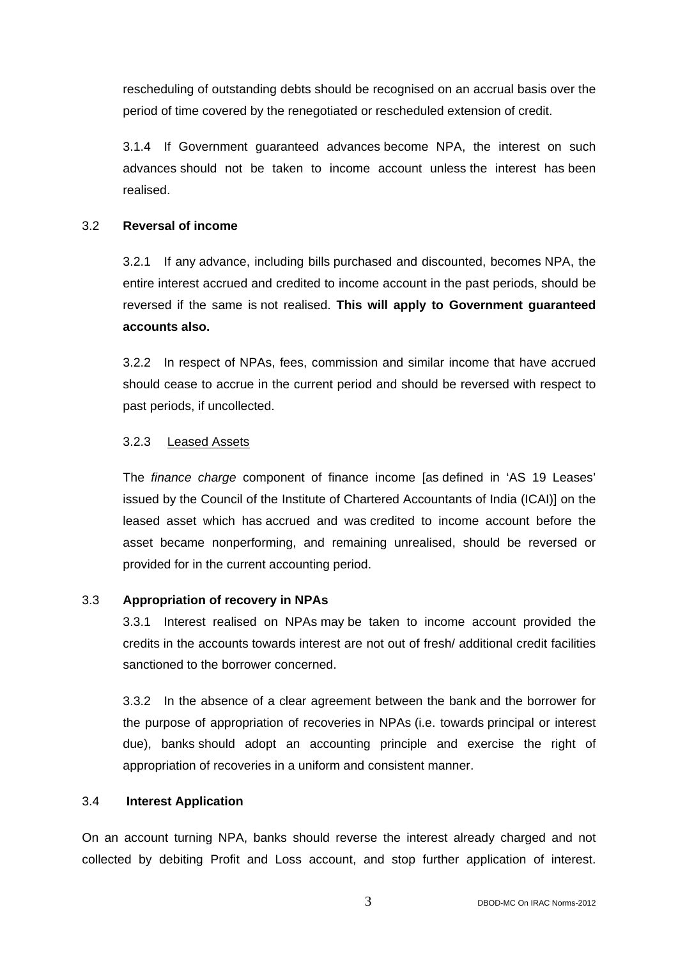rescheduling of outstanding debts should be recognised on an accrual basis over the period of time covered by the renegotiated or rescheduled extension of credit.

3.1.4 If Government guaranteed advances become NPA, the interest on such advances should not be taken to income account unless the interest has been realised.

### 3.2 **Reversal of income**

3.2.1 If any advance, including bills purchased and discounted, becomes NPA, the entire interest accrued and credited to income account in the past periods, should be reversed if the same is not realised. **This will apply to Government guaranteed accounts also.**

3.2.2 In respect of NPAs, fees, commission and similar income that have accrued should cease to accrue in the current period and should be reversed with respect to past periods, if uncollected.

### 3.2.3 Leased Assets

The *finance charge* component of finance income [as defined in 'AS 19 Leases' issued by the Council of the Institute of Chartered Accountants of India (ICAI)] on the leased asset which has accrued and was credited to income account before the asset became nonperforming, and remaining unrealised, should be reversed or provided for in the current accounting period.

### 3.3 **Appropriation of recovery in NPAs**

3.3.1 Interest realised on NPAs may be taken to income account provided the credits in the accounts towards interest are not out of fresh/ additional credit facilities sanctioned to the borrower concerned.

3.3.2 In the absence of a clear agreement between the bank and the borrower for the purpose of appropriation of recoveries in NPAs (i.e. towards principal or interest due), banks should adopt an accounting principle and exercise the right of appropriation of recoveries in a uniform and consistent manner.

### 3.4 **Interest Application**

On an account turning NPA, banks should reverse the interest already charged and not collected by debiting Profit and Loss account, and stop further application of interest.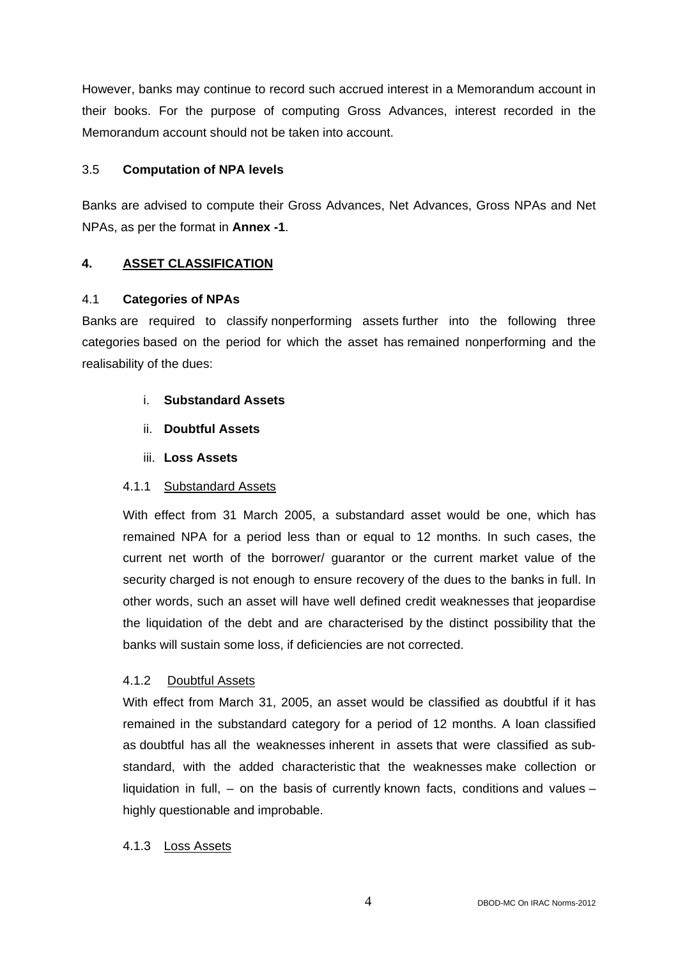However, banks may continue to record such accrued interest in a Memorandum account in their books. For the purpose of computing Gross Advances, interest recorded in the Memorandum account should not be taken into account.

### 3.5 **Computation of NPA levels**

Banks are advised to compute their Gross Advances, Net Advances, Gross NPAs and Net NPAs, as per the format in **Annex -1**.

# **4. ASSET CLASSIFICATION**

### 4.1 **Categories of NPAs**

Banks are required to classify nonperforming assets further into the following three categories based on the period for which the asset has remained nonperforming and the realisability of the dues:

- i. **Substandard Assets**
- ii. **Doubtful Assets**
- iii. **Loss Assets**

### 4.1.1 Substandard Assets

With effect from 31 March 2005, a substandard asset would be one, which has remained NPA for a period less than or equal to 12 months. In such cases, the current net worth of the borrower/ guarantor or the current market value of the security charged is not enough to ensure recovery of the dues to the banks in full. In other words, such an asset will have well defined credit weaknesses that jeopardise the liquidation of the debt and are characterised by the distinct possibility that the banks will sustain some loss, if deficiencies are not corrected.

### 4.1.2 Doubtful Assets

With effect from March 31, 2005, an asset would be classified as doubtful if it has remained in the substandard category for a period of 12 months. A loan classified as doubtful has all the weaknesses inherent in assets that were classified as substandard, with the added characteristic that the weaknesses make collection or liquidation in full,  $-$  on the basis of currently known facts, conditions and values  $$ highly questionable and improbable.

### 4.1.3 Loss Assets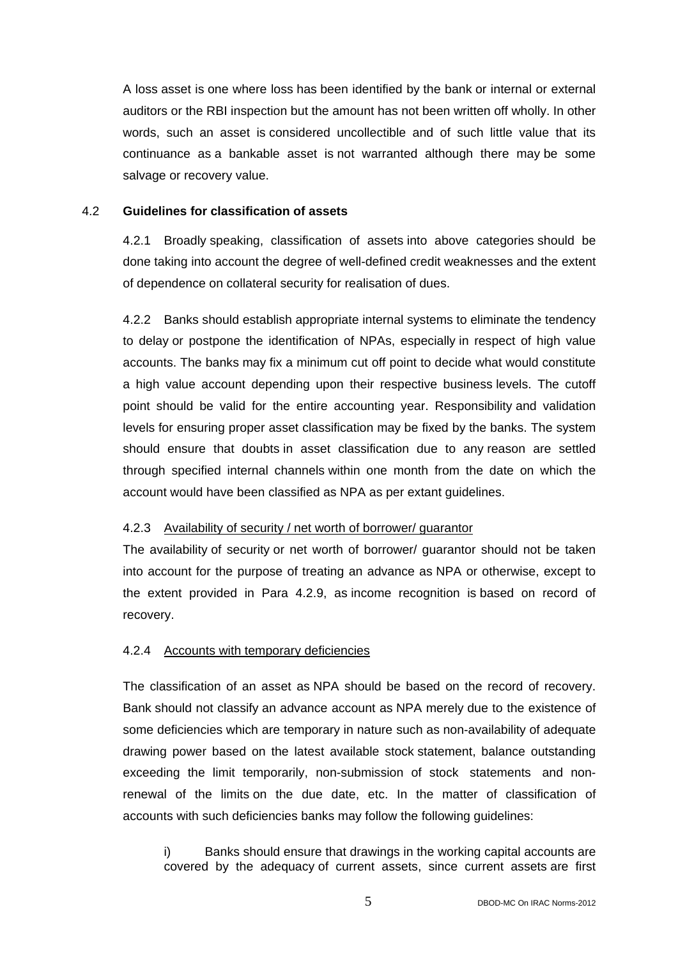A loss asset is one where loss has been identified by the bank or internal or external auditors or the RBI inspection but the amount has not been written off wholly. In other words, such an asset is considered uncollectible and of such little value that its continuance as a bankable asset is not warranted although there may be some salvage or recovery value.

#### 4.2 **Guidelines for classification of assets**

4.2.1 Broadly speaking, classification of assets into above categories should be done taking into account the degree of well-defined credit weaknesses and the extent of dependence on collateral security for realisation of dues.

4.2.2 Banks should establish appropriate internal systems to eliminate the tendency to delay or postpone the identification of NPAs, especially in respect of high value accounts. The banks may fix a minimum cut off point to decide what would constitute a high value account depending upon their respective business levels. The cutoff point should be valid for the entire accounting year. Responsibility and validation levels for ensuring proper asset classification may be fixed by the banks. The system should ensure that doubts in asset classification due to any reason are settled through specified internal channels within one month from the date on which the account would have been classified as NPA as per extant guidelines.

#### 4.2.3 Availability of security / net worth of borrower/ guarantor

The availability of security or net worth of borrower/ guarantor should not be taken into account for the purpose of treating an advance as NPA or otherwise, except to the extent provided in Para 4.2.9, as income recognition is based on record of recovery.

### 4.2.4 Accounts with temporary deficiencies

The classification of an asset as NPA should be based on the record of recovery. Bank should not classify an advance account as NPA merely due to the existence of some deficiencies which are temporary in nature such as non-availability of adequate drawing power based on the latest available stock statement, balance outstanding exceeding the limit temporarily, non-submission of stock statements and nonrenewal of the limits on the due date, etc. In the matter of classification of accounts with such deficiencies banks may follow the following guidelines:

i) Banks should ensure that drawings in the working capital accounts are covered by the adequacy of current assets, since current assets are first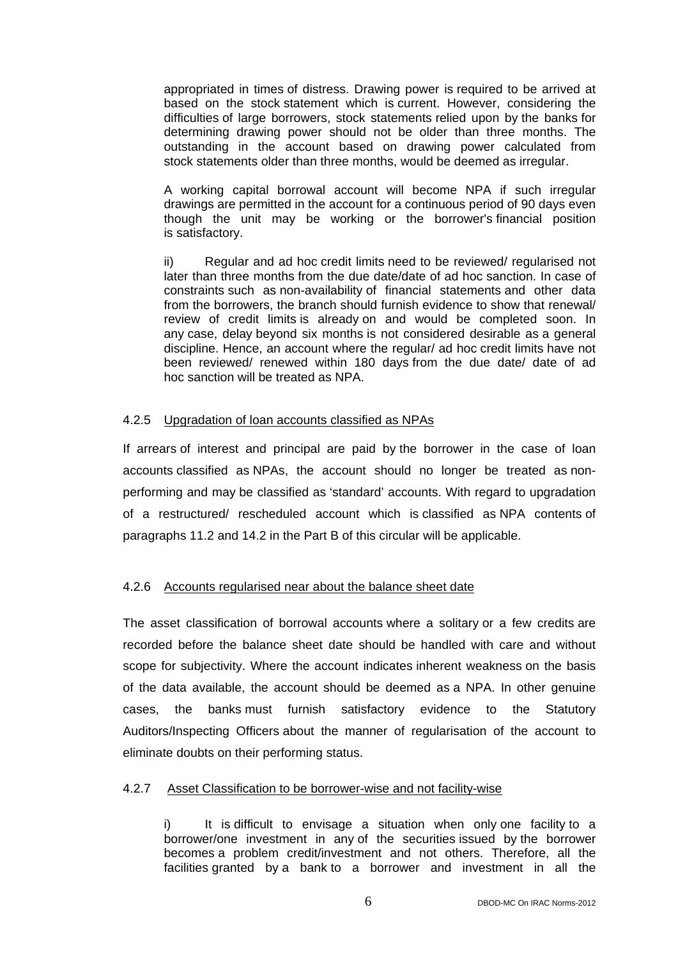appropriated in times of distress. Drawing power is required to be arrived at based on the stock statement which is current. However, considering the difficulties of large borrowers, stock statements relied upon by the banks for determining drawing power should not be older than three months. The outstanding in the account based on drawing power calculated from stock statements older than three months, would be deemed as irregular.

A working capital borrowal account will become NPA if such irregular drawings are permitted in the account for a continuous period of 90 days even though the unit may be working or the borrower's financial position is satisfactory.

ii) Regular and ad hoc credit limits need to be reviewed/ regularised not later than three months from the due date/date of ad hoc sanction. In case of constraints such as non-availability of financial statements and other data from the borrowers, the branch should furnish evidence to show that renewal/ review of credit limits is already on and would be completed soon. In any case, delay beyond six months is not considered desirable as a general discipline. Hence, an account where the regular/ ad hoc credit limits have not been reviewed/ renewed within 180 days from the due date/ date of ad hoc sanction will be treated as NPA.

### 4.2.5 Upgradation of loan accounts classified as NPAs

If arrears of interest and principal are paid by the borrower in the case of loan accounts classified as NPAs, the account should no longer be treated as nonperforming and may be classified as 'standard' accounts. With regard to upgradation of a restructured/ rescheduled account which is classified as NPA contents of paragraphs 11.2 and 14.2 in the Part B of this circular will be applicable.

### 4.2.6 Accounts regularised near about the balance sheet date

The asset classification of borrowal accounts where a solitary or a few credits are recorded before the balance sheet date should be handled with care and without scope for subjectivity. Where the account indicates inherent weakness on the basis of the data available, the account should be deemed as a NPA. In other genuine cases, the banks must furnish satisfactory evidence to the Statutory Auditors/Inspecting Officers about the manner of regularisation of the account to eliminate doubts on their performing status.

### 4.2.7 Asset Classification to be borrower-wise and not facility-wise

i) It is difficult to envisage a situation when only one facility to a borrower/one investment in any of the securities issued by the borrower becomes a problem credit/investment and not others. Therefore, all the facilities granted by a bank to a borrower and investment in all the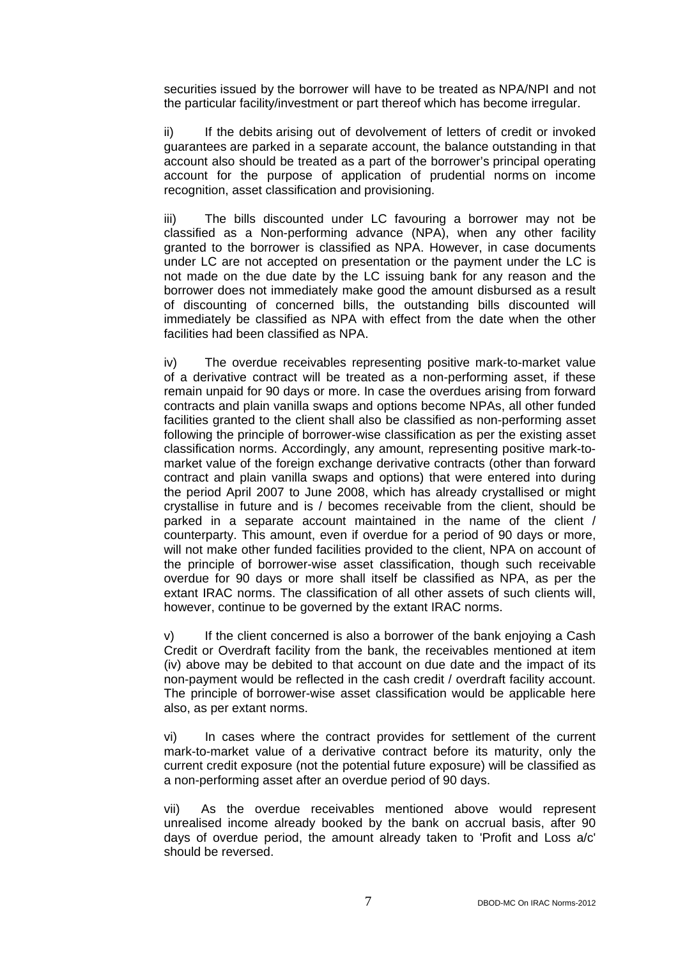securities issued by the borrower will have to be treated as NPA/NPI and not the particular facility/investment or part thereof which has become irregular.

ii) If the debits arising out of devolvement of letters of credit or invoked guarantees are parked in a separate account, the balance outstanding in that account also should be treated as a part of the borrower's principal operating account for the purpose of application of prudential norms on income recognition, asset classification and provisioning.

iii) The bills discounted under LC favouring a borrower may not be classified as a Non-performing advance (NPA), when any other facility granted to the borrower is classified as NPA. However, in case documents under LC are not accepted on presentation or the payment under the LC is not made on the due date by the LC issuing bank for any reason and the borrower does not immediately make good the amount disbursed as a result of discounting of concerned bills, the outstanding bills discounted will immediately be classified as NPA with effect from the date when the other facilities had been classified as NPA.

iv) The overdue receivables representing positive mark-to-market value of a derivative contract will be treated as a non-performing asset, if these remain unpaid for 90 days or more. In case the overdues arising from forward contracts and plain vanilla swaps and options become NPAs, all other funded facilities granted to the client shall also be classified as non-performing asset following the principle of borrower-wise classification as per the existing asset classification norms. Accordingly, any amount, representing positive mark-tomarket value of the foreign exchange derivative contracts (other than forward contract and plain vanilla swaps and options) that were entered into during the period April 2007 to June 2008, which has already crystallised or might crystallise in future and is / becomes receivable from the client, should be parked in a separate account maintained in the name of the client / counterparty. This amount, even if overdue for a period of 90 days or more, will not make other funded facilities provided to the client, NPA on account of the principle of borrower-wise asset classification, though such receivable overdue for 90 days or more shall itself be classified as NPA, as per the extant IRAC norms. The classification of all other assets of such clients will, however, continue to be governed by the extant IRAC norms.

v) If the client concerned is also a borrower of the bank enjoying a Cash Credit or Overdraft facility from the bank, the receivables mentioned at item (iv) above may be debited to that account on due date and the impact of its non-payment would be reflected in the cash credit / overdraft facility account. The principle of borrower-wise asset classification would be applicable here also, as per extant norms.

vi) In cases where the contract provides for settlement of the current mark-to-market value of a derivative contract before its maturity, only the current credit exposure (not the potential future exposure) will be classified as a non-performing asset after an overdue period of 90 days.

vii) As the overdue receivables mentioned above would represent unrealised income already booked by the bank on accrual basis, after 90 days of overdue period, the amount already taken to 'Profit and Loss a/c' should be reversed.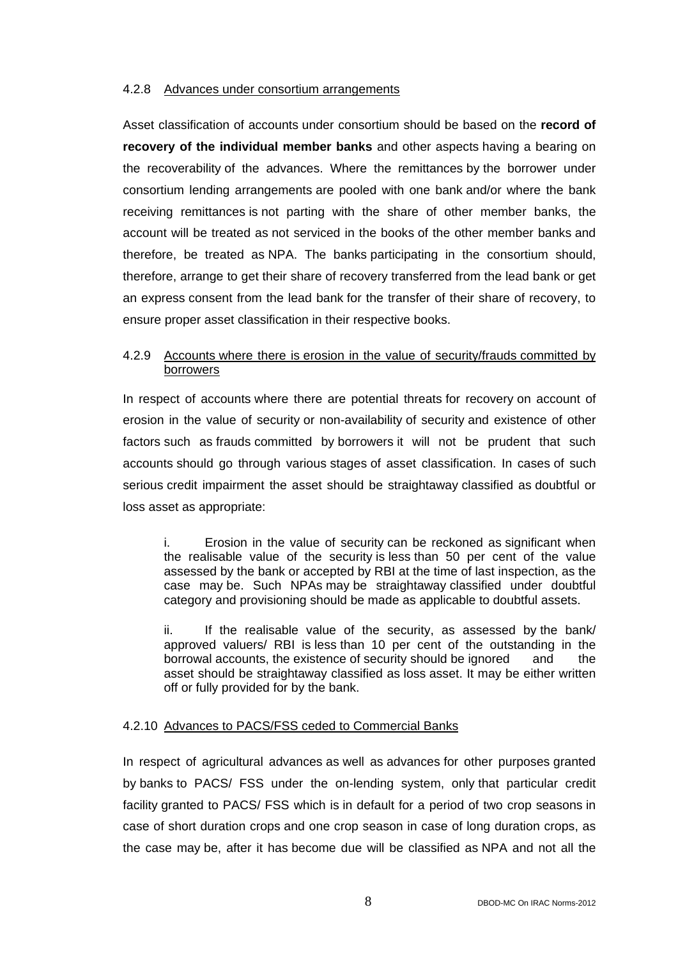#### 4.2.8 Advances under consortium arrangements

Asset classification of accounts under consortium should be based on the **record of recovery of the individual member banks** and other aspects having a bearing on the recoverability of the advances. Where the remittances by the borrower under consortium lending arrangements are pooled with one bank and/or where the bank receiving remittances is not parting with the share of other member banks, the account will be treated as not serviced in the books of the other member banks and therefore, be treated as NPA. The banks participating in the consortium should, therefore, arrange to get their share of recovery transferred from the lead bank or get an express consent from the lead bank for the transfer of their share of recovery, to ensure proper asset classification in their respective books.

### 4.2.9 Accounts where there is erosion in the value of security/frauds committed by borrowers

In respect of accounts where there are potential threats for recovery on account of erosion in the value of security or non-availability of security and existence of other factors such as frauds committed by borrowers it will not be prudent that such accounts should go through various stages of asset classification. In cases of such serious credit impairment the asset should be straightaway classified as doubtful or loss asset as appropriate:

i. Erosion in the value of security can be reckoned as significant when the realisable value of the security is less than 50 per cent of the value assessed by the bank or accepted by RBI at the time of last inspection, as the case may be. Such NPAs may be straightaway classified under doubtful category and provisioning should be made as applicable to doubtful assets.

ii. If the realisable value of the security, as assessed by the bank/ approved valuers/ RBI is less than 10 per cent of the outstanding in the borrowal accounts, the existence of security should be ignored and the asset should be straightaway classified as loss asset. It may be either written off or fully provided for by the bank.

### 4.2.10 Advances to PACS/FSS ceded to Commercial Banks

In respect of agricultural advances as well as advances for other purposes granted by banks to PACS/ FSS under the on-lending system, only that particular credit facility granted to PACS/ FSS which is in default for a period of two crop seasons in case of short duration crops and one crop season in case of long duration crops, as the case may be, after it has become due will be classified as NPA and not all the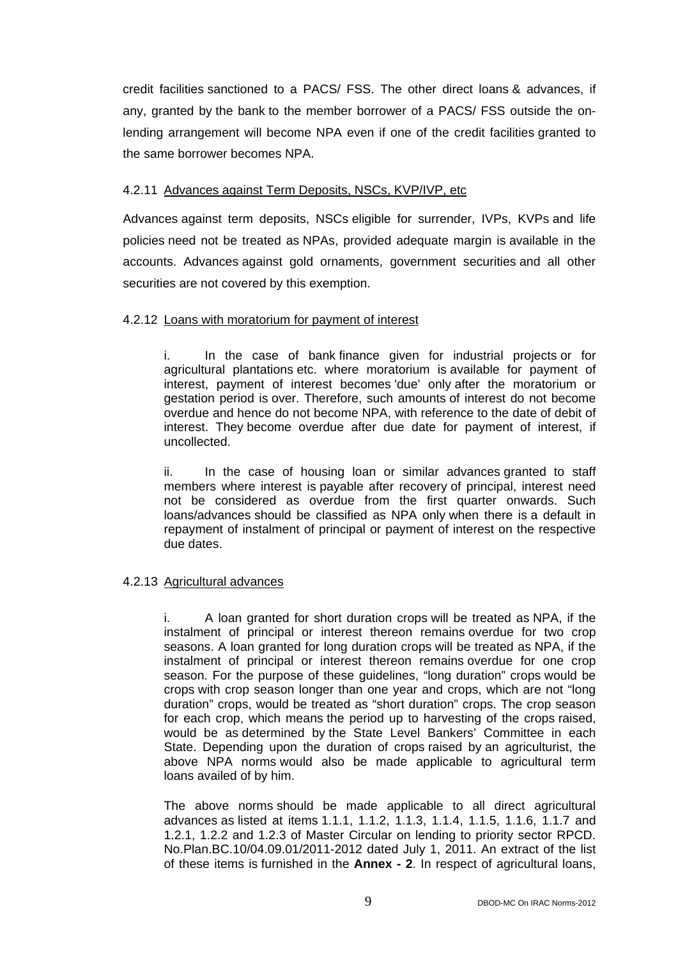credit facilities sanctioned to a PACS/ FSS. The other direct loans & advances, if any, granted by the bank to the member borrower of a PACS/ FSS outside the onlending arrangement will become NPA even if one of the credit facilities granted to the same borrower becomes NPA.

### 4.2.11 Advances against Term Deposits, NSCs, KVP/IVP, etc

Advances against term deposits, NSCs eligible for surrender, IVPs, KVPs and life policies need not be treated as NPAs, provided adequate margin is available in the accounts. Advances against gold ornaments, government securities and all other securities are not covered by this exemption.

### 4.2.12 Loans with moratorium for payment of interest

i. In the case of bank finance given for industrial projects or for agricultural plantations etc. where moratorium is available for payment of interest, payment of interest becomes 'due' only after the moratorium or gestation period is over. Therefore, such amounts of interest do not become overdue and hence do not become NPA, with reference to the date of debit of interest. They become overdue after due date for payment of interest, if uncollected.

ii. In the case of housing loan or similar advances granted to staff members where interest is payable after recovery of principal, interest need not be considered as overdue from the first quarter onwards. Such loans/advances should be classified as NPA only when there is a default in repayment of instalment of principal or payment of interest on the respective due dates.

# 4.2.13 Agricultural advances

i. A loan granted for short duration crops will be treated as NPA, if the instalment of principal or interest thereon remains overdue for two crop seasons. A loan granted for long duration crops will be treated as NPA, if the instalment of principal or interest thereon remains overdue for one crop season. For the purpose of these guidelines, "long duration" crops would be crops with crop season longer than one year and crops, which are not "long duration" crops, would be treated as "short duration" crops. The crop season for each crop, which means the period up to harvesting of the crops raised, would be as determined by the State Level Bankers' Committee in each State. Depending upon the duration of crops raised by an agriculturist, the above NPA norms would also be made applicable to agricultural term loans availed of by him.

The above norms should be made applicable to all direct agricultural advances as listed at items 1.1.1, 1.1.2, 1.1.3, 1.1.4, 1.1.5, 1.1.6, 1.1.7 and 1.2.1, 1.2.2 and 1.2.3 of Master Circular on lending to priority sector RPCD. No.Plan.BC.10/04.09.01/2011-2012 dated July 1, 2011. An extract of the list of these items is furnished in the **Annex - 2**. In respect of agricultural loans,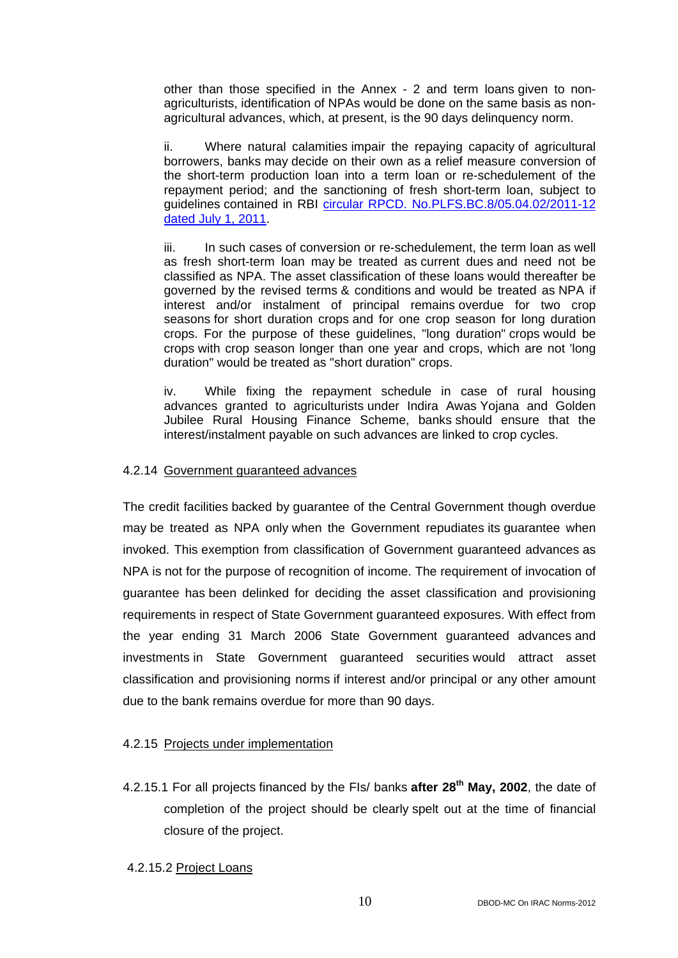other than those specified in the Annex - 2 and term loans given to nonagriculturists, identification of NPAs would be done on the same basis as nonagricultural advances, which, at present, is the 90 days delinquency norm.

ii. Where natural calamities impair the repaying capacity of agricultural borrowers, banks may decide on their own as a relief measure conversion of the short-term production loan into a term loan or re-schedulement of the repayment period; and the sanctioning of fresh short-term loan, subject to guidelines contained in RBI [circular RPCD. No.PLFS.BC.8/05.04.02/2011-12](http://rbi.org.in/scripts/NotificationUser.aspx?Id=6537&Mode=0) [dated July 1, 2011.](http://rbi.org.in/scripts/NotificationUser.aspx?Id=6537&Mode=0)

iii. In such cases of conversion or re-schedulement, the term loan as well as fresh short-term loan may be treated as current dues and need not be classified as NPA. The asset classification of these loans would thereafter be governed by the revised terms & conditions and would be treated as NPA if interest and/or instalment of principal remains overdue for two crop seasons for short duration crops and for one crop season for long duration crops. For the purpose of these guidelines, "long duration" crops would be crops with crop season longer than one year and crops, which are not 'long duration" would be treated as "short duration" crops.

iv. While fixing the repayment schedule in case of rural housing advances granted to agriculturists under Indira Awas Yojana and Golden Jubilee Rural Housing Finance Scheme, banks should ensure that the interest/instalment payable on such advances are linked to crop cycles.

### 4.2.14 Government guaranteed advances

The credit facilities backed by guarantee of the Central Government though overdue may be treated as NPA only when the Government repudiates its guarantee when invoked. This exemption from classification of Government guaranteed advances as NPA is not for the purpose of recognition of income. The requirement of invocation of guarantee has been delinked for deciding the asset classification and provisioning requirements in respect of State Government guaranteed exposures. With effect from the year ending 31 March 2006 State Government guaranteed advances and investments in State Government guaranteed securities would attract asset classification and provisioning norms if interest and/or principal or any other amount due to the bank remains overdue for more than 90 days.

# 4.2.15 Projects under implementation

4.2.15.1 For all projects financed by the FIs/ banks **after 28th May, 2002**, the date of completion of the project should be clearly spelt out at the time of financial closure of the project.

### 4.2.15.2 Project Loans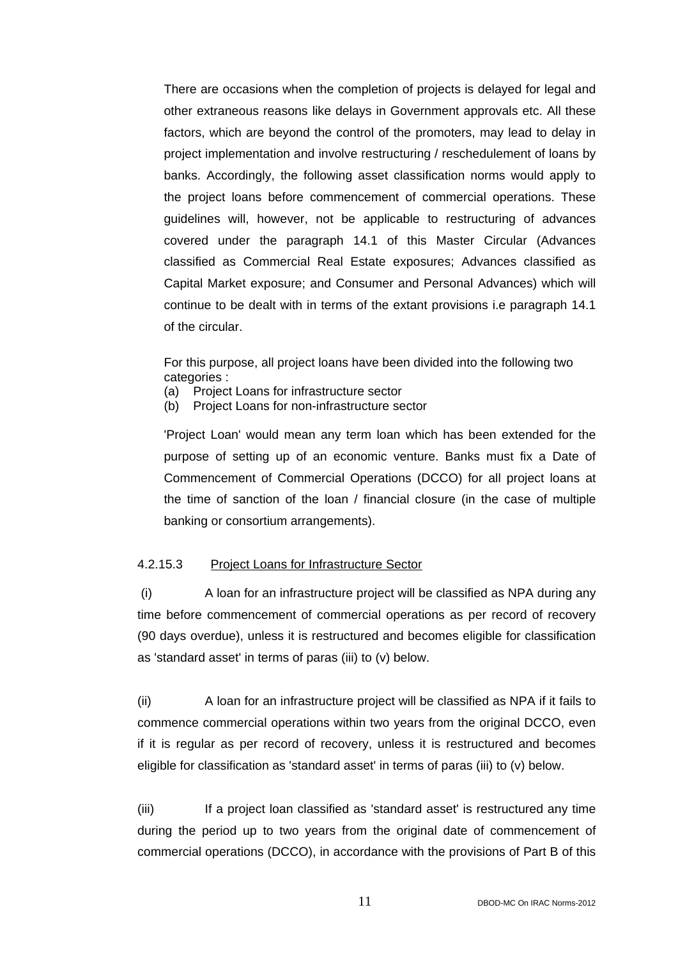There are occasions when the completion of projects is delayed for legal and other extraneous reasons like delays in Government approvals etc. All these factors, which are beyond the control of the promoters, may lead to delay in project implementation and involve restructuring / reschedulement of loans by banks. Accordingly, the following asset classification norms would apply to the project loans before commencement of commercial operations. These guidelines will, however, not be applicable to restructuring of advances covered under the paragraph 14.1 of this Master Circular (Advances classified as Commercial Real Estate exposures; Advances classified as Capital Market exposure; and Consumer and Personal Advances) which will continue to be dealt with in terms of the extant provisions i.e paragraph 14.1 of the circular.

For this purpose, all project loans have been divided into the following two categories :

- (a) Project Loans for infrastructure sector
- (b) Project Loans for non-infrastructure sector

'Project Loan' would mean any term loan which has been extended for the purpose of setting up of an economic venture. Banks must fix a Date of Commencement of Commercial Operations (DCCO) for all project loans at the time of sanction of the loan / financial closure (in the case of multiple banking or consortium arrangements).

### 4.2.15.3Project Loans for Infrastructure Sector

 (i) A loan for an infrastructure project will be classified as NPA during any time before commencement of commercial operations as per record of recovery (90 days overdue), unless it is restructured and becomes eligible for classification as 'standard asset' in terms of paras (iii) to (v) below.

(ii) A loan for an infrastructure project will be classified as NPA if it fails to commence commercial operations within two years from the original DCCO, even if it is regular as per record of recovery, unless it is restructured and becomes eligible for classification as 'standard asset' in terms of paras (iii) to (v) below.

(iii) If a project loan classified as 'standard asset' is restructured any time during the period up to two years from the original date of commencement of commercial operations (DCCO), in accordance with the provisions of Part B of this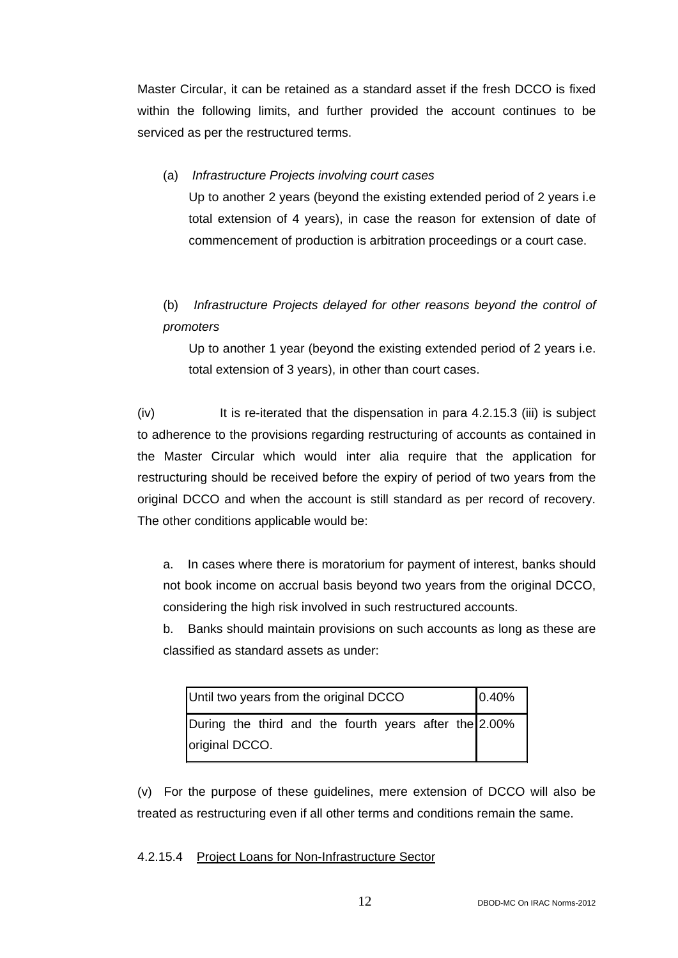Master Circular, it can be retained as a standard asset if the fresh DCCO is fixed within the following limits, and further provided the account continues to be serviced as per the restructured terms.

(a) *Infrastructure Projects involving court cases* Up to another 2 years (beyond the existing extended period of 2 years i.e total extension of 4 years), in case the reason for extension of date of commencement of production is arbitration proceedings or a court case.

# (b) *Infrastructure Projects delayed for other reasons beyond the control of promoters*

Up to another 1 year (beyond the existing extended period of 2 years i.e. total extension of 3 years), in other than court cases.

 $(iv)$  It is re-iterated that the dispensation in para 4.2.15.3 (iii) is subject to adherence to the provisions regarding restructuring of accounts as contained in the Master Circular which would inter alia require that the application for restructuring should be received before the expiry of period of two years from the original DCCO and when the account is still standard as per record of recovery. The other conditions applicable would be:

a. In cases where there is moratorium for payment of interest, banks should not book income on accrual basis beyond two years from the original DCCO, considering the high risk involved in such restructured accounts.

b. Banks should maintain provisions on such accounts as long as these are classified as standard assets as under:

| Until two years from the original DCCO                |  |  |  |  | 0.40% |  |  |  |  |
|-------------------------------------------------------|--|--|--|--|-------|--|--|--|--|
| During the third and the fourth years after the 2.00% |  |  |  |  |       |  |  |  |  |
| original DCCO.                                        |  |  |  |  |       |  |  |  |  |

(v) For the purpose of these guidelines, mere extension of DCCO will also be treated as restructuring even if all other terms and conditions remain the same.

# 4.2.15.4 Project Loans for Non-Infrastructure Sector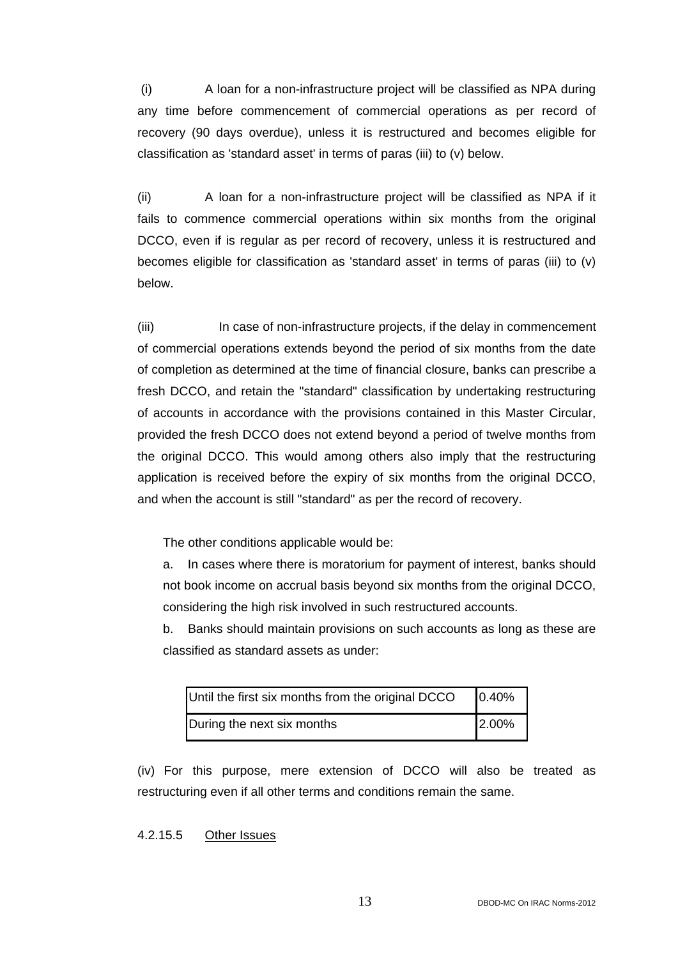(i) A loan for a non-infrastructure project will be classified as NPA during any time before commencement of commercial operations as per record of recovery (90 days overdue), unless it is restructured and becomes eligible for classification as 'standard asset' in terms of paras (iii) to (v) below.

(ii) A loan for a non-infrastructure project will be classified as NPA if it fails to commence commercial operations within six months from the original DCCO, even if is regular as per record of recovery, unless it is restructured and becomes eligible for classification as 'standard asset' in terms of paras (iii) to (v) below.

(iii) In case of non-infrastructure projects, if the delay in commencement of commercial operations extends beyond the period of six months from the date of completion as determined at the time of financial closure, banks can prescribe a fresh DCCO, and retain the "standard" classification by undertaking restructuring of accounts in accordance with the provisions contained in this Master Circular, provided the fresh DCCO does not extend beyond a period of twelve months from the original DCCO. This would among others also imply that the restructuring application is received before the expiry of six months from the original DCCO, and when the account is still "standard" as per the record of recovery.

The other conditions applicable would be:

a. In cases where there is moratorium for payment of interest, banks should not book income on accrual basis beyond six months from the original DCCO, considering the high risk involved in such restructured accounts.

b. Banks should maintain provisions on such accounts as long as these are classified as standard assets as under:

| Until the first six months from the original DCCO | 0.40% |
|---------------------------------------------------|-------|
| During the next six months                        | 2.00% |

(iv) For this purpose, mere extension of DCCO will also be treated as restructuring even if all other terms and conditions remain the same.

#### 4.2.15.5 Other Issues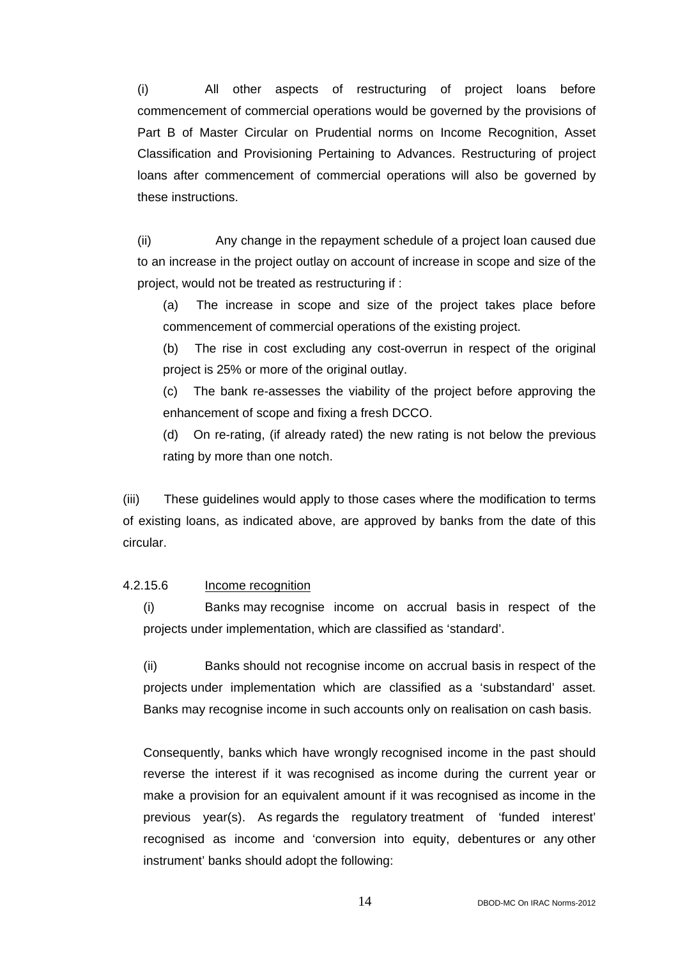(i) All other aspects of restructuring of project loans before commencement of commercial operations would be governed by the provisions of Part B of Master Circular on Prudential norms on Income Recognition, Asset Classification and Provisioning Pertaining to Advances. Restructuring of project loans after commencement of commercial operations will also be governed by these instructions.

(ii) Any change in the repayment schedule of a project loan caused due to an increase in the project outlay on account of increase in scope and size of the project, would not be treated as restructuring if :

(a) The increase in scope and size of the project takes place before commencement of commercial operations of the existing project.

(b) The rise in cost excluding any cost-overrun in respect of the original project is 25% or more of the original outlay.

(c) The bank re-assesses the viability of the project before approving the enhancement of scope and fixing a fresh DCCO.

(d) On re-rating, (if already rated) the new rating is not below the previous rating by more than one notch.

(iii) These guidelines would apply to those cases where the modification to terms of existing loans, as indicated above, are approved by banks from the date of this circular.

### 4.2.15.6 Income recognition

(i) Banks may recognise income on accrual basis in respect of the projects under implementation, which are classified as 'standard'.

(ii) Banks should not recognise income on accrual basis in respect of the projects under implementation which are classified as a 'substandard' asset. Banks may recognise income in such accounts only on realisation on cash basis.

Consequently, banks which have wrongly recognised income in the past should reverse the interest if it was recognised as income during the current year or make a provision for an equivalent amount if it was recognised as income in the previous year(s). As regards the regulatory treatment of 'funded interest' recognised as income and 'conversion into equity, debentures or any other instrument' banks should adopt the following: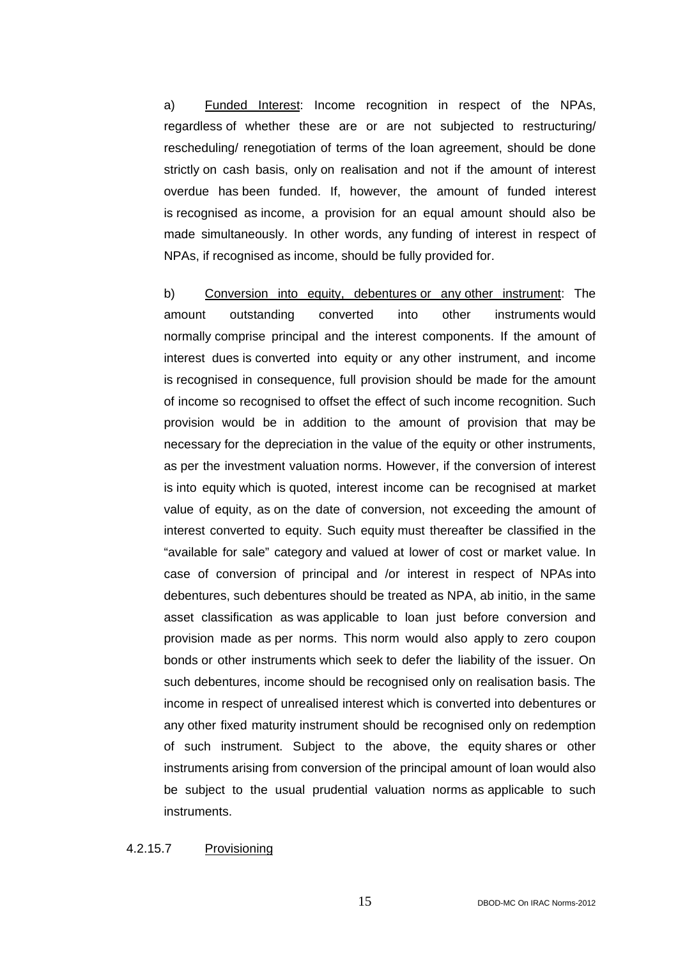a) Funded Interest: Income recognition in respect of the NPAs, regardless of whether these are or are not subjected to restructuring/ rescheduling/ renegotiation of terms of the loan agreement, should be done strictly on cash basis, only on realisation and not if the amount of interest overdue has been funded. If, however, the amount of funded interest is recognised as income, a provision for an equal amount should also be made simultaneously. In other words, any funding of interest in respect of NPAs, if recognised as income, should be fully provided for.

b) Conversion into equity, debentures or any other instrument: The amount outstanding converted into other instruments would normally comprise principal and the interest components. If the amount of interest dues is converted into equity or any other instrument, and income is recognised in consequence, full provision should be made for the amount of income so recognised to offset the effect of such income recognition. Such provision would be in addition to the amount of provision that may be necessary for the depreciation in the value of the equity or other instruments, as per the investment valuation norms. However, if the conversion of interest is into equity which is quoted, interest income can be recognised at market value of equity, as on the date of conversion, not exceeding the amount of interest converted to equity. Such equity must thereafter be classified in the "available for sale" category and valued at lower of cost or market value. In case of conversion of principal and /or interest in respect of NPAs into debentures, such debentures should be treated as NPA, ab initio, in the same asset classification as was applicable to loan just before conversion and provision made as per norms. This norm would also apply to zero coupon bonds or other instruments which seek to defer the liability of the issuer. On such debentures, income should be recognised only on realisation basis. The income in respect of unrealised interest which is converted into debentures or any other fixed maturity instrument should be recognised only on redemption of such instrument. Subject to the above, the equity shares or other instruments arising from conversion of the principal amount of loan would also be subject to the usual prudential valuation norms as applicable to such instruments.

#### 4.2.15.7 Provisioning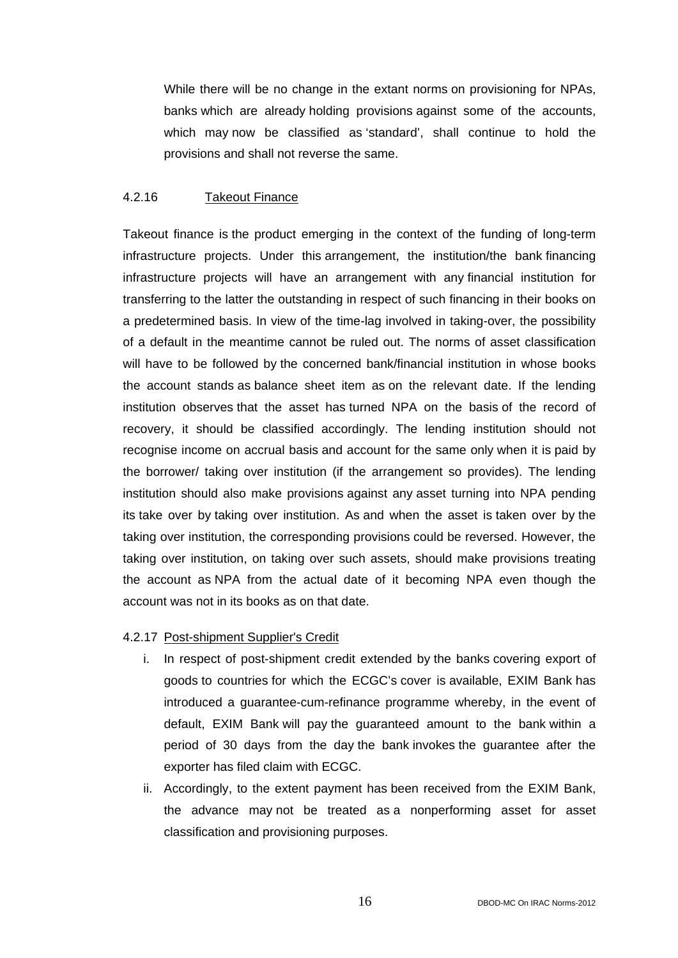While there will be no change in the extant norms on provisioning for NPAs, banks which are already holding provisions against some of the accounts, which may now be classified as 'standard', shall continue to hold the provisions and shall not reverse the same.

#### 4.2.16 Takeout Finance

Takeout finance is the product emerging in the context of the funding of long-term infrastructure projects. Under this arrangement, the institution/the bank financing infrastructure projects will have an arrangement with any financial institution for transferring to the latter the outstanding in respect of such financing in their books on a predetermined basis. In view of the time-lag involved in taking-over, the possibility of a default in the meantime cannot be ruled out. The norms of asset classification will have to be followed by the concerned bank/financial institution in whose books the account stands as balance sheet item as on the relevant date. If the lending institution observes that the asset has turned NPA on the basis of the record of recovery, it should be classified accordingly. The lending institution should not recognise income on accrual basis and account for the same only when it is paid by the borrower/ taking over institution (if the arrangement so provides). The lending institution should also make provisions against any asset turning into NPA pending its take over by taking over institution. As and when the asset is taken over by the taking over institution, the corresponding provisions could be reversed. However, the taking over institution, on taking over such assets, should make provisions treating the account as NPA from the actual date of it becoming NPA even though the account was not in its books as on that date.

#### 4.2.17 Post-shipment Supplier's Credit

- i. In respect of post-shipment credit extended by the banks covering export of goods to countries for which the ECGC's cover is available, EXIM Bank has introduced a guarantee-cum-refinance programme whereby, in the event of default, EXIM Bank will pay the guaranteed amount to the bank within a period of 30 days from the day the bank invokes the guarantee after the exporter has filed claim with ECGC.
- ii. Accordingly, to the extent payment has been received from the EXIM Bank, the advance may not be treated as a nonperforming asset for asset classification and provisioning purposes.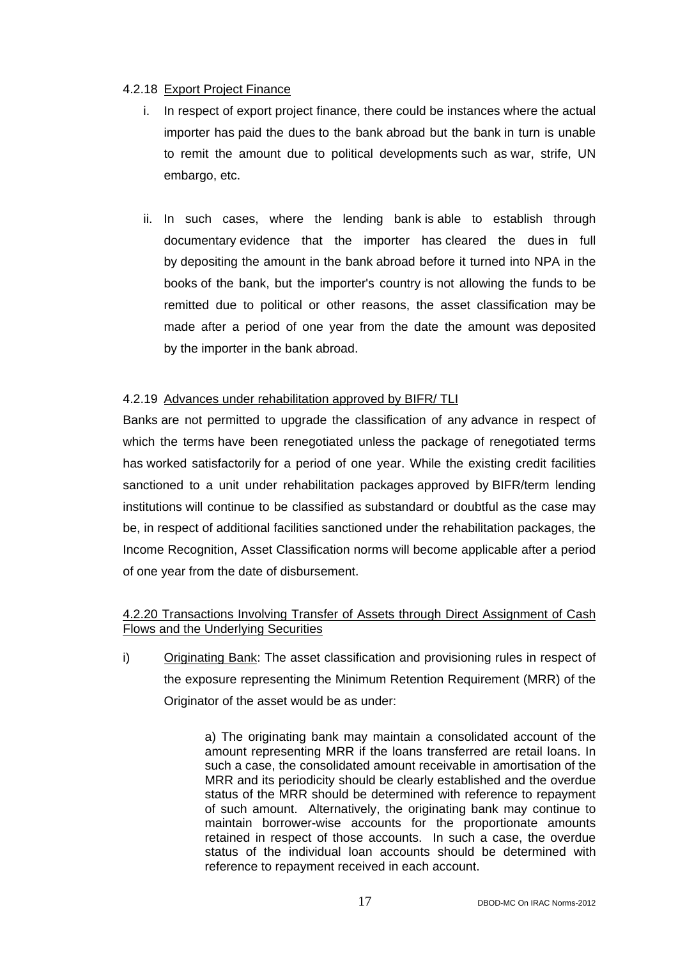### 4.2.18 Export Project Finance

- i. In respect of export project finance, there could be instances where the actual importer has paid the dues to the bank abroad but the bank in turn is unable to remit the amount due to political developments such as war, strife, UN embargo, etc.
- ii. In such cases, where the lending bank is able to establish through documentary evidence that the importer has cleared the dues in full by depositing the amount in the bank abroad before it turned into NPA in the books of the bank, but the importer's country is not allowing the funds to be remitted due to political or other reasons, the asset classification may be made after a period of one year from the date the amount was deposited by the importer in the bank abroad.

# 4.2.19 Advances under rehabilitation approved by BIFR/ TLI

Banks are not permitted to upgrade the classification of any advance in respect of which the terms have been renegotiated unless the package of renegotiated terms has worked satisfactorily for a period of one year. While the existing credit facilities sanctioned to a unit under rehabilitation packages approved by BIFR/term lending institutions will continue to be classified as substandard or doubtful as the case may be, in respect of additional facilities sanctioned under the rehabilitation packages, the Income Recognition, Asset Classification norms will become applicable after a period of one year from the date of disbursement.

# 4.2.20 Transactions Involving Transfer of Assets through Direct Assignment of Cash Flows and the Underlying Securities

i) Originating Bank: The asset classification and provisioning rules in respect of the exposure representing the Minimum Retention Requirement (MRR) of the Originator of the asset would be as under:

> a) The originating bank may maintain a consolidated account of the amount representing MRR if the loans transferred are retail loans. In such a case, the consolidated amount receivable in amortisation of the MRR and its periodicity should be clearly established and the overdue status of the MRR should be determined with reference to repayment of such amount. Alternatively, the originating bank may continue to maintain borrower-wise accounts for the proportionate amounts retained in respect of those accounts. In such a case, the overdue status of the individual loan accounts should be determined with reference to repayment received in each account.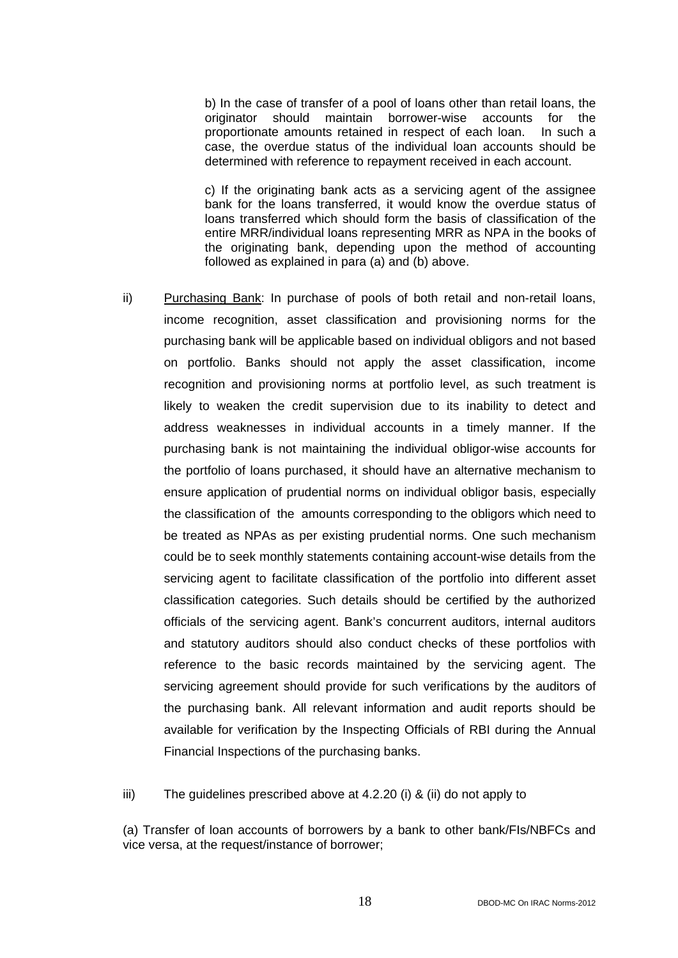b) In the case of transfer of a pool of loans other than retail loans, the originator should maintain borrower-wise accounts for the proportionate amounts retained in respect of each loan. In such a case, the overdue status of the individual loan accounts should be determined with reference to repayment received in each account.

c) If the originating bank acts as a servicing agent of the assignee bank for the loans transferred, it would know the overdue status of loans transferred which should form the basis of classification of the entire MRR/individual loans representing MRR as NPA in the books of the originating bank, depending upon the method of accounting followed as explained in para (a) and (b) above.

ii) Purchasing Bank: In purchase of pools of both retail and non-retail loans, income recognition, asset classification and provisioning norms for the purchasing bank will be applicable based on individual obligors and not based on portfolio. Banks should not apply the asset classification, income recognition and provisioning norms at portfolio level, as such treatment is likely to weaken the credit supervision due to its inability to detect and address weaknesses in individual accounts in a timely manner. If the purchasing bank is not maintaining the individual obligor-wise accounts for the portfolio of loans purchased, it should have an alternative mechanism to ensure application of prudential norms on individual obligor basis, especially the classification of the amounts corresponding to the obligors which need to be treated as NPAs as per existing prudential norms. One such mechanism could be to seek monthly statements containing account-wise details from the servicing agent to facilitate classification of the portfolio into different asset classification categories. Such details should be certified by the authorized officials of the servicing agent. Bank's concurrent auditors, internal auditors and statutory auditors should also conduct checks of these portfolios with reference to the basic records maintained by the servicing agent. The servicing agreement should provide for such verifications by the auditors of the purchasing bank. All relevant information and audit reports should be available for verification by the Inspecting Officials of RBI during the Annual Financial Inspections of the purchasing banks.

iii) The guidelines prescribed above at 4.2.20 (i) & (ii) do not apply to

(a) Transfer of loan accounts of borrowers by a bank to other bank/FIs/NBFCs and vice versa, at the request/instance of borrower;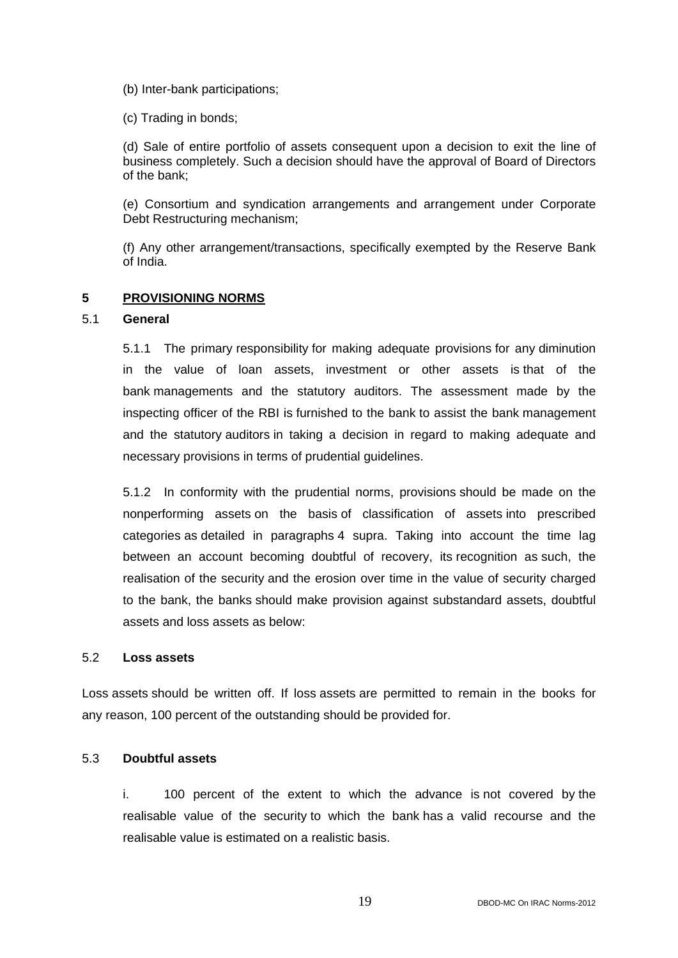- (b) Inter-bank participations;
- (c) Trading in bonds;

(d) Sale of entire portfolio of assets consequent upon a decision to exit the line of business completely. Such a decision should have the approval of Board of Directors of the bank;

(e) Consortium and syndication arrangements and arrangement under Corporate Debt Restructuring mechanism;

(f) Any other arrangement/transactions, specifically exempted by the Reserve Bank of India.

#### **5 PROVISIONING NORMS**

#### 5.1 **General**

5.1.1 The primary responsibility for making adequate provisions for any diminution in the value of loan assets, investment or other assets is that of the bank managements and the statutory auditors. The assessment made by the inspecting officer of the RBI is furnished to the bank to assist the bank management and the statutory auditors in taking a decision in regard to making adequate and necessary provisions in terms of prudential guidelines.

5.1.2 In conformity with the prudential norms, provisions should be made on the nonperforming assets on the basis of classification of assets into prescribed categories as detailed in paragraphs 4 supra. Taking into account the time lag between an account becoming doubtful of recovery, its recognition as such, the realisation of the security and the erosion over time in the value of security charged to the bank, the banks should make provision against substandard assets, doubtful assets and loss assets as below:

#### 5.2 **Loss assets**

Loss assets should be written off. If loss assets are permitted to remain in the books for any reason, 100 percent of the outstanding should be provided for.

#### 5.3 **Doubtful assets**

i. 100 percent of the extent to which the advance is not covered by the realisable value of the security to which the bank has a valid recourse and the realisable value is estimated on a realistic basis.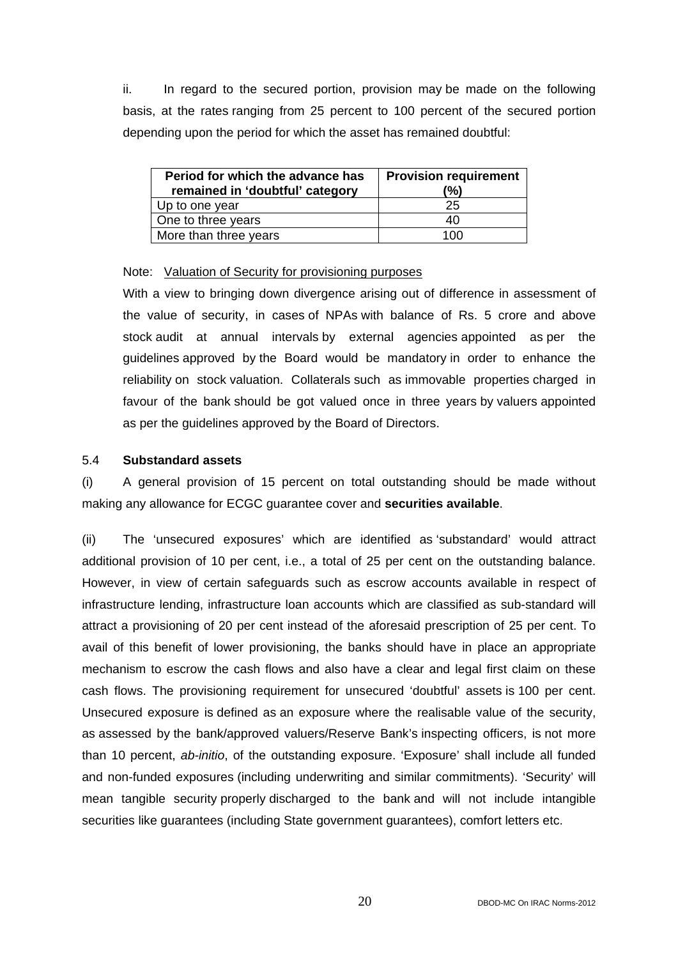ii. In regard to the secured portion, provision may be made on the following basis, at the rates ranging from 25 percent to 100 percent of the secured portion depending upon the period for which the asset has remained doubtful:

| Period for which the advance has<br>remained in 'doubtful' category | <b>Provision requirement</b><br>(%) |  |
|---------------------------------------------------------------------|-------------------------------------|--|
| Up to one year                                                      | 25                                  |  |
| One to three years                                                  | 40                                  |  |
| More than three years                                               | 100                                 |  |

#### Note: Valuation of Security for provisioning purposes

With a view to bringing down divergence arising out of difference in assessment of the value of security, in cases of NPAs with balance of Rs. 5 crore and above stock audit at annual intervals by external agencies appointed as per the guidelines approved by the Board would be mandatory in order to enhance the reliability on stock valuation. Collaterals such as immovable properties charged in favour of the bank should be got valued once in three years by valuers appointed as per the guidelines approved by the Board of Directors.

#### 5.4 **Substandard assets**

(i) A general provision of 15 percent on total outstanding should be made without making any allowance for ECGC guarantee cover and **securities available**.

(ii) The 'unsecured exposures' which are identified as 'substandard' would attract additional provision of 10 per cent, i.e., a total of 25 per cent on the outstanding balance. However, in view of certain safeguards such as escrow accounts available in respect of infrastructure lending, infrastructure loan accounts which are classified as sub-standard will attract a provisioning of 20 per cent instead of the aforesaid prescription of 25 per cent. To avail of this benefit of lower provisioning, the banks should have in place an appropriate mechanism to escrow the cash flows and also have a clear and legal first claim on these cash flows. The provisioning requirement for unsecured 'doubtful' assets is 100 per cent. Unsecured exposure is defined as an exposure where the realisable value of the security, as assessed by the bank/approved valuers/Reserve Bank's inspecting officers, is not more than 10 percent, *ab-initio*, of the outstanding exposure. 'Exposure' shall include all funded and non-funded exposures (including underwriting and similar commitments). 'Security' will mean tangible security properly discharged to the bank and will not include intangible securities like guarantees (including State government guarantees), comfort letters etc.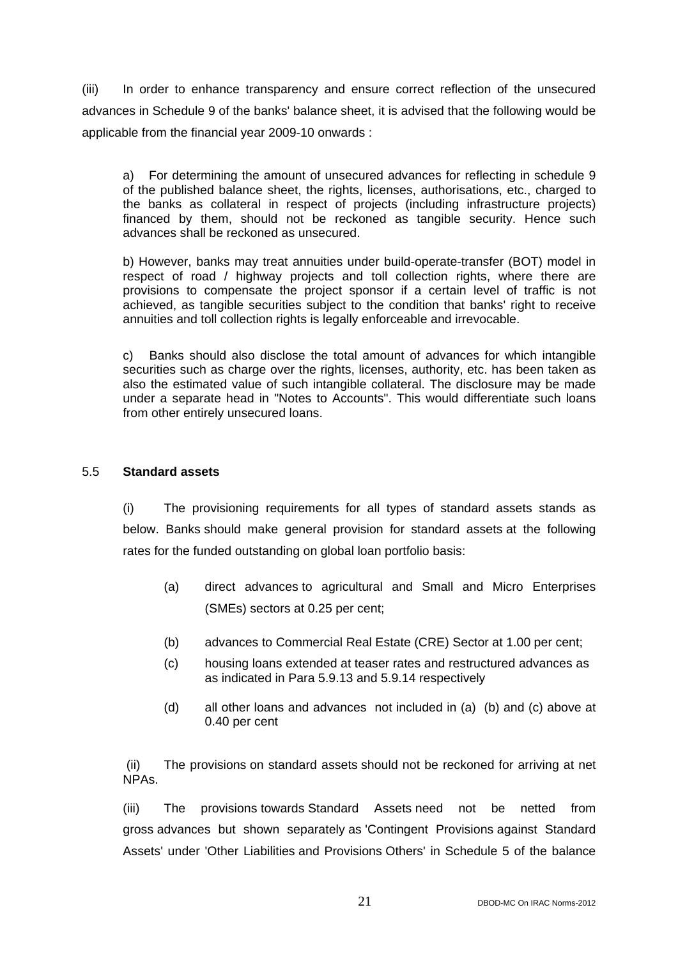(iii) In order to enhance transparency and ensure correct reflection of the unsecured advances in Schedule 9 of the banks' balance sheet, it is advised that the following would be applicable from the financial year 2009-10 onwards :

a) For determining the amount of unsecured advances for reflecting in schedule 9 of the published balance sheet, the rights, licenses, authorisations, etc., charged to the banks as collateral in respect of projects (including infrastructure projects) financed by them, should not be reckoned as tangible security. Hence such advances shall be reckoned as unsecured.

b) However, banks may treat annuities under build-operate-transfer (BOT) model in respect of road / highway projects and toll collection rights, where there are provisions to compensate the project sponsor if a certain level of traffic is not achieved, as tangible securities subject to the condition that banks' right to receive annuities and toll collection rights is legally enforceable and irrevocable.

c) Banks should also disclose the total amount of advances for which intangible securities such as charge over the rights, licenses, authority, etc. has been taken as also the estimated value of such intangible collateral. The disclosure may be made under a separate head in "Notes to Accounts". This would differentiate such loans from other entirely unsecured loans.

### 5.5 **Standard assets**

(i) The provisioning requirements for all types of standard assets stands as below. Banks should make general provision for standard assets at the following rates for the funded outstanding on global loan portfolio basis:

- (a) direct advances to agricultural and Small and Micro Enterprises (SMEs) sectors at 0.25 per cent;
- (b) advances to Commercial Real Estate (CRE) Sector at 1.00 per cent;
- (c) housing loans extended at teaser rates and restructured advances as as indicated in Para 5.9.13 and 5.9.14 respectively
- (d) all other loans and advances not included in (a) (b) and (c) above at 0.40 per cent

 (ii) The provisions on standard assets should not be reckoned for arriving at net NPAs.

(iii) The provisions towards Standard Assets need not be netted from gross advances but shown separately as 'Contingent Provisions against Standard Assets' under 'Other Liabilities and Provisions Others' in Schedule 5 of the balance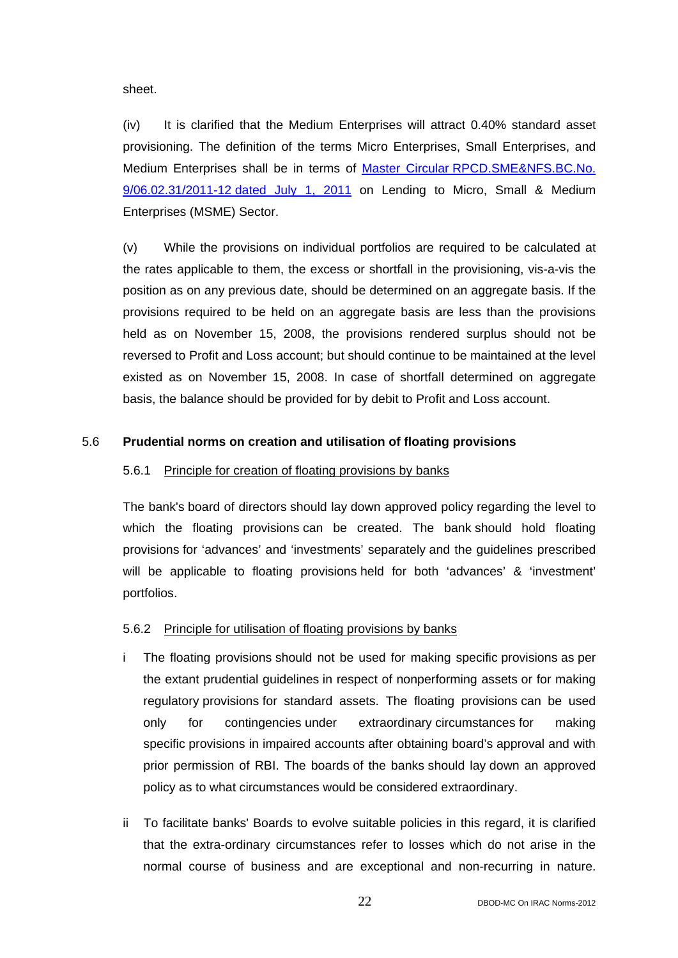sheet.

(iv) It is clarified that the Medium Enterprises will attract 0.40% standard asset provisioning. The definition of the terms Micro Enterprises, Small Enterprises, and Medium Enterprises shall be in terms of [Master Circular RPCD.SME&NFS.BC.No.](http://rbi.org.in/scripts/NotificationUser.aspx?Id=6553&Mode=0)  [9/06.02.31/2011-12 dated July 1, 2011](http://rbi.org.in/scripts/NotificationUser.aspx?Id=6553&Mode=0) on Lending to Micro, Small & Medium Enterprises (MSME) Sector.

(v) While the provisions on individual portfolios are required to be calculated at the rates applicable to them, the excess or shortfall in the provisioning, vis-a-vis the position as on any previous date, should be determined on an aggregate basis. If the provisions required to be held on an aggregate basis are less than the provisions held as on November 15, 2008, the provisions rendered surplus should not be reversed to Profit and Loss account; but should continue to be maintained at the level existed as on November 15, 2008. In case of shortfall determined on aggregate basis, the balance should be provided for by debit to Profit and Loss account.

### 5.6 **Prudential norms on creation and utilisation of floating provisions**

### 5.6.1 Principle for creation of floating provisions by banks

The bank's board of directors should lay down approved policy regarding the level to which the floating provisions can be created. The bank should hold floating provisions for 'advances' and 'investments' separately and the guidelines prescribed will be applicable to floating provisions held for both 'advances' & 'investment' portfolios.

# 5.6.2 Principle for utilisation of floating provisions by banks

- i The floating provisions should not be used for making specific provisions as per the extant prudential guidelines in respect of nonperforming assets or for making regulatory provisions for standard assets. The floating provisions can be used only for contingencies under extraordinary circumstances for making specific provisions in impaired accounts after obtaining board's approval and with prior permission of RBI. The boards of the banks should lay down an approved policy as to what circumstances would be considered extraordinary.
- ii To facilitate banks' Boards to evolve suitable policies in this regard, it is clarified that the extra-ordinary circumstances refer to losses which do not arise in the normal course of business and are exceptional and non-recurring in nature.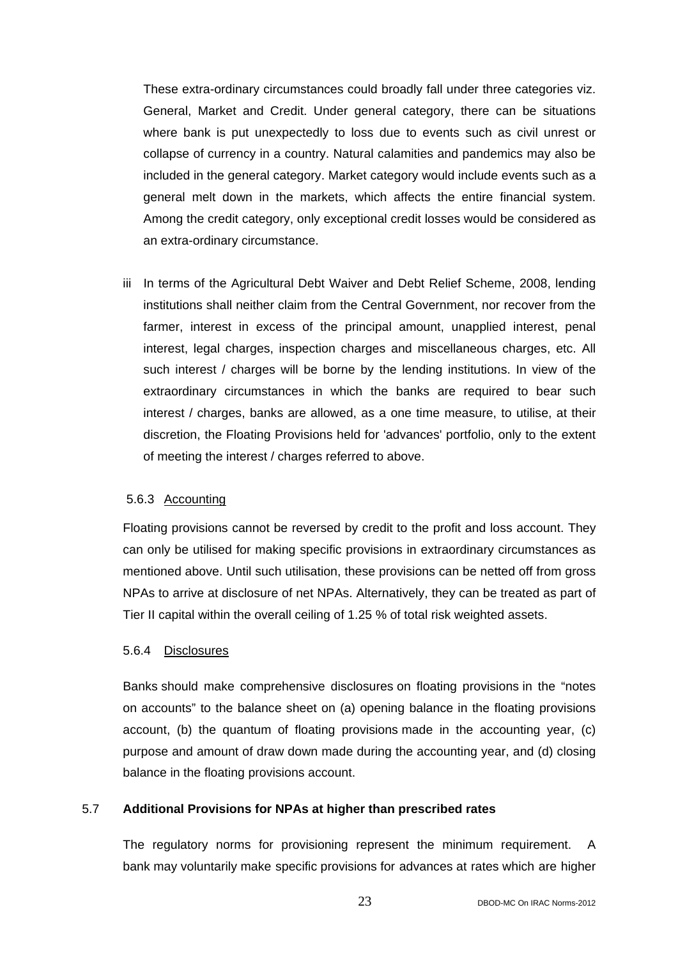These extra-ordinary circumstances could broadly fall under three categories viz. General, Market and Credit. Under general category, there can be situations where bank is put unexpectedly to loss due to events such as civil unrest or collapse of currency in a country. Natural calamities and pandemics may also be included in the general category. Market category would include events such as a general melt down in the markets, which affects the entire financial system. Among the credit category, only exceptional credit losses would be considered as an extra-ordinary circumstance.

iii In terms of the Agricultural Debt Waiver and Debt Relief Scheme, 2008, lending institutions shall neither claim from the Central Government, nor recover from the farmer, interest in excess of the principal amount, unapplied interest, penal interest, legal charges, inspection charges and miscellaneous charges, etc. All such interest / charges will be borne by the lending institutions. In view of the extraordinary circumstances in which the banks are required to bear such interest / charges, banks are allowed, as a one time measure, to utilise, at their discretion, the Floating Provisions held for 'advances' portfolio, only to the extent of meeting the interest / charges referred to above.

### 5.6.3 Accounting

Floating provisions cannot be reversed by credit to the profit and loss account. They can only be utilised for making specific provisions in extraordinary circumstances as mentioned above. Until such utilisation, these provisions can be netted off from gross NPAs to arrive at disclosure of net NPAs. Alternatively, they can be treated as part of Tier II capital within the overall ceiling of 1.25 % of total risk weighted assets.

### 5.6.4 Disclosures

Banks should make comprehensive disclosures on floating provisions in the "notes on accounts" to the balance sheet on (a) opening balance in the floating provisions account, (b) the quantum of floating provisions made in the accounting year, (c) purpose and amount of draw down made during the accounting year, and (d) closing balance in the floating provisions account.

# 5.7 **Additional Provisions for NPAs at higher than prescribed rates**

The regulatory norms for provisioning represent the minimum requirement. A bank may voluntarily make specific provisions for advances at rates which are higher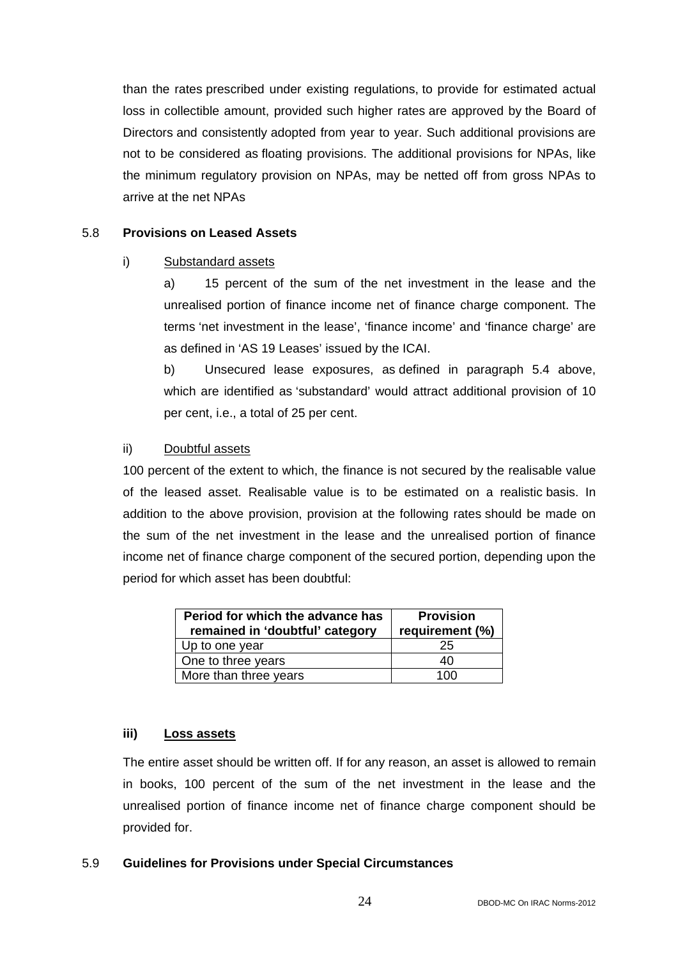than the rates prescribed under existing regulations, to provide for estimated actual loss in collectible amount, provided such higher rates are approved by the Board of Directors and consistently adopted from year to year. Such additional provisions are not to be considered as floating provisions. The additional provisions for NPAs, like the minimum regulatory provision on NPAs, may be netted off from gross NPAs to arrive at the net NPAs

### 5.8 **Provisions on Leased Assets**

### i) Substandard assets

a) 15 percent of the sum of the net investment in the lease and the unrealised portion of finance income net of finance charge component. The terms 'net investment in the lease', 'finance income' and 'finance charge' are as defined in 'AS 19 Leases' issued by the ICAI.

b) Unsecured lease exposures, as defined in paragraph 5.4 above, which are identified as 'substandard' would attract additional provision of 10 per cent, i.e., a total of 25 per cent.

# ii) Doubtful assets

100 percent of the extent to which, the finance is not secured by the realisable value of the leased asset. Realisable value is to be estimated on a realistic basis. In addition to the above provision, provision at the following rates should be made on the sum of the net investment in the lease and the unrealised portion of finance income net of finance charge component of the secured portion, depending upon the period for which asset has been doubtful:

| Period for which the advance has<br>remained in 'doubtful' category | <b>Provision</b><br>requirement (%) |
|---------------------------------------------------------------------|-------------------------------------|
| Up to one year                                                      | 25                                  |
| One to three years                                                  | 40                                  |
| More than three years                                               | 100                                 |

### **iii) Loss assets**

The entire asset should be written off. If for any reason, an asset is allowed to remain in books, 100 percent of the sum of the net investment in the lease and the unrealised portion of finance income net of finance charge component should be provided for.

### 5.9 **Guidelines for Provisions under Special Circumstances**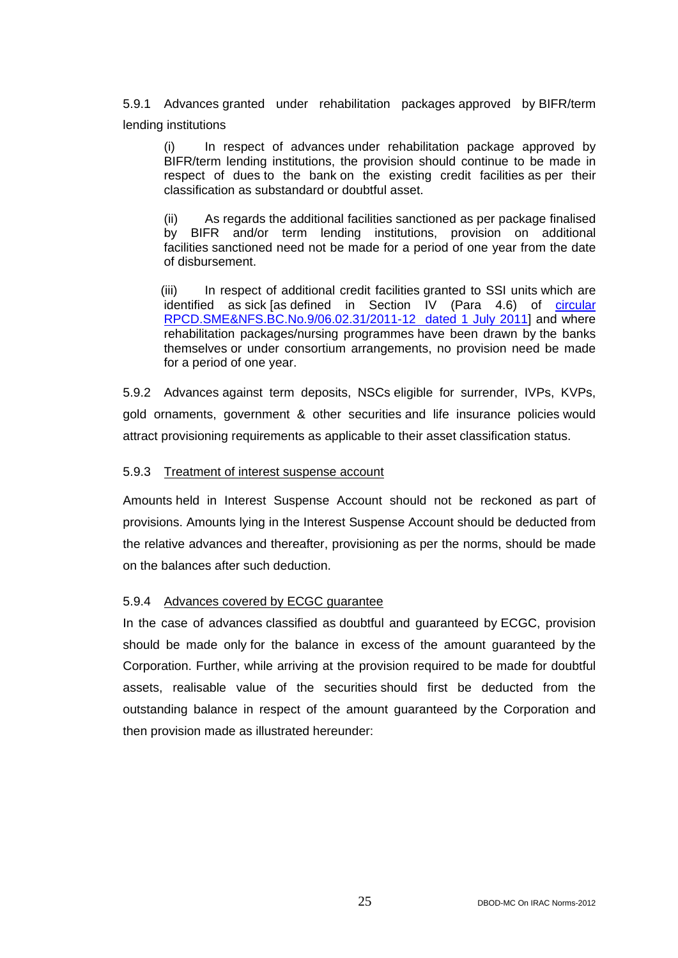5.9.1 Advances granted under rehabilitation packages approved by BIFR/term lending institutions

(i) In respect of advances under rehabilitation package approved by BIFR/term lending institutions, the provision should continue to be made in respect of dues to the bank on the existing credit facilities as per their classification as substandard or doubtful asset.

(ii) As regards the additional facilities sanctioned as per package finalised by BIFR and/or term lending institutions, provision on additional facilities sanctioned need not be made for a period of one year from the date of disbursement.

 (iii) In respect of additional credit facilities granted to SSI units which are identified as sick [as defined in Section IV (Para 4.6) of circular [RPCD.SME&NFS.BC.No.9/06.02.31/2011-12 dated 1 July 2011\]](http://rbi.org.in/scripts/NotificationUser.aspx?Id=6553&Mode=0#p4.6) and where rehabilitation packages/nursing programmes have been drawn by the banks themselves or under consortium arrangements, no provision need be made for a period of one year.

5.9.2 Advances against term deposits, NSCs eligible for surrender, IVPs, KVPs, gold ornaments, government & other securities and life insurance policies would attract provisioning requirements as applicable to their asset classification status.

#### 5.9.3 Treatment of interest suspense account

Amounts held in Interest Suspense Account should not be reckoned as part of provisions. Amounts lying in the Interest Suspense Account should be deducted from the relative advances and thereafter, provisioning as per the norms, should be made on the balances after such deduction.

### 5.9.4 Advances covered by ECGC guarantee

In the case of advances classified as doubtful and guaranteed by ECGC, provision should be made only for the balance in excess of the amount guaranteed by the Corporation. Further, while arriving at the provision required to be made for doubtful assets, realisable value of the securities should first be deducted from the outstanding balance in respect of the amount guaranteed by the Corporation and then provision made as illustrated hereunder: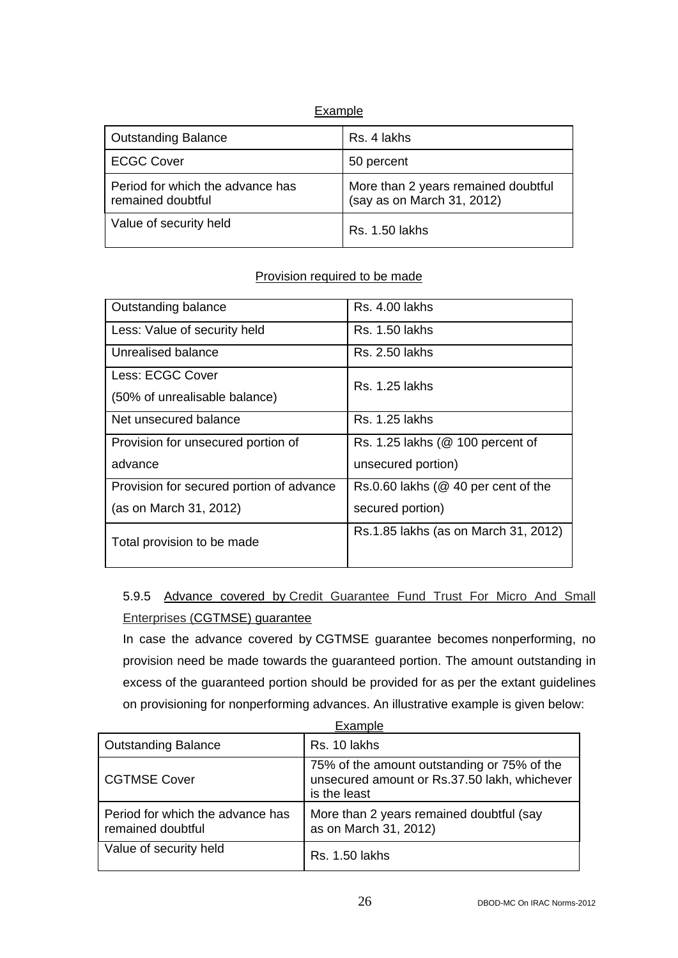# Example

| <b>Outstanding Balance</b>                            | Rs. 4 lakhs                                                       |
|-------------------------------------------------------|-------------------------------------------------------------------|
| <b>ECGC Cover</b>                                     | 50 percent                                                        |
| Period for which the advance has<br>remained doubtful | More than 2 years remained doubtful<br>(say as on March 31, 2012) |
| Value of security held                                | <b>Rs. 1.50 lakhs</b>                                             |

# Provision required to be made

| Outstanding balance                      | <b>Rs. 4.00 lakhs</b>                    |  |
|------------------------------------------|------------------------------------------|--|
| Less: Value of security held             | <b>Rs. 1.50 lakhs</b>                    |  |
| Unrealised balance                       | Rs. 2.50 lakhs                           |  |
| Less: ECGC Cover                         |                                          |  |
| (50% of unrealisable balance)            | <b>Rs. 1.25 lakhs</b>                    |  |
| Net unsecured balance                    | Rs. 1.25 lakhs                           |  |
| Provision for unsecured portion of       | Rs. 1.25 lakhs ( $@$ 100 percent of      |  |
| advance                                  | unsecured portion)                       |  |
| Provision for secured portion of advance | $Rs.0.60$ lakhs ( $@$ 40 per cent of the |  |
| (as on March 31, 2012)                   | secured portion)                         |  |
| Total provision to be made               | Rs.1.85 lakhs (as on March 31, 2012)     |  |

# 5.9.5 Advance covered by Credit Guarantee Fund Trust For Micro And Small Enterprises (CGTMSE) guarantee

In case the advance covered by CGTMSE guarantee becomes nonperforming, no provision need be made towards the guaranteed portion. The amount outstanding in excess of the guaranteed portion should be provided for as per the extant guidelines on provisioning for nonperforming advances. An illustrative example is given below:

| Example                                               |                                                                                                             |  |  |  |
|-------------------------------------------------------|-------------------------------------------------------------------------------------------------------------|--|--|--|
| <b>Outstanding Balance</b>                            | Rs. 10 lakhs                                                                                                |  |  |  |
| <b>CGTMSE Cover</b>                                   | 75% of the amount outstanding or 75% of the<br>unsecured amount or Rs.37.50 lakh, whichever<br>is the least |  |  |  |
| Period for which the advance has<br>remained doubtful | More than 2 years remained doubtful (say<br>as on March 31, 2012)                                           |  |  |  |
| Value of security held                                | <b>Rs. 1.50 lakhs</b>                                                                                       |  |  |  |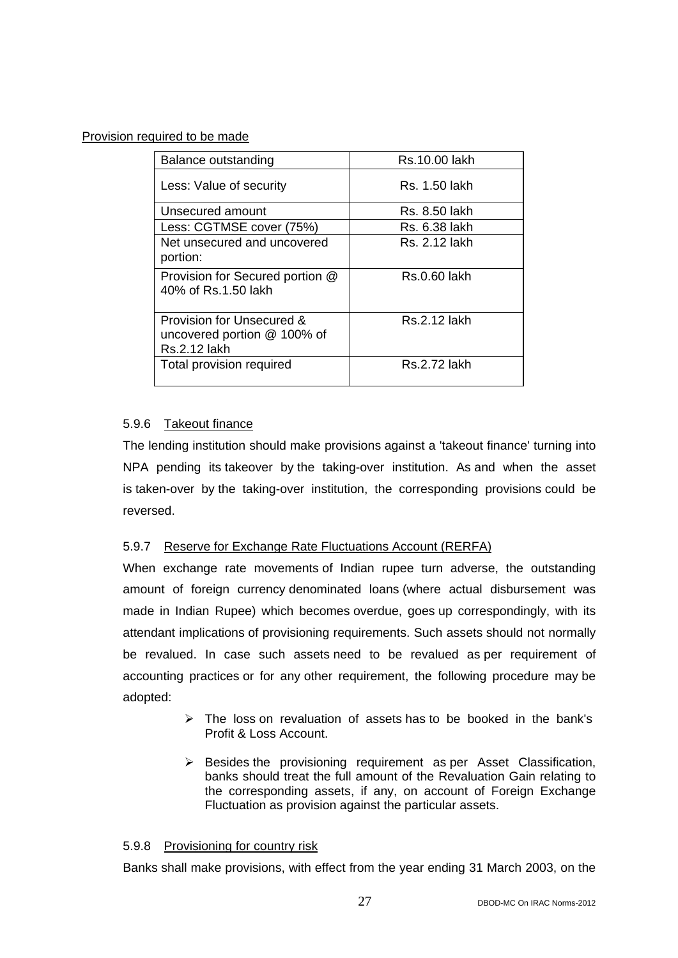### Provision required to be made

| Balance outstanding                                                      | Rs.10.00 lakh |
|--------------------------------------------------------------------------|---------------|
| Less: Value of security                                                  | Rs. 1.50 lakh |
| Unsecured amount                                                         | Rs. 8.50 lakh |
| Less: CGTMSE cover (75%)                                                 | Rs. 6.38 lakh |
| Net unsecured and uncovered<br>portion:                                  | Rs. 2.12 lakh |
| Provision for Secured portion @<br>40% of Rs.1.50 lakh                   | Rs.0.60 lakh  |
| Provision for Unsecured &<br>uncovered portion @ 100% of<br>Rs.2.12 lakh | Rs.2.12 lakh  |
| Total provision required                                                 | Rs.2.72 lakh  |

# 5.9.6 Takeout finance

The lending institution should make provisions against a 'takeout finance' turning into NPA pending its takeover by the taking-over institution. As and when the asset is taken-over by the taking-over institution, the corresponding provisions could be reversed.

# 5.9.7 Reserve for Exchange Rate Fluctuations Account (RERFA)

When exchange rate movements of Indian rupee turn adverse, the outstanding amount of foreign currency denominated loans (where actual disbursement was made in Indian Rupee) which becomes overdue, goes up correspondingly, with its attendant implications of provisioning requirements. Such assets should not normally be revalued. In case such assets need to be revalued as per requirement of accounting practices or for any other requirement, the following procedure may be adopted:

- $\triangleright$  The loss on revaluation of assets has to be booked in the bank's Profit & Loss Account.
- $\triangleright$  Besides the provisioning requirement as per Asset Classification, banks should treat the full amount of the Revaluation Gain relating to the corresponding assets, if any, on account of Foreign Exchange Fluctuation as provision against the particular assets.

### 5.9.8 Provisioning for country risk

Banks shall make provisions, with effect from the year ending 31 March 2003, on the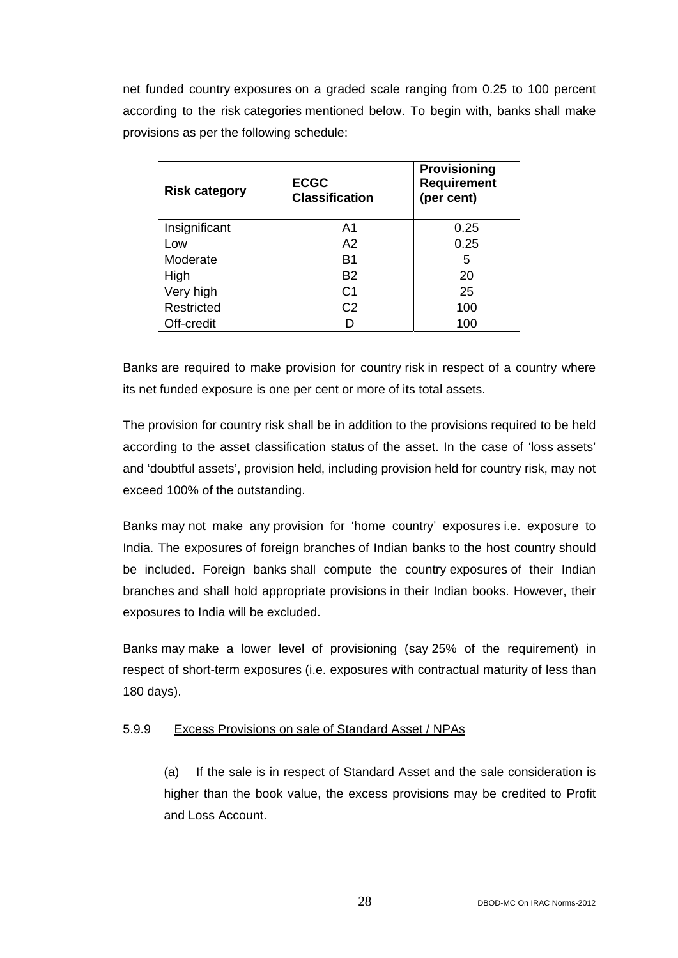net funded country exposures on a graded scale ranging from 0.25 to 100 percent according to the risk categories mentioned below. To begin with, banks shall make provisions as per the following schedule:

| <b>Risk category</b> | <b>ECGC</b><br><b>Classification</b> | <b>Provisioning</b><br><b>Requirement</b><br>(per cent) |  |
|----------------------|--------------------------------------|---------------------------------------------------------|--|
| Insignificant        | A1                                   | 0.25                                                    |  |
| Low                  | A2                                   | 0.25                                                    |  |
| Moderate             | B1                                   | 5                                                       |  |
| High                 | B2                                   | 20                                                      |  |
| Very high            | C <sub>1</sub>                       | 25                                                      |  |
| Restricted           | C <sub>2</sub>                       | 100                                                     |  |
| Off-credit           |                                      | 100                                                     |  |

Banks are required to make provision for country risk in respect of a country where its net funded exposure is one per cent or more of its total assets.

The provision for country risk shall be in addition to the provisions required to be held according to the asset classification status of the asset. In the case of 'loss assets' and 'doubtful assets', provision held, including provision held for country risk, may not exceed 100% of the outstanding.

Banks may not make any provision for 'home country' exposures i.e. exposure to India. The exposures of foreign branches of Indian banks to the host country should be included. Foreign banks shall compute the country exposures of their Indian branches and shall hold appropriate provisions in their Indian books. However, their exposures to India will be excluded.

Banks may make a lower level of provisioning (say 25% of the requirement) in respect of short-term exposures (i.e. exposures with contractual maturity of less than 180 days).

### 5.9.9 Excess Provisions on sale of Standard Asset / NPAs

(a) If the sale is in respect of Standard Asset and the sale consideration is higher than the book value, the excess provisions may be credited to Profit and Loss Account.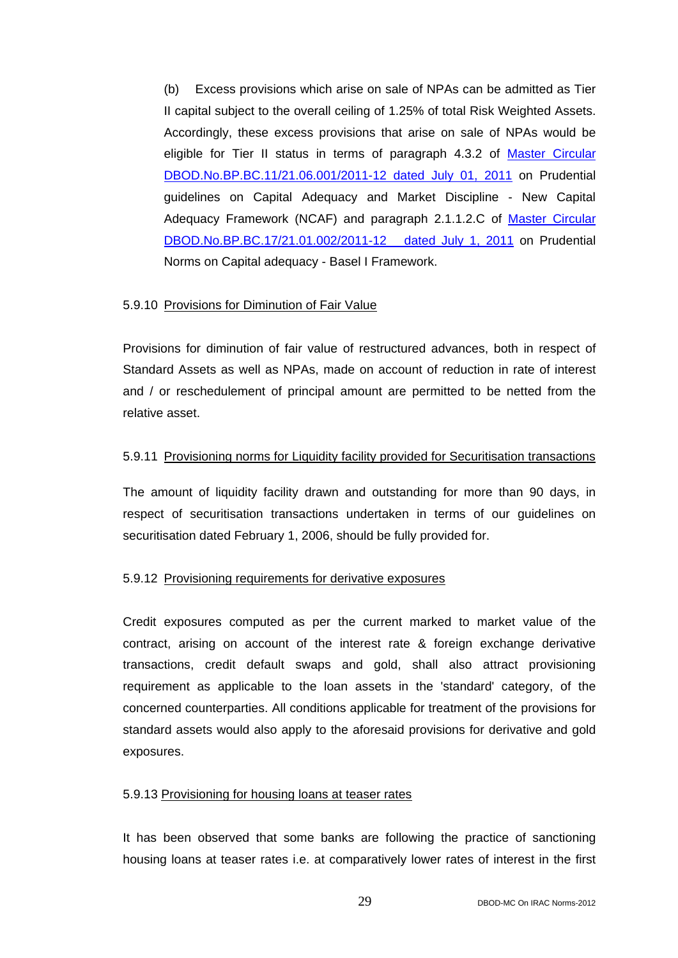(b) Excess provisions which arise on sale of NPAs can be admitted as Tier II capital subject to the overall ceiling of 1.25% of total Risk Weighted Assets. Accordingly, these excess provisions that arise on sale of NPAs would be eligible for Tier II status in terms of paragraph 4.3.2 of Master Circular [DBOD.No.BP.BC.11/21.06.001/2011-12 dated July 01, 2011](http://rbi.org.in/scripts/NotificationUser.aspx?Id=6516&Mode=0) on Prudential guidelines on Capital Adequacy and Market Discipline - New Capital Adequacy Framework (NCAF) and paragraph 2.1.1.2.C of [Master Circular](http://rbi.org.in/scripts/NotificationUser.aspx?Id=6517&Mode=0)  [DBOD.No.BP.BC.17/21.01.002/2011-12 dated July 1, 2011](http://rbi.org.in/scripts/NotificationUser.aspx?Id=6517&Mode=0) on Prudential Norms on Capital adequacy - Basel I Framework.

### 5.9.10 Provisions for Diminution of Fair Value

Provisions for diminution of fair value of restructured advances, both in respect of Standard Assets as well as NPAs, made on account of reduction in rate of interest and / or reschedulement of principal amount are permitted to be netted from the relative asset.

### 5.9.11 Provisioning norms for Liquidity facility provided for Securitisation transactions

The amount of liquidity facility drawn and outstanding for more than 90 days, in respect of securitisation transactions undertaken in terms of our guidelines on securitisation dated February 1, 2006, should be fully provided for.

### 5.9.12 Provisioning requirements for derivative exposures

Credit exposures computed as per the current marked to market value of the contract, arising on account of the interest rate & foreign exchange derivative transactions, credit default swaps and gold, shall also attract provisioning requirement as applicable to the loan assets in the 'standard' category, of the concerned counterparties. All conditions applicable for treatment of the provisions for standard assets would also apply to the aforesaid provisions for derivative and gold exposures.

### 5.9.13 Provisioning for housing loans at teaser rates

It has been observed that some banks are following the practice of sanctioning housing loans at teaser rates i.e. at comparatively lower rates of interest in the first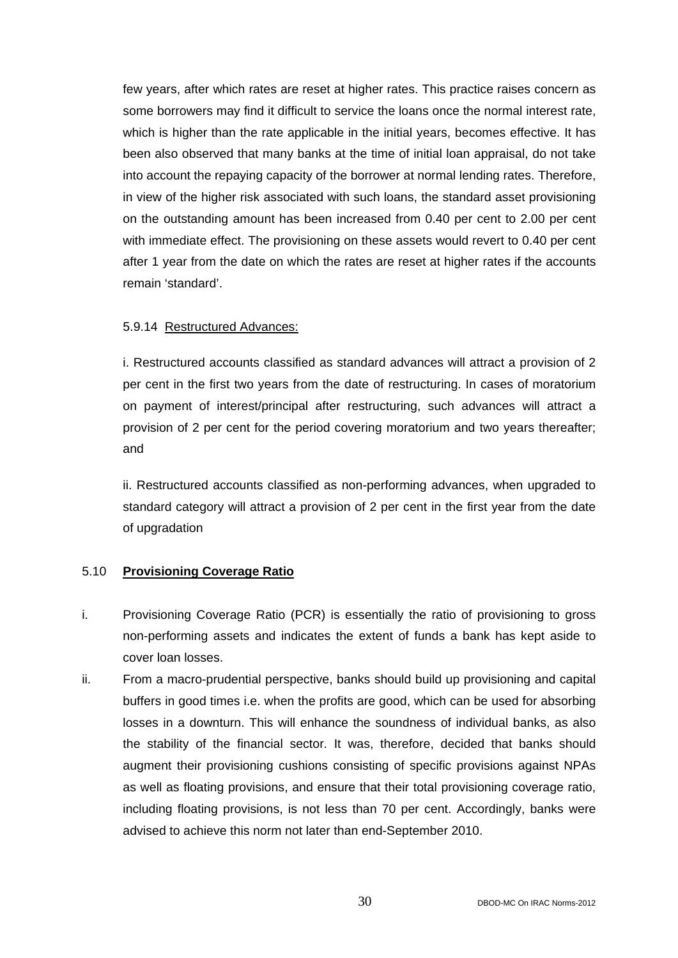few years, after which rates are reset at higher rates. This practice raises concern as some borrowers may find it difficult to service the loans once the normal interest rate, which is higher than the rate applicable in the initial years, becomes effective. It has been also observed that many banks at the time of initial loan appraisal, do not take into account the repaying capacity of the borrower at normal lending rates. Therefore, in view of the higher risk associated with such loans, the standard asset provisioning on the outstanding amount has been increased from 0.40 per cent to 2.00 per cent with immediate effect. The provisioning on these assets would revert to 0.40 per cent after 1 year from the date on which the rates are reset at higher rates if the accounts remain 'standard'.

#### 5.9.14 Restructured Advances:

i. Restructured accounts classified as standard advances will attract a provision of 2 per cent in the first two years from the date of restructuring. In cases of moratorium on payment of interest/principal after restructuring, such advances will attract a provision of 2 per cent for the period covering moratorium and two years thereafter; and

ii. Restructured accounts classified as non-performing advances, when upgraded to standard category will attract a provision of 2 per cent in the first year from the date of upgradation

### 5.10 **Provisioning Coverage Ratio**

- i. Provisioning Coverage Ratio (PCR) is essentially the ratio of provisioning to gross non-performing assets and indicates the extent of funds a bank has kept aside to cover loan losses.
- ii. From a macro-prudential perspective, banks should build up provisioning and capital buffers in good times i.e. when the profits are good, which can be used for absorbing losses in a downturn. This will enhance the soundness of individual banks, as also the stability of the financial sector. It was, therefore, decided that banks should augment their provisioning cushions consisting of specific provisions against NPAs as well as floating provisions, and ensure that their total provisioning coverage ratio, including floating provisions, is not less than 70 per cent. Accordingly, banks were advised to achieve this norm not later than end-September 2010.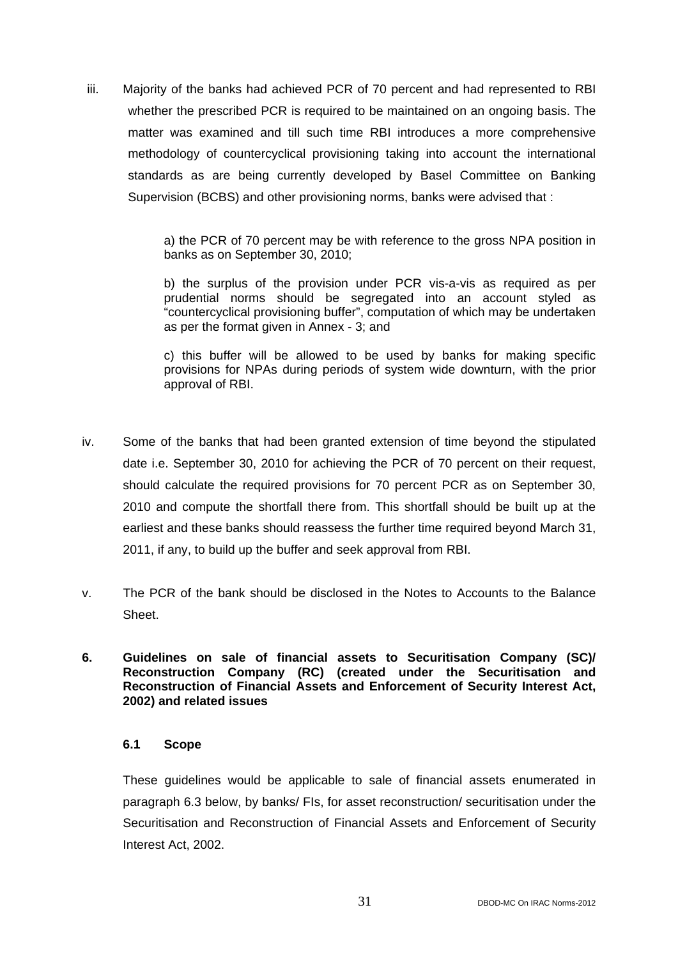iii. Majority of the banks had achieved PCR of 70 percent and had represented to RBI whether the prescribed PCR is required to be maintained on an ongoing basis. The matter was examined and till such time RBI introduces a more comprehensive methodology of countercyclical provisioning taking into account the international standards as are being currently developed by Basel Committee on Banking Supervision (BCBS) and other provisioning norms, banks were advised that :

> a) the PCR of 70 percent may be with reference to the gross NPA position in banks as on September 30, 2010;

> b) the surplus of the provision under PCR vis-a-vis as required as per prudential norms should be segregated into an account styled as "countercyclical provisioning buffer", computation of which may be undertaken as per the format given in Annex - 3; and

> c) this buffer will be allowed to be used by banks for making specific provisions for NPAs during periods of system wide downturn, with the prior approval of RBI.

- iv. Some of the banks that had been granted extension of time beyond the stipulated date i.e. September 30, 2010 for achieving the PCR of 70 percent on their request, should calculate the required provisions for 70 percent PCR as on September 30, 2010 and compute the shortfall there from. This shortfall should be built up at the earliest and these banks should reassess the further time required beyond March 31, 2011, if any, to build up the buffer and seek approval from RBI.
- v. The PCR of the bank should be disclosed in the Notes to Accounts to the Balance Sheet.

#### **6. Guidelines on sale of financial assets to Securitisation Company (SC)/ Reconstruction Company (RC) (created under the Securitisation and Reconstruction of Financial Assets and Enforcement of Security Interest Act, 2002) and related issues**

#### **6.1 Scope**

These guidelines would be applicable to sale of financial assets enumerated in paragraph 6.3 below, by banks/ FIs, for asset reconstruction/ securitisation under the Securitisation and Reconstruction of Financial Assets and Enforcement of Security Interest Act, 2002.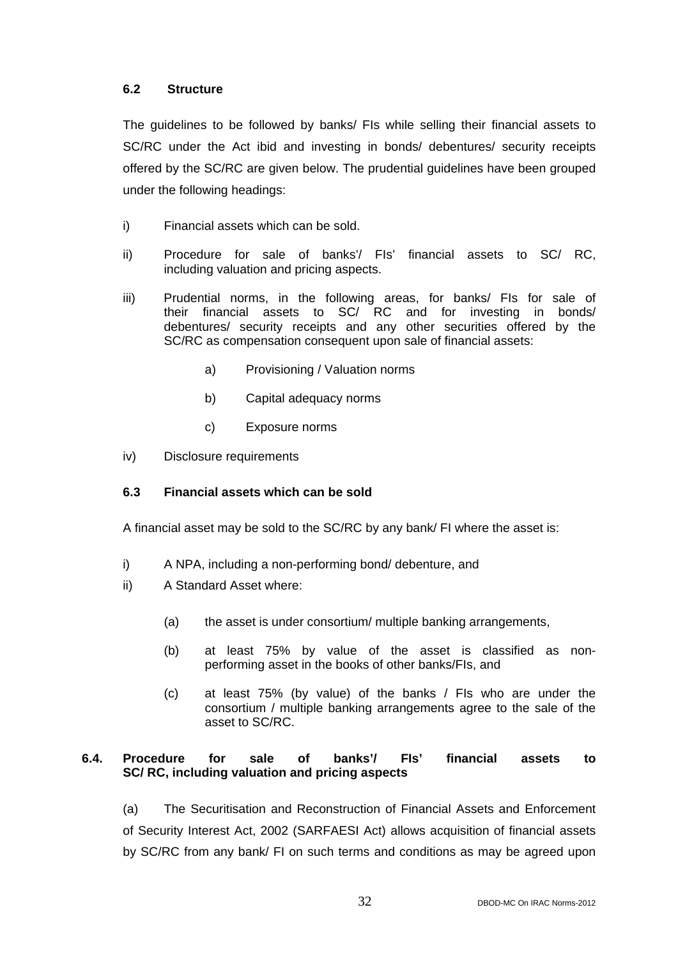### **6.2 Structure**

The guidelines to be followed by banks/ FIs while selling their financial assets to SC/RC under the Act ibid and investing in bonds/ debentures/ security receipts offered by the SC/RC are given below. The prudential guidelines have been grouped under the following headings:

- i) Financial assets which can be sold.
- ii) Procedure for sale of banks'/ FIs' financial assets to SC/ RC, including valuation and pricing aspects.
- iii) Prudential norms, in the following areas, for banks/ FIs for sale of their financial assets to SC/ RC and for investing in bonds/ debentures/ security receipts and any other securities offered by the SC/RC as compensation consequent upon sale of financial assets:
	- a) Provisioning / Valuation norms
	- b) Capital adequacy norms
	- c) Exposure norms
- iv) Disclosure requirements

### **6.3 Financial assets which can be sold**

A financial asset may be sold to the SC/RC by any bank/ FI where the asset is:

- i) A NPA, including a non-performing bond/ debenture, and
- ii) A Standard Asset where:
	- (a) the asset is under consortium/ multiple banking arrangements,
	- (b) at least 75% by value of the asset is classified as non performing asset in the books of other banks/FIs, and
	- (c) at least 75% (by value) of the banks / FIs who are under the consortium / multiple banking arrangements agree to the sale of the asset to SC/RC.

### **6.4. Procedure for sale of banks'/ FIs' financial assets to SC/ RC, including valuation and pricing aspects**

(a) The Securitisation and Reconstruction of Financial Assets and Enforcement of Security Interest Act, 2002 (SARFAESI Act) allows acquisition of financial assets by SC/RC from any bank/ FI on such terms and conditions as may be agreed upon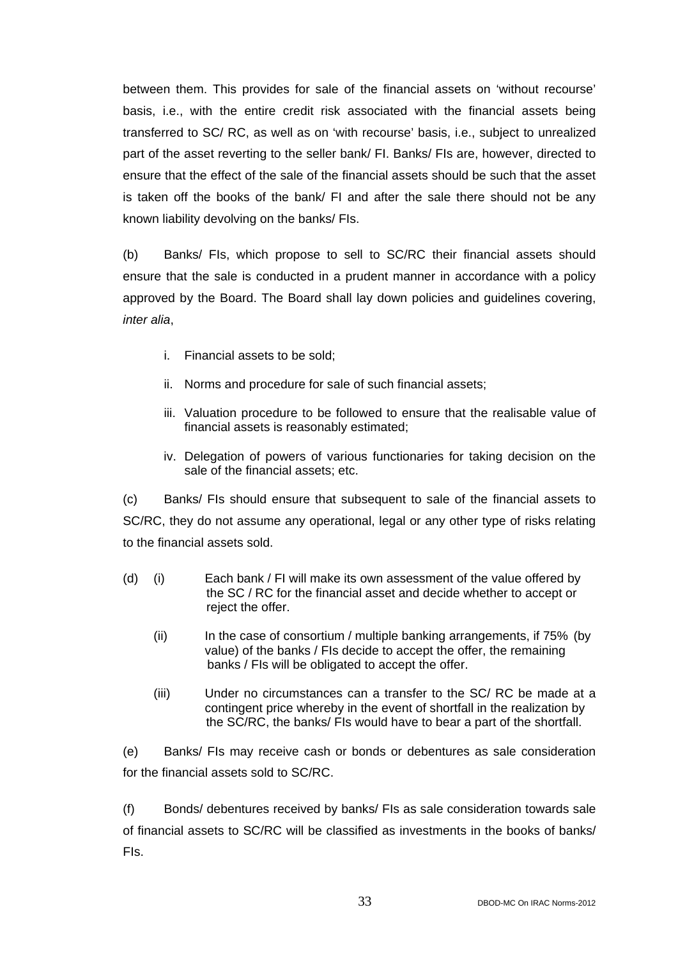between them. This provides for sale of the financial assets on 'without recourse' basis, i.e., with the entire credit risk associated with the financial assets being transferred to SC/ RC, as well as on 'with recourse' basis, i.e., subject to unrealized part of the asset reverting to the seller bank/ FI. Banks/ FIs are, however, directed to ensure that the effect of the sale of the financial assets should be such that the asset is taken off the books of the bank/ FI and after the sale there should not be any known liability devolving on the banks/ FIs.

(b) Banks/ FIs, which propose to sell to SC/RC their financial assets should ensure that the sale is conducted in a prudent manner in accordance with a policy approved by the Board. The Board shall lay down policies and guidelines covering, *inter alia*,

- i. Financial assets to be sold;
- ii. Norms and procedure for sale of such financial assets;
- iii. Valuation procedure to be followed to ensure that the realisable value of financial assets is reasonably estimated;
- iv. Delegation of powers of various functionaries for taking decision on the sale of the financial assets; etc.

(c) Banks/ FIs should ensure that subsequent to sale of the financial assets to SC/RC, they do not assume any operational, legal or any other type of risks relating to the financial assets sold.

- (d) (i) Each bank / FI will make its own assessment of the value offered by the SC / RC for the financial asset and decide whether to accept or reject the offer.
	- (ii) In the case of consortium / multiple banking arrangements, if 75% (by value) of the banks / FIs decide to accept the offer, the remaining banks / FIs will be obligated to accept the offer.
	- (iii) Under no circumstances can a transfer to the SC/ RC be made at a contingent price whereby in the event of shortfall in the realization by the SC/RC, the banks/ FIs would have to bear a part of the shortfall.

(e) Banks/ FIs may receive cash or bonds or debentures as sale consideration for the financial assets sold to SC/RC.

(f) Bonds/ debentures received by banks/ FIs as sale consideration towards sale of financial assets to SC/RC will be classified as investments in the books of banks/ FIs.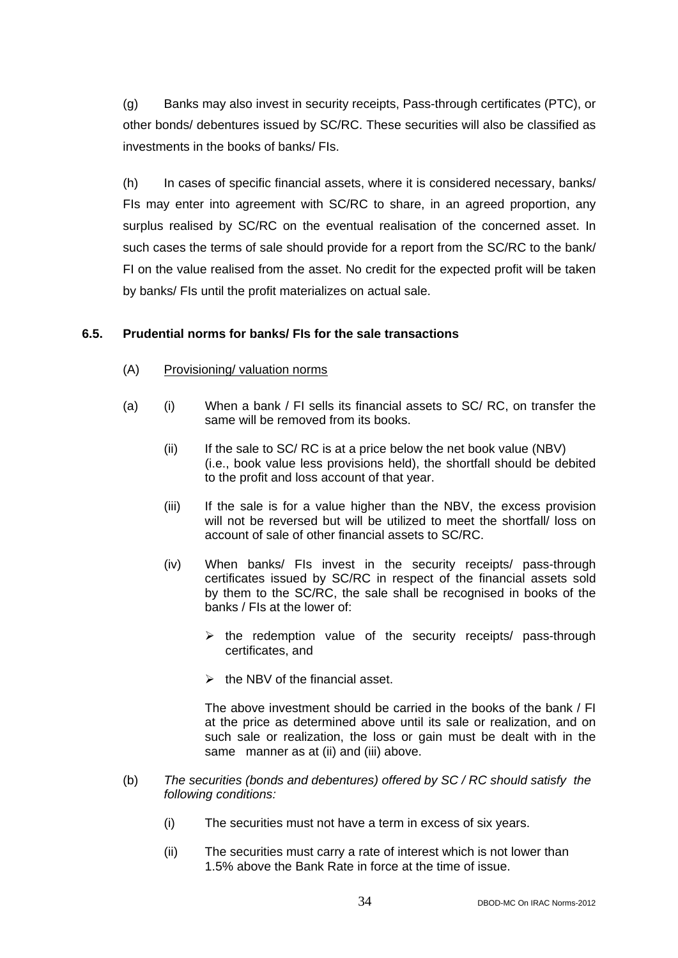(g) Banks may also invest in security receipts, Pass-through certificates (PTC), or other bonds/ debentures issued by SC/RC. These securities will also be classified as investments in the books of banks/ FIs.

(h) In cases of specific financial assets, where it is considered necessary, banks/ FIs may enter into agreement with SC/RC to share, in an agreed proportion, any surplus realised by SC/RC on the eventual realisation of the concerned asset. In such cases the terms of sale should provide for a report from the SC/RC to the bank/ FI on the value realised from the asset. No credit for the expected profit will be taken by banks/ FIs until the profit materializes on actual sale.

### **6.5. Prudential norms for banks/ FIs for the sale transactions**

- (A) Provisioning/ valuation norms
- (a) (i) When a bank  $/$  FI sells its financial assets to SC $/$  RC, on transfer the same will be removed from its books.
	- (ii) If the sale to SC/ RC is at a price below the net book value (NBV) (i.e., book value less provisions held), the shortfall should be debited to the profit and loss account of that year.
	- (iii) If the sale is for a value higher than the NBV, the excess provision will not be reversed but will be utilized to meet the shortfall/ loss on account of sale of other financial assets to SC/RC.
	- (iv) When banks/ FIs invest in the security receipts/ pass-through certificates issued by SC/RC in respect of the financial assets sold by them to the SC/RC, the sale shall be recognised in books of the banks / FIs at the lower of:
		- $\triangleright$  the redemption value of the security receipts/ pass-through certificates, and
		- $\triangleright$  the NBV of the financial asset.

The above investment should be carried in the books of the bank / FI at the price as determined above until its sale or realization, and on such sale or realization, the loss or gain must be dealt with in the same manner as at (ii) and (iii) above.

- (b) *The securities (bonds and debentures) offered by SC / RC should satisfy the following conditions:* 
	- (i) The securities must not have a term in excess of six years.
	- (ii) The securities must carry a rate of interest which is not lower than 1.5% above the Bank Rate in force at the time of issue.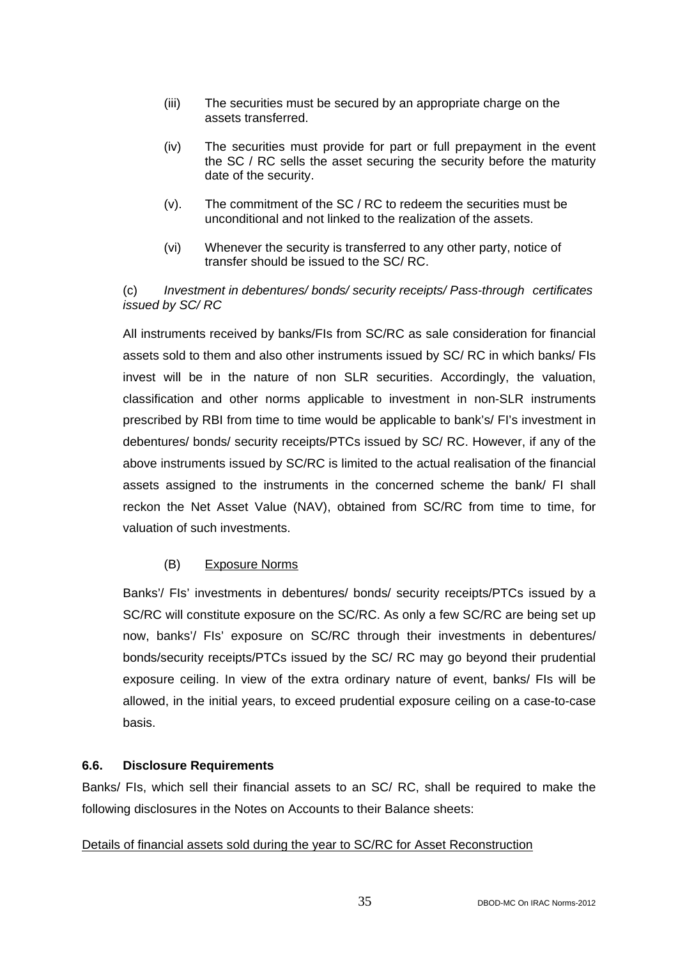- (iii) The securities must be secured by an appropriate charge on the assets transferred.
- (iv) The securities must provide for part or full prepayment in the event the SC / RC sells the asset securing the security before the maturity date of the security.
- (v). The commitment of the SC / RC to redeem the securities must be unconditional and not linked to the realization of the assets.
- (vi) Whenever the security is transferred to any other party, notice of transfer should be issued to the SC/ RC.

### (c) *Investment in debentures/ bonds/ security receipts/ Pass-through certificates issued by SC/ RC*

All instruments received by banks/FIs from SC/RC as sale consideration for financial assets sold to them and also other instruments issued by SC/ RC in which banks/ FIs invest will be in the nature of non SLR securities. Accordingly, the valuation, classification and other norms applicable to investment in non-SLR instruments prescribed by RBI from time to time would be applicable to bank's/ FI's investment in debentures/ bonds/ security receipts/PTCs issued by SC/ RC. However, if any of the above instruments issued by SC/RC is limited to the actual realisation of the financial assets assigned to the instruments in the concerned scheme the bank/ FI shall reckon the Net Asset Value (NAV), obtained from SC/RC from time to time, for valuation of such investments.

## (B) Exposure Norms

Banks'/ FIs' investments in debentures/ bonds/ security receipts/PTCs issued by a SC/RC will constitute exposure on the SC/RC. As only a few SC/RC are being set up now, banks'/ FIs' exposure on SC/RC through their investments in debentures/ bonds/security receipts/PTCs issued by the SC/ RC may go beyond their prudential exposure ceiling. In view of the extra ordinary nature of event, banks/ FIs will be allowed, in the initial years, to exceed prudential exposure ceiling on a case-to-case basis.

### **6.6. Disclosure Requirements**

Banks/ FIs, which sell their financial assets to an SC/ RC, shall be required to make the following disclosures in the Notes on Accounts to their Balance sheets:

### Details of financial assets sold during the year to SC/RC for Asset Reconstruction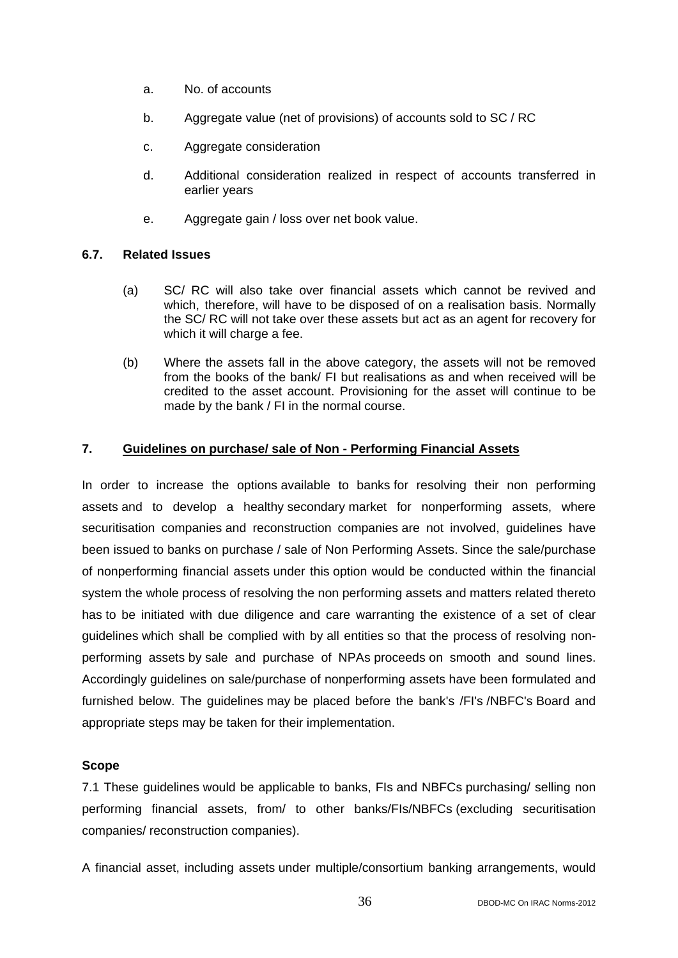- a. No. of accounts
- b. Aggregate value (net of provisions) of accounts sold to SC / RC
- c. Aggregate consideration
- d. Additional consideration realized in respect of accounts transferred in earlier years
- e. Aggregate gain / loss over net book value.

#### **6.7. Related Issues**

- (a) SC/ RC will also take over financial assets which cannot be revived and which, therefore, will have to be disposed of on a realisation basis. Normally the SC/ RC will not take over these assets but act as an agent for recovery for which it will charge a fee.
- (b) Where the assets fall in the above category, the assets will not be removed from the books of the bank/ FI but realisations as and when received will be credited to the asset account. Provisioning for the asset will continue to be made by the bank / FI in the normal course.

### **7. Guidelines on purchase/ sale of Non - Performing Financial Assets**

In order to increase the options available to banks for resolving their non performing assets and to develop a healthy secondary market for nonperforming assets, where securitisation companies and reconstruction companies are not involved, guidelines have been issued to banks on purchase / sale of Non Performing Assets. Since the sale/purchase of nonperforming financial assets under this option would be conducted within the financial system the whole process of resolving the non performing assets and matters related thereto has to be initiated with due diligence and care warranting the existence of a set of clear guidelines which shall be complied with by all entities so that the process of resolving nonperforming assets by sale and purchase of NPAs proceeds on smooth and sound lines. Accordingly guidelines on sale/purchase of nonperforming assets have been formulated and furnished below. The guidelines may be placed before the bank's /FI's /NBFC's Board and appropriate steps may be taken for their implementation.

#### **Scope**

7.1 These guidelines would be applicable to banks, FIs and NBFCs purchasing/ selling non performing financial assets, from/ to other banks/FIs/NBFCs (excluding securitisation companies/ reconstruction companies).

A financial asset, including assets under multiple/consortium banking arrangements, would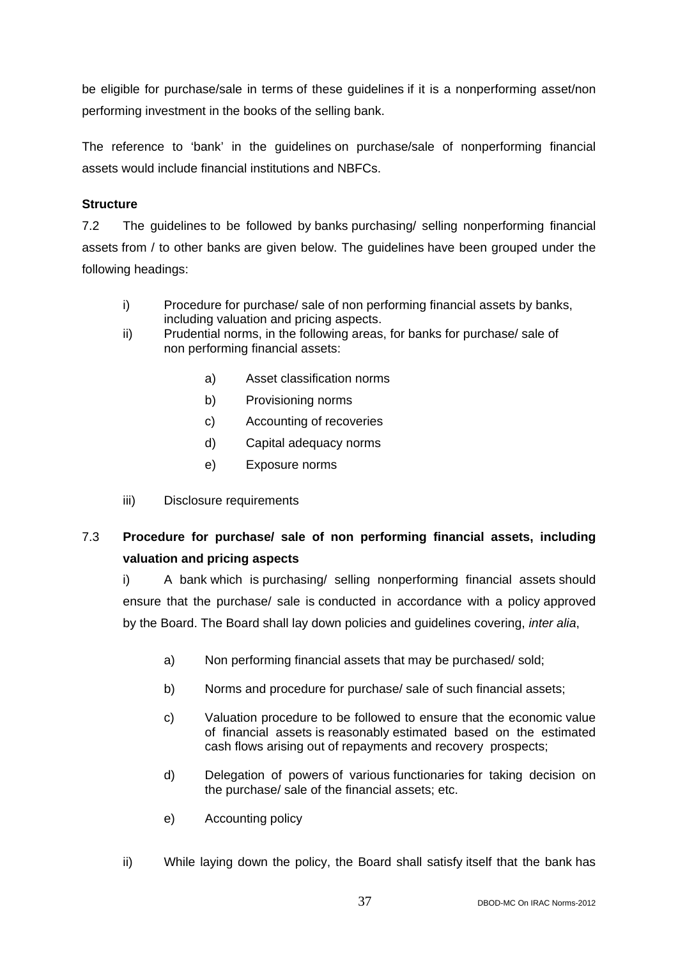be eligible for purchase/sale in terms of these guidelines if it is a nonperforming asset/non performing investment in the books of the selling bank.

The reference to 'bank' in the guidelines on purchase/sale of nonperforming financial assets would include financial institutions and NBFCs.

## **Structure**

7.2 The guidelines to be followed by banks purchasing/ selling nonperforming financial assets from / to other banks are given below. The guidelines have been grouped under the following headings:

- i) Procedure for purchase/ sale of non performing financial assets by banks, including valuation and pricing aspects.
- ii) Prudential norms, in the following areas, for banks for purchase/ sale of non performing financial assets:
	- a) Asset classification norms
	- b) Provisioning norms
	- c) Accounting of recoveries
	- d) Capital adequacy norms
	- e) Exposure norms
- iii) Disclosure requirements

# 7.3 **Procedure for purchase/ sale of non performing financial assets, including valuation and pricing aspects**

i) A bank which is purchasing/ selling nonperforming financial assets should ensure that the purchase/ sale is conducted in accordance with a policy approved by the Board. The Board shall lay down policies and guidelines covering, *inter alia*,

- a) Non performing financial assets that may be purchased/ sold;
- b) Norms and procedure for purchase/ sale of such financial assets;
- c) Valuation procedure to be followed to ensure that the economic value of financial assets is reasonably estimated based on the estimated cash flows arising out of repayments and recovery prospects;
- d) Delegation of powers of various functionaries for taking decision on the purchase/ sale of the financial assets; etc.
- e) Accounting policy
- ii) While laying down the policy, the Board shall satisfy itself that the bank has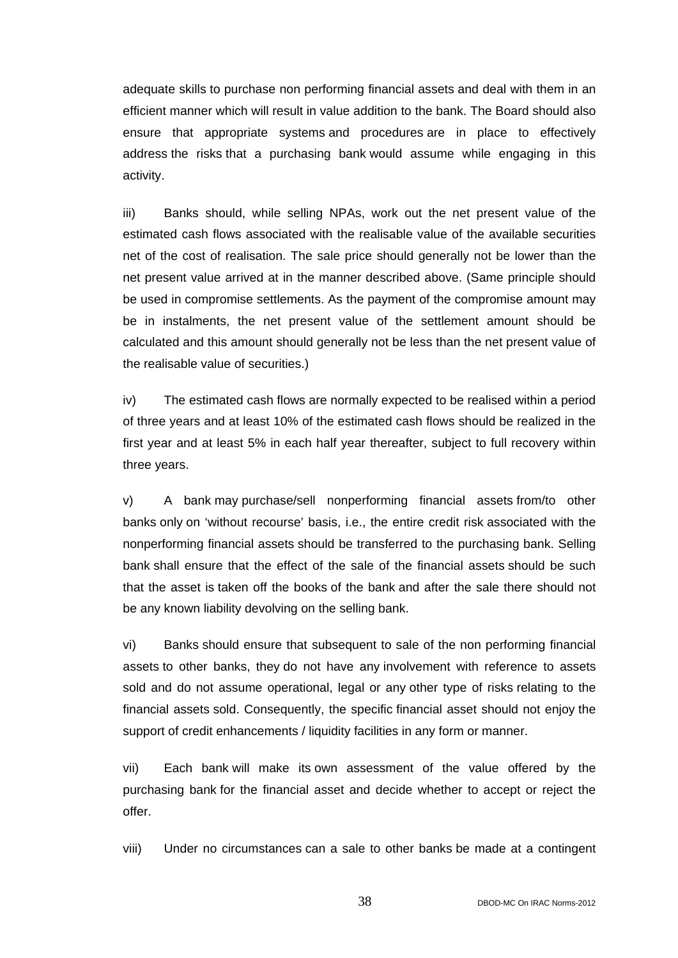adequate skills to purchase non performing financial assets and deal with them in an efficient manner which will result in value addition to the bank. The Board should also ensure that appropriate systems and procedures are in place to effectively address the risks that a purchasing bank would assume while engaging in this activity.

iii) Banks should, while selling NPAs, work out the net present value of the estimated cash flows associated with the realisable value of the available securities net of the cost of realisation. The sale price should generally not be lower than the net present value arrived at in the manner described above. (Same principle should be used in compromise settlements. As the payment of the compromise amount may be in instalments, the net present value of the settlement amount should be calculated and this amount should generally not be less than the net present value of the realisable value of securities.)

iv) The estimated cash flows are normally expected to be realised within a period of three years and at least 10% of the estimated cash flows should be realized in the first year and at least 5% in each half year thereafter, subject to full recovery within three years.

v) A bank may purchase/sell nonperforming financial assets from/to other banks only on 'without recourse' basis, i.e., the entire credit risk associated with the nonperforming financial assets should be transferred to the purchasing bank. Selling bank shall ensure that the effect of the sale of the financial assets should be such that the asset is taken off the books of the bank and after the sale there should not be any known liability devolving on the selling bank.

vi) Banks should ensure that subsequent to sale of the non performing financial assets to other banks, they do not have any involvement with reference to assets sold and do not assume operational, legal or any other type of risks relating to the financial assets sold. Consequently, the specific financial asset should not enjoy the support of credit enhancements / liquidity facilities in any form or manner.

vii) Each bank will make its own assessment of the value offered by the purchasing bank for the financial asset and decide whether to accept or reject the offer.

viii) Under no circumstances can a sale to other banks be made at a contingent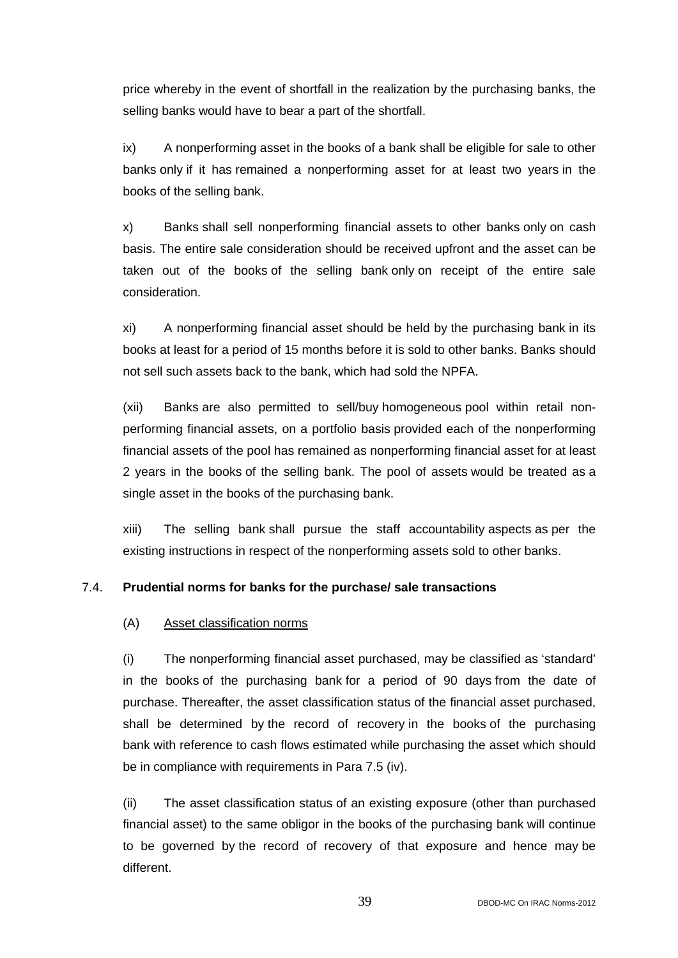price whereby in the event of shortfall in the realization by the purchasing banks, the selling banks would have to bear a part of the shortfall.

ix) A nonperforming asset in the books of a bank shall be eligible for sale to other banks only if it has remained a nonperforming asset for at least two years in the books of the selling bank.

x) Banks shall sell nonperforming financial assets to other banks only on cash basis. The entire sale consideration should be received upfront and the asset can be taken out of the books of the selling bank only on receipt of the entire sale consideration.

xi) A nonperforming financial asset should be held by the purchasing bank in its books at least for a period of 15 months before it is sold to other banks. Banks should not sell such assets back to the bank, which had sold the NPFA.

(xii) Banks are also permitted to sell/buy homogeneous pool within retail nonperforming financial assets, on a portfolio basis provided each of the nonperforming financial assets of the pool has remained as nonperforming financial asset for at least 2 years in the books of the selling bank. The pool of assets would be treated as a single asset in the books of the purchasing bank.

xiii) The selling bank shall pursue the staff accountability aspects as per the existing instructions in respect of the nonperforming assets sold to other banks.

## 7.4. **Prudential norms for banks for the purchase/ sale transactions**

### (A) Asset classification norms

(i) The nonperforming financial asset purchased, may be classified as 'standard' in the books of the purchasing bank for a period of 90 days from the date of purchase. Thereafter, the asset classification status of the financial asset purchased, shall be determined by the record of recovery in the books of the purchasing bank with reference to cash flows estimated while purchasing the asset which should be in compliance with requirements in Para 7.5 (iv).

(ii) The asset classification status of an existing exposure (other than purchased financial asset) to the same obligor in the books of the purchasing bank will continue to be governed by the record of recovery of that exposure and hence may be different.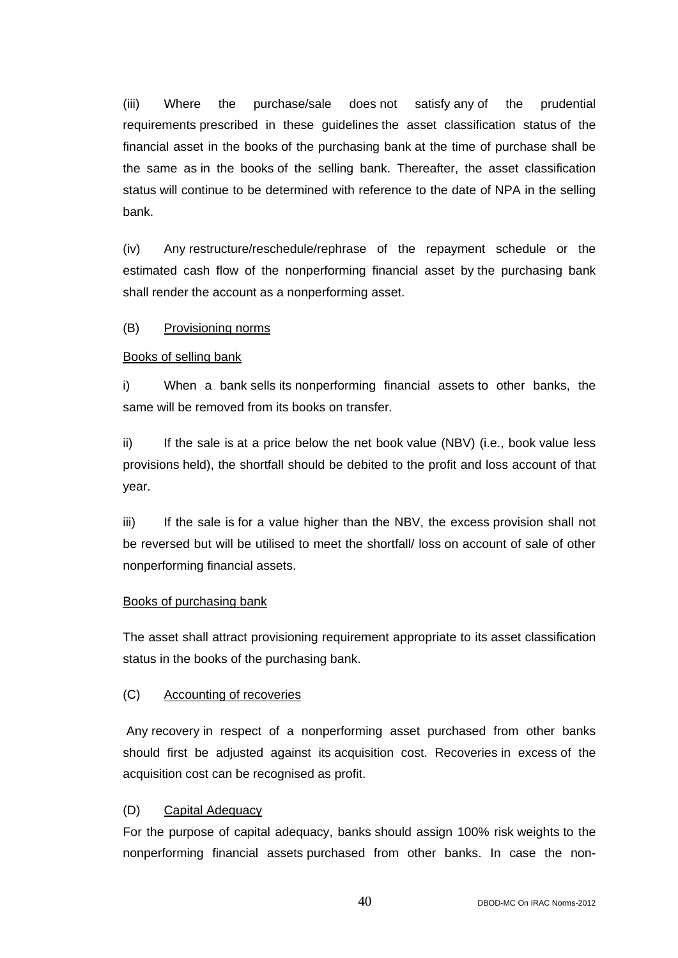(iii) Where the purchase/sale does not satisfy any of the prudential requirements prescribed in these guidelines the asset classification status of the financial asset in the books of the purchasing bank at the time of purchase shall be the same as in the books of the selling bank. Thereafter, the asset classification status will continue to be determined with reference to the date of NPA in the selling bank.

(iv) Any restructure/reschedule/rephrase of the repayment schedule or the estimated cash flow of the nonperforming financial asset by the purchasing bank shall render the account as a nonperforming asset.

#### (B) Provisioning norms

#### Books of selling bank

 i) When a bank sells its nonperforming financial assets to other banks, the same will be removed from its books on transfer.

ii) If the sale is at a price below the net book value (NBV) (i.e., book value less provisions held), the shortfall should be debited to the profit and loss account of that year.

iii) If the sale is for a value higher than the NBV, the excess provision shall not be reversed but will be utilised to meet the shortfall/ loss on account of sale of other nonperforming financial assets.

### Books of purchasing bank

The asset shall attract provisioning requirement appropriate to its asset classification status in the books of the purchasing bank.

### (C) Accounting of recoveries

 Any recovery in respect of a nonperforming asset purchased from other banks should first be adjusted against its acquisition cost. Recoveries in excess of the acquisition cost can be recognised as profit.

### (D) Capital Adequacy

For the purpose of capital adequacy, banks should assign 100% risk weights to the nonperforming financial assets purchased from other banks. In case the non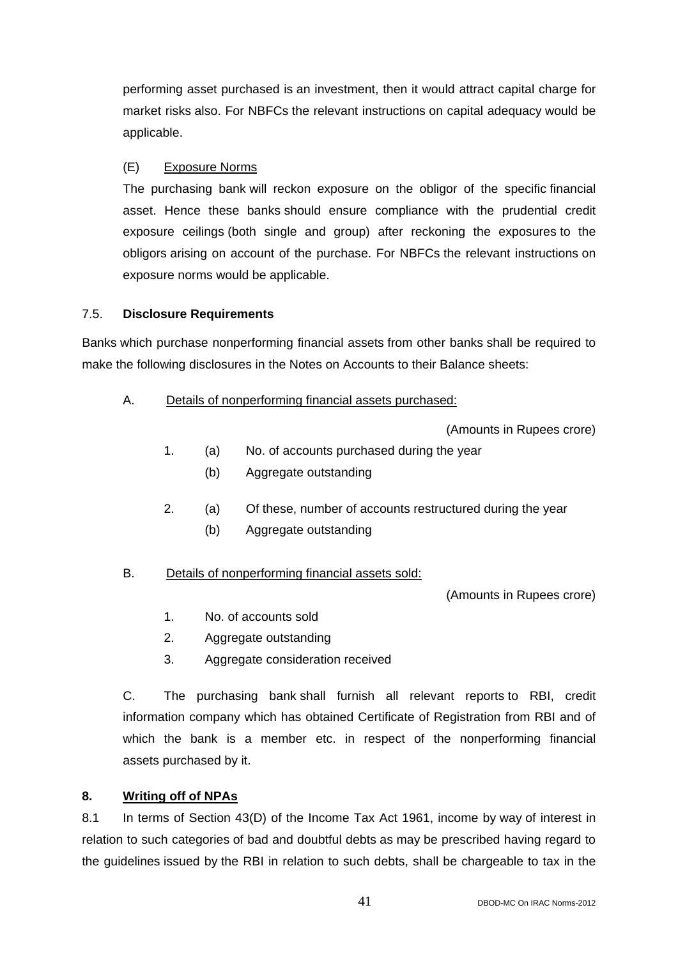performing asset purchased is an investment, then it would attract capital charge for market risks also. For NBFCs the relevant instructions on capital adequacy would be applicable.

## (E) Exposure Norms

The purchasing bank will reckon exposure on the obligor of the specific financial asset. Hence these banks should ensure compliance with the prudential credit exposure ceilings (both single and group) after reckoning the exposures to the obligors arising on account of the purchase. For NBFCs the relevant instructions on exposure norms would be applicable.

### 7.5. **Disclosure Requirements**

Banks which purchase nonperforming financial assets from other banks shall be required to make the following disclosures in the Notes on Accounts to their Balance sheets:

### A. Details of nonperforming financial assets purchased:

(Amounts in Rupees crore)

- 1. (a) No. of accounts purchased during the year
	- (b) Aggregate outstanding
- 2. (a) Of these, number of accounts restructured during the year
	- (b) Aggregate outstanding

### B. Details of nonperforming financial assets sold:

(Amounts in Rupees crore)

- 1. No. of accounts sold
- 2. Aggregate outstanding
- 3. Aggregate consideration received

C. The purchasing bank shall furnish all relevant reports to RBI, credit information company which has obtained Certificate of Registration from RBI and of which the bank is a member etc. in respect of the nonperforming financial assets purchased by it.

### **8. Writing off of NPAs**

8.1 In terms of Section 43(D) of the Income Tax Act 1961, income by way of interest in relation to such categories of bad and doubtful debts as may be prescribed having regard to the guidelines issued by the RBI in relation to such debts, shall be chargeable to tax in the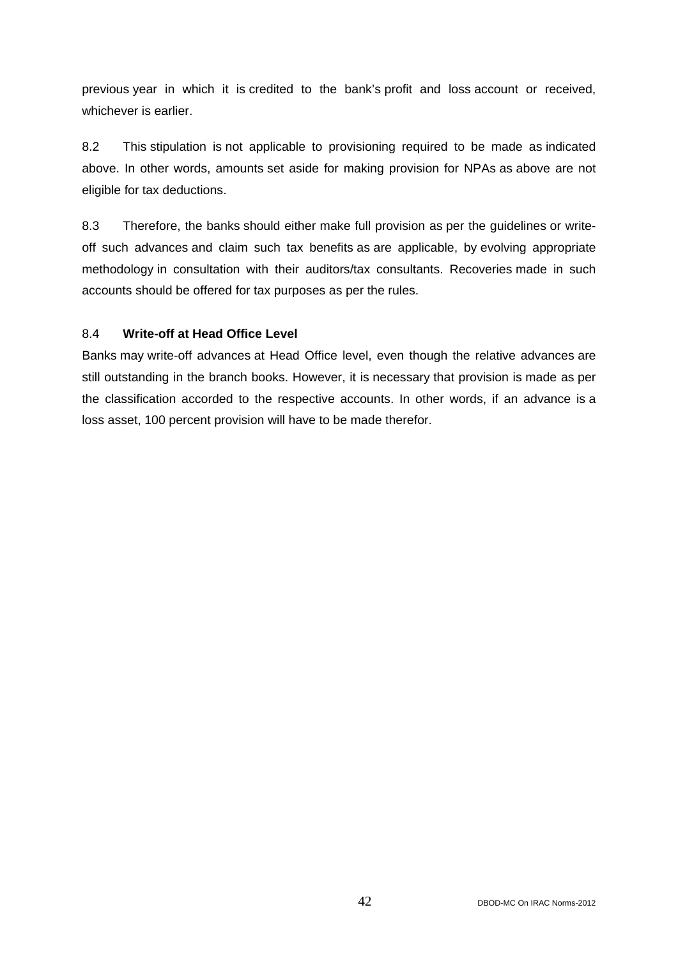previous year in which it is credited to the bank's profit and loss account or received, whichever is earlier.

8.2 This stipulation is not applicable to provisioning required to be made as indicated above. In other words, amounts set aside for making provision for NPAs as above are not eligible for tax deductions.

8.3 Therefore, the banks should either make full provision as per the guidelines or writeoff such advances and claim such tax benefits as are applicable, by evolving appropriate methodology in consultation with their auditors/tax consultants. Recoveries made in such accounts should be offered for tax purposes as per the rules.

### 8.4 **Write-off at Head Office Level**

Banks may write-off advances at Head Office level, even though the relative advances are still outstanding in the branch books. However, it is necessary that provision is made as per the classification accorded to the respective accounts. In other words, if an advance is a loss asset, 100 percent provision will have to be made therefor.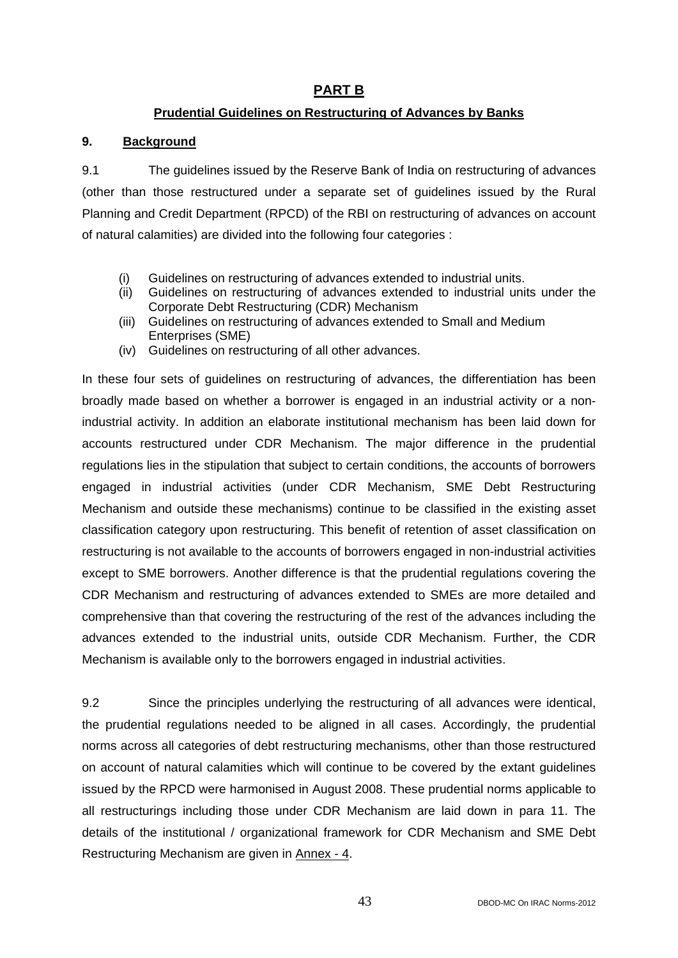# **PART B**

## **Prudential Guidelines on Restructuring of Advances by Banks**

### **9. Background**

9.1 The guidelines issued by the Reserve Bank of India on restructuring of advances (other than those restructured under a separate set of guidelines issued by the Rural Planning and Credit Department (RPCD) of the RBI on restructuring of advances on account of natural calamities) are divided into the following four categories :

- (i) Guidelines on restructuring of advances extended to industrial units.
- (ii) Guidelines on restructuring of advances extended to industrial units under the Corporate Debt Restructuring (CDR) Mechanism
- (iii) Guidelines on restructuring of advances extended to Small and Medium Enterprises (SME)
- (iv) Guidelines on restructuring of all other advances.

In these four sets of guidelines on restructuring of advances, the differentiation has been broadly made based on whether a borrower is engaged in an industrial activity or a nonindustrial activity. In addition an elaborate institutional mechanism has been laid down for accounts restructured under CDR Mechanism. The major difference in the prudential regulations lies in the stipulation that subject to certain conditions, the accounts of borrowers engaged in industrial activities (under CDR Mechanism, SME Debt Restructuring Mechanism and outside these mechanisms) continue to be classified in the existing asset classification category upon restructuring. This benefit of retention of asset classification on restructuring is not available to the accounts of borrowers engaged in non-industrial activities except to SME borrowers. Another difference is that the prudential regulations covering the CDR Mechanism and restructuring of advances extended to SMEs are more detailed and comprehensive than that covering the restructuring of the rest of the advances including the advances extended to the industrial units, outside CDR Mechanism. Further, the CDR Mechanism is available only to the borrowers engaged in industrial activities.

9.2 Since the principles underlying the restructuring of all advances were identical, the prudential regulations needed to be aligned in all cases. Accordingly, the prudential norms across all categories of debt restructuring mechanisms, other than those restructured on account of natural calamities which will continue to be covered by the extant guidelines issued by the RPCD were harmonised in August 2008. These prudential norms applicable to all restructurings including those under CDR Mechanism are laid down in para 11. The details of the institutional / organizational framework for CDR Mechanism and SME Debt Restructuring Mechanism are given in Annex - 4.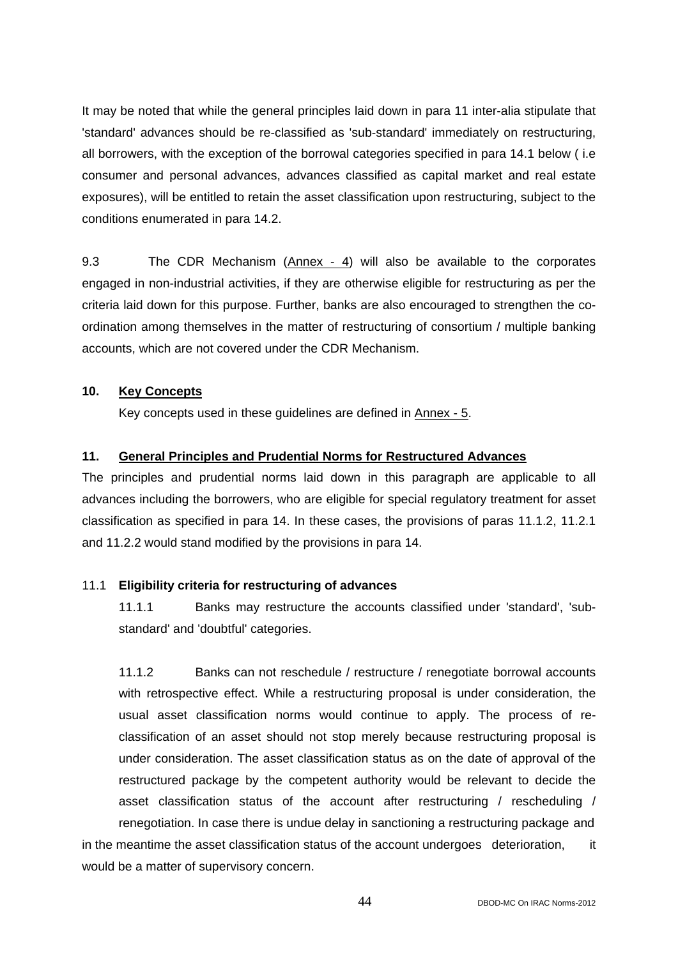It may be noted that while the general principles laid down in para 11 inter-alia stipulate that 'standard' advances should be re-classified as 'sub-standard' immediately on restructuring, all borrowers, with the exception of the borrowal categories specified in para 14.1 below ( i.e consumer and personal advances, advances classified as capital market and real estate exposures), will be entitled to retain the asset classification upon restructuring, subject to the conditions enumerated in para 14.2.

9.3 The CDR Mechanism ([Annex -](http://10.24.1.98/kmt/GetDocument.asp?PageRef=rbic/restrctrng_advbks.htm#ann1) 4) will also be available to the corporates engaged in non-industrial activities, if they are otherwise eligible for restructuring as per the criteria laid down for this purpose. Further, banks are also encouraged to strengthen the coordination among themselves in the matter of restructuring of consortium / multiple banking accounts, which are not covered under the CDR Mechanism.

### **10. Key Concepts**

Key concepts used in these guidelines are defined in [Annex -](http://10.24.1.98/kmt/GetDocument.asp?PageRef=rbic/restrctrng_advbks.htm#ann2) 5.

### **11. General Principles and Prudential Norms for Restructured Advances**

The principles and prudential norms laid down in this paragraph are applicable to all advances including the borrowers, who are eligible for special regulatory treatment for asset classification as specified in para 14. In these cases, the provisions of paras 11.1.2, 11.2.1 and 11.2.2 would stand modified by the provisions in para 14.

### 11.1 **Eligibility criteria for restructuring of advances**

 11.1.1 Banks may restructure the accounts classified under 'standard', 'sub standard' and 'doubtful' categories.

 11.1.2 Banks can not reschedule / restructure / renegotiate borrowal accounts with retrospective effect. While a restructuring proposal is under consideration, the usual asset classification norms would continue to apply. The process of re classification of an asset should not stop merely because restructuring proposal is under consideration. The asset classification status as on the date of approval of the restructured package by the competent authority would be relevant to decide the asset classification status of the account after restructuring / rescheduling / renegotiation. In case there is undue delay in sanctioning a restructuring package and in the meantime the asset classification status of the account undergoes deterioration, it would be a matter of supervisory concern.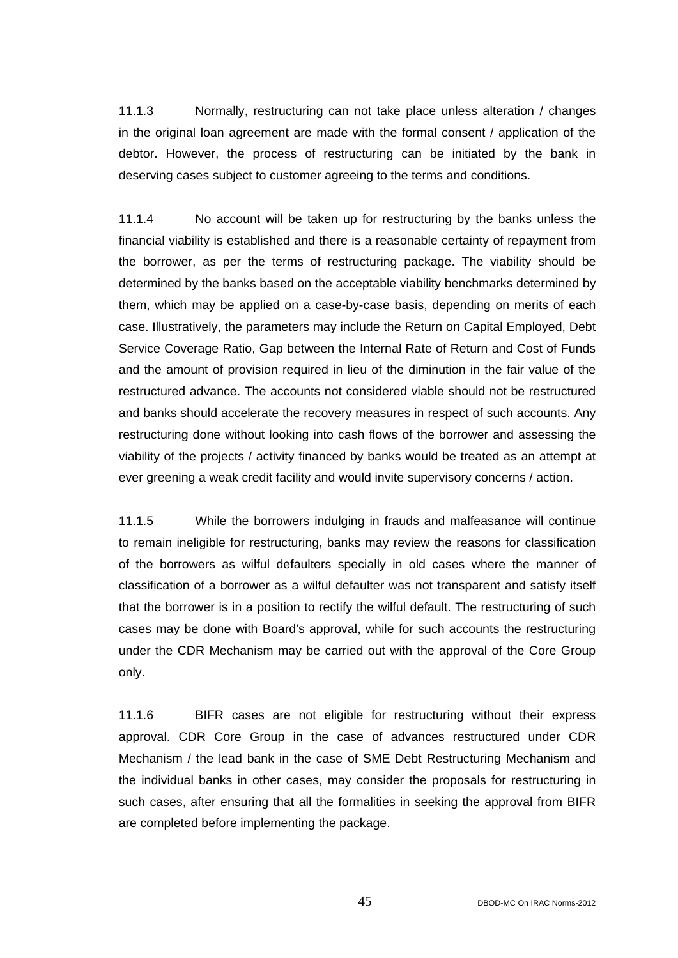11.1.3 Normally, restructuring can not take place unless alteration / changes in the original loan agreement are made with the formal consent / application of the debtor. However, the process of restructuring can be initiated by the bank in deserving cases subject to customer agreeing to the terms and conditions.

11.1.4 No account will be taken up for restructuring by the banks unless the financial viability is established and there is a reasonable certainty of repayment from the borrower, as per the terms of restructuring package. The viability should be determined by the banks based on the acceptable viability benchmarks determined by them, which may be applied on a case-by-case basis, depending on merits of each case. Illustratively, the parameters may include the Return on Capital Employed, Debt Service Coverage Ratio, Gap between the Internal Rate of Return and Cost of Funds and the amount of provision required in lieu of the diminution in the fair value of the restructured advance. The accounts not considered viable should not be restructured and banks should accelerate the recovery measures in respect of such accounts. Any restructuring done without looking into cash flows of the borrower and assessing the viability of the projects / activity financed by banks would be treated as an attempt at ever greening a weak credit facility and would invite supervisory concerns / action.

11.1.5 While the borrowers indulging in frauds and malfeasance will continue to remain ineligible for restructuring, banks may review the reasons for classification of the borrowers as wilful defaulters specially in old cases where the manner of classification of a borrower as a wilful defaulter was not transparent and satisfy itself that the borrower is in a position to rectify the wilful default. The restructuring of such cases may be done with Board's approval, while for such accounts the restructuring under the CDR Mechanism may be carried out with the approval of the Core Group only.

11.1.6 BIFR cases are not eligible for restructuring without their express approval. CDR Core Group in the case of advances restructured under CDR Mechanism / the lead bank in the case of SME Debt Restructuring Mechanism and the individual banks in other cases, may consider the proposals for restructuring in such cases, after ensuring that all the formalities in seeking the approval from BIFR are completed before implementing the package.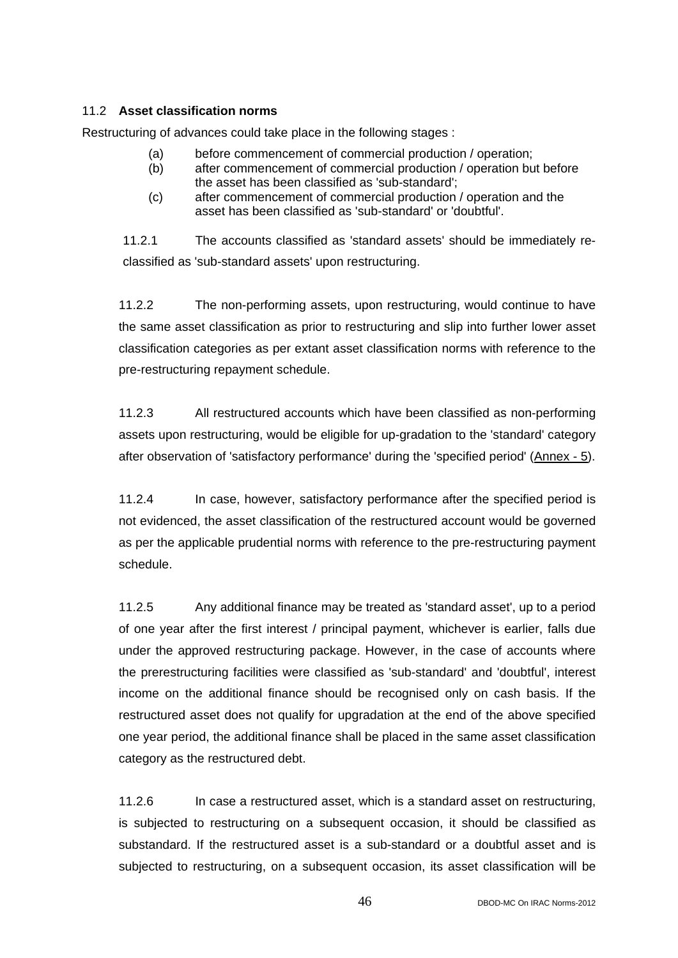### 11.2 **Asset classification norms**

Restructuring of advances could take place in the following stages :

- 
- (a) before commencement of commercial production / operation;<br>(b) after commencement of commercial production / operation bu after commencement of commercial production / operation but before the asset has been classified as 'sub-standard';
- (c) after commencement of commercial production / operation and the asset has been classified as 'sub-standard' or 'doubtful'.

 11.2.1 The accounts classified as 'standard assets' should be immediately re classified as 'sub-standard assets' upon restructuring.

11.2.2 The non-performing assets, upon restructuring, would continue to have the same asset classification as prior to restructuring and slip into further lower asset classification categories as per extant asset classification norms with reference to the pre-restructuring repayment schedule.

11.2.3 All restructured accounts which have been classified as non-performing assets upon restructuring, would be eligible for up-gradation to the 'standard' category after observation of 'satisfactory performance' during the 'specified period' [\(Annex -](http://10.24.1.98/kmt/GetDocument.asp?PageRef=rbic/restrctrng_advbks.htm#ann2) 5).

11.2.4 In case, however, satisfactory performance after the specified period is not evidenced, the asset classification of the restructured account would be governed as per the applicable prudential norms with reference to the pre-restructuring payment schedule.

11.2.5 Any additional finance may be treated as 'standard asset', up to a period of one year after the first interest / principal payment, whichever is earlier, falls due under the approved restructuring package. However, in the case of accounts where the prerestructuring facilities were classified as 'sub-standard' and 'doubtful', interest income on the additional finance should be recognised only on cash basis. If the restructured asset does not qualify for upgradation at the end of the above specified one year period, the additional finance shall be placed in the same asset classification category as the restructured debt.

11.2.6 In case a restructured asset, which is a standard asset on restructuring, is subjected to restructuring on a subsequent occasion, it should be classified as substandard. If the restructured asset is a sub-standard or a doubtful asset and is subjected to restructuring, on a subsequent occasion, its asset classification will be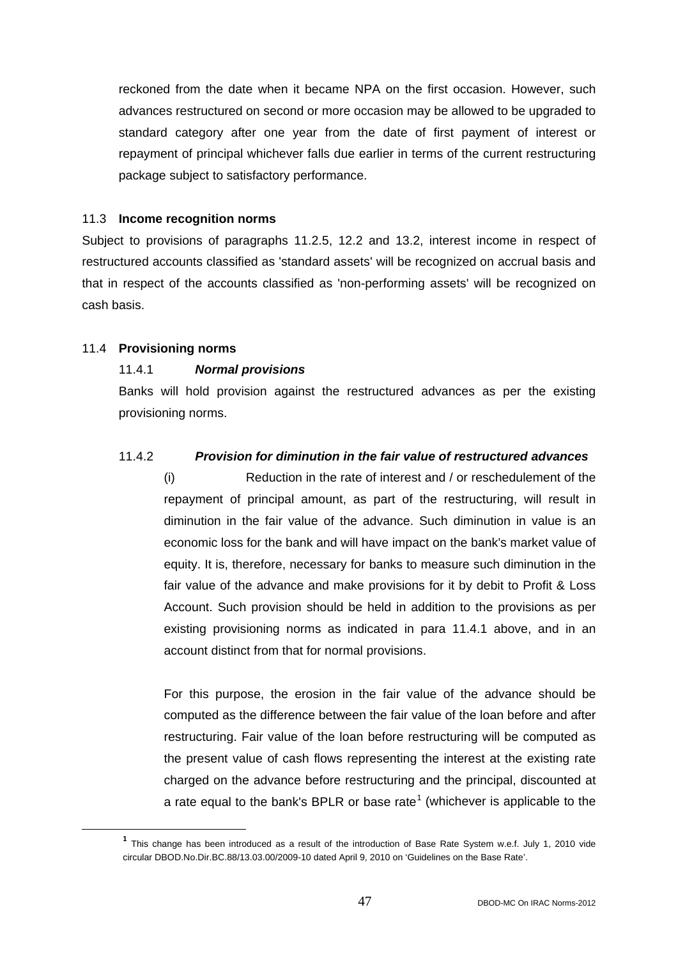reckoned from the date when it became NPA on the first occasion. However, such advances restructured on second or more occasion may be allowed to be upgraded to standard category after one year from the date of first payment of interest or repayment of principal whichever falls due earlier in terms of the current restructuring package subject to satisfactory performance.

### 11.3 **Income recognition norms**

Subject to provisions of paragraphs 11.2.5, 12.2 and 13.2, interest income in respect of restructured accounts classified as 'standard assets' will be recognized on accrual basis and that in respect of the accounts classified as 'non-performing assets' will be recognized on cash basis.

## 11.4 **Provisioning norms**

<span id="page-50-0"></span>1

## 11.4.1 *Normal provisions*

 Banks will hold provision against the restructured advances as per the existing provisioning norms.

### 11.4.2 *Provision for diminution in the fair value of restructured advances*

(i) Reduction in the rate of interest and / or reschedulement of the repayment of principal amount, as part of the restructuring, will result in diminution in the fair value of the advance. Such diminution in value is an economic loss for the bank and will have impact on the bank's market value of equity. It is, therefore, necessary for banks to measure such diminution in the fair value of the advance and make provisions for it by debit to Profit & Loss Account. Such provision should be held in addition to the provisions as per existing provisioning norms as indicated in para 11.4.1 above, and in an account distinct from that for normal provisions.

For this purpose, the erosion in the fair value of the advance should be computed as the difference between the fair value of the loan before and after restructuring. Fair value of the loan before restructuring will be computed as the present value of cash flows representing the interest at the existing rate charged on the advance before restructuring and the principal, discounted at a rate equal to the bank's BPLR or base rate<sup>[1](#page-50-0)</sup> (whichever is applicable to the

**<sup>1</sup>** This change has been introduced as a result of the introduction of Base Rate System w.e.f. July 1, 2010 vide circular DBOD.No.Dir.BC.88/13.03.00/2009-10 dated April 9, 2010 on 'Guidelines on the Base Rate'.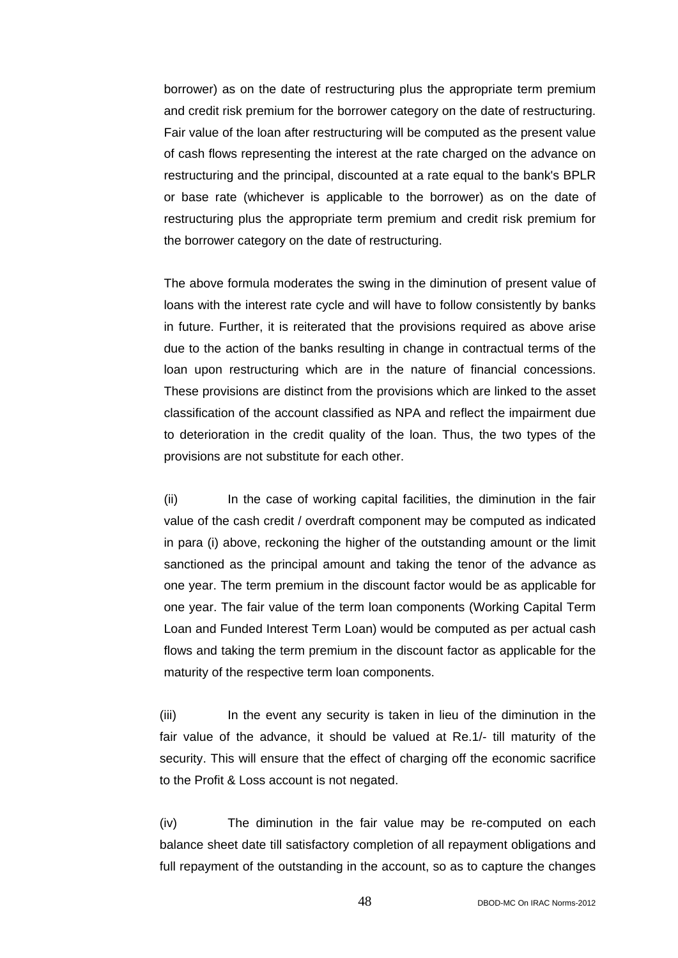borrower) as on the date of restructuring plus the appropriate term premium and credit risk premium for the borrower category on the date of restructuring. Fair value of the loan after restructuring will be computed as the present value of cash flows representing the interest at the rate charged on the advance on restructuring and the principal, discounted at a rate equal to the bank's BPLR or base rate (whichever is applicable to the borrower) as on the date of restructuring plus the appropriate term premium and credit risk premium for the borrower category on the date of restructuring.

The above formula moderates the swing in the diminution of present value of loans with the interest rate cycle and will have to follow consistently by banks in future. Further, it is reiterated that the provisions required as above arise due to the action of the banks resulting in change in contractual terms of the loan upon restructuring which are in the nature of financial concessions. These provisions are distinct from the provisions which are linked to the asset classification of the account classified as NPA and reflect the impairment due to deterioration in the credit quality of the loan. Thus, the two types of the provisions are not substitute for each other.

(ii) In the case of working capital facilities, the diminution in the fair value of the cash credit / overdraft component may be computed as indicated in para (i) above, reckoning the higher of the outstanding amount or the limit sanctioned as the principal amount and taking the tenor of the advance as one year. The term premium in the discount factor would be as applicable for one year. The fair value of the term loan components (Working Capital Term Loan and Funded Interest Term Loan) would be computed as per actual cash flows and taking the term premium in the discount factor as applicable for the maturity of the respective term loan components.

(iii) In the event any security is taken in lieu of the diminution in the fair value of the advance, it should be valued at Re.1/- till maturity of the security. This will ensure that the effect of charging off the economic sacrifice to the Profit & Loss account is not negated.

(iv) The diminution in the fair value may be re-computed on each balance sheet date till satisfactory completion of all repayment obligations and full repayment of the outstanding in the account, so as to capture the changes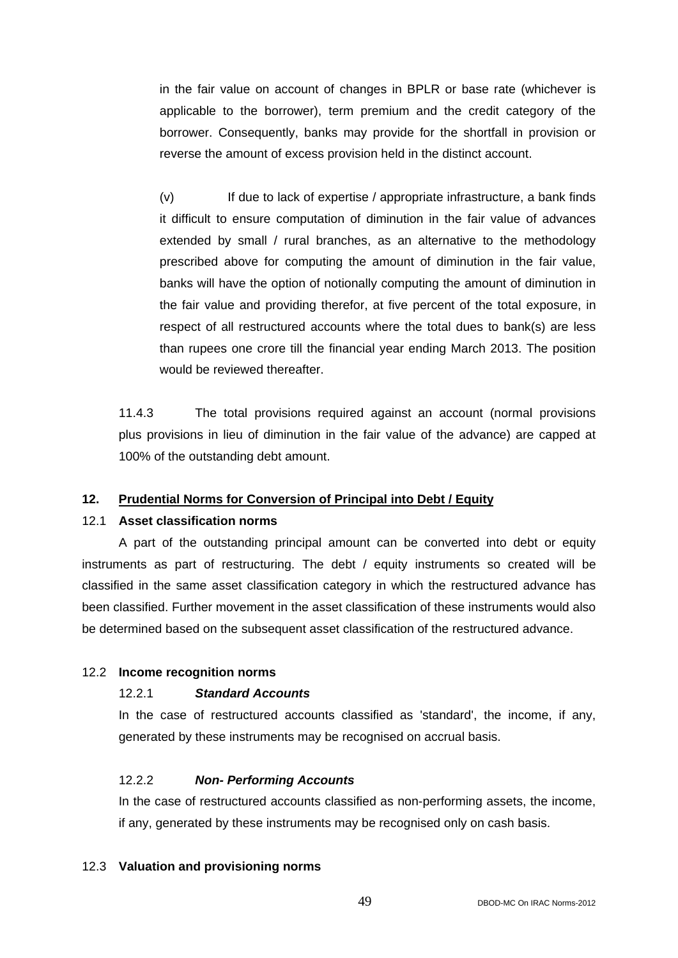in the fair value on account of changes in BPLR or base rate (whichever is applicable to the borrower), term premium and the credit category of the borrower. Consequently, banks may provide for the shortfall in provision or reverse the amount of excess provision held in the distinct account.

(v) If due to lack of expertise / appropriate infrastructure, a bank finds it difficult to ensure computation of diminution in the fair value of advances extended by small / rural branches, as an alternative to the methodology prescribed above for computing the amount of diminution in the fair value, banks will have the option of notionally computing the amount of diminution in the fair value and providing therefor, at five percent of the total exposure, in respect of all restructured accounts where the total dues to bank(s) are less than rupees one crore till the financial year ending March 2013. The position would be reviewed thereafter.

 11.4.3 The total provisions required against an account (normal provisions plus provisions in lieu of diminution in the fair value of the advance) are capped at 100% of the outstanding debt amount.

### **12. Prudential Norms for Conversion of Principal into Debt / Equity**

### 12.1 **Asset classification norms**

 A part of the outstanding principal amount can be converted into debt or equity instruments as part of restructuring. The debt / equity instruments so created will be classified in the same asset classification category in which the restructured advance has been classified. Further movement in the asset classification of these instruments would also be determined based on the subsequent asset classification of the restructured advance.

### 12.2 **Income recognition norms**

### 12.2.1 *Standard Accounts*

 In the case of restructured accounts classified as 'standard', the income, if any, generated by these instruments may be recognised on accrual basis.

### 12.2.2 *Non- Performing Accounts*

 In the case of restructured accounts classified as non-performing assets, the income, if any, generated by these instruments may be recognised only on cash basis.

#### 12.3 **Valuation and provisioning norms**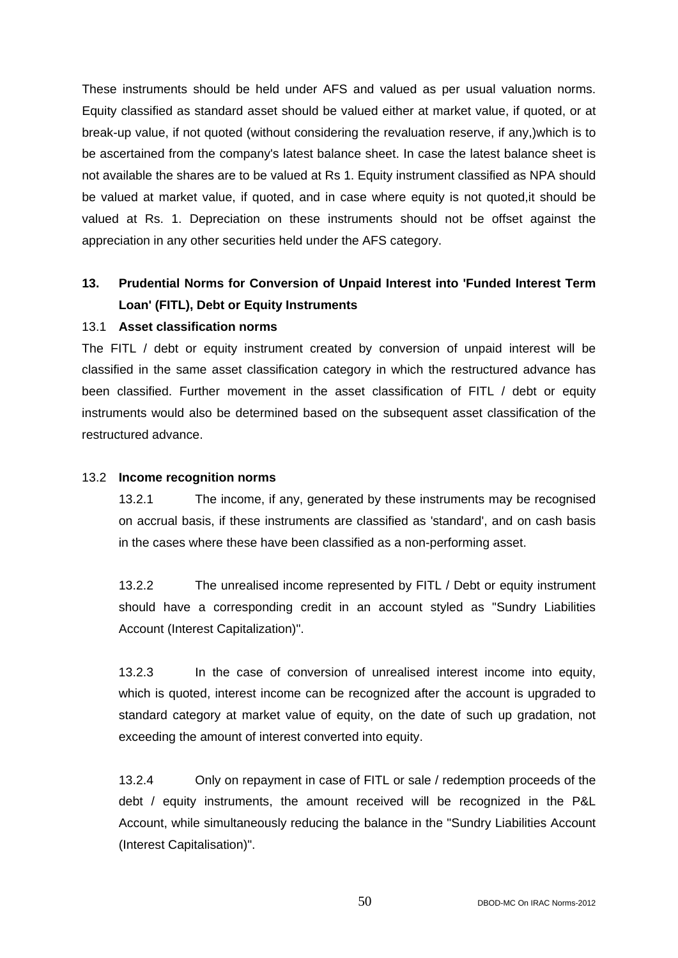These instruments should be held under AFS and valued as per usual valuation norms. Equity classified as standard asset should be valued either at market value, if quoted, or at break-up value, if not quoted (without considering the revaluation reserve, if any,)which is to be ascertained from the company's latest balance sheet. In case the latest balance sheet is not available the shares are to be valued at Rs 1. Equity instrument classified as NPA should be valued at market value, if quoted, and in case where equity is not quoted,it should be valued at Rs. 1. Depreciation on these instruments should not be offset against the appreciation in any other securities held under the AFS category.

# **13. Prudential Norms for Conversion of Unpaid Interest into 'Funded Interest Term Loan' (FITL), Debt or Equity Instruments**

### 13.1 **Asset classification norms**

The FITL / debt or equity instrument created by conversion of unpaid interest will be classified in the same asset classification category in which the restructured advance has been classified. Further movement in the asset classification of FITL / debt or equity instruments would also be determined based on the subsequent asset classification of the restructured advance.

#### 13.2 **Income recognition norms**

 13.2.1 The income, if any, generated by these instruments may be recognised on accrual basis, if these instruments are classified as 'standard', and on cash basis in the cases where these have been classified as a non-performing asset.

 13.2.2 The unrealised income represented by FITL / Debt or equity instrument should have a corresponding credit in an account styled as "Sundry Liabilities Account (Interest Capitalization)".

 13.2.3 In the case of conversion of unrealised interest income into equity, which is quoted, interest income can be recognized after the account is upgraded to standard category at market value of equity, on the date of such up gradation, not exceeding the amount of interest converted into equity.

 13.2.4 Only on repayment in case of FITL or sale / redemption proceeds of the debt / equity instruments, the amount received will be recognized in the P&L Account, while simultaneously reducing the balance in the "Sundry Liabilities Account (Interest Capitalisation)".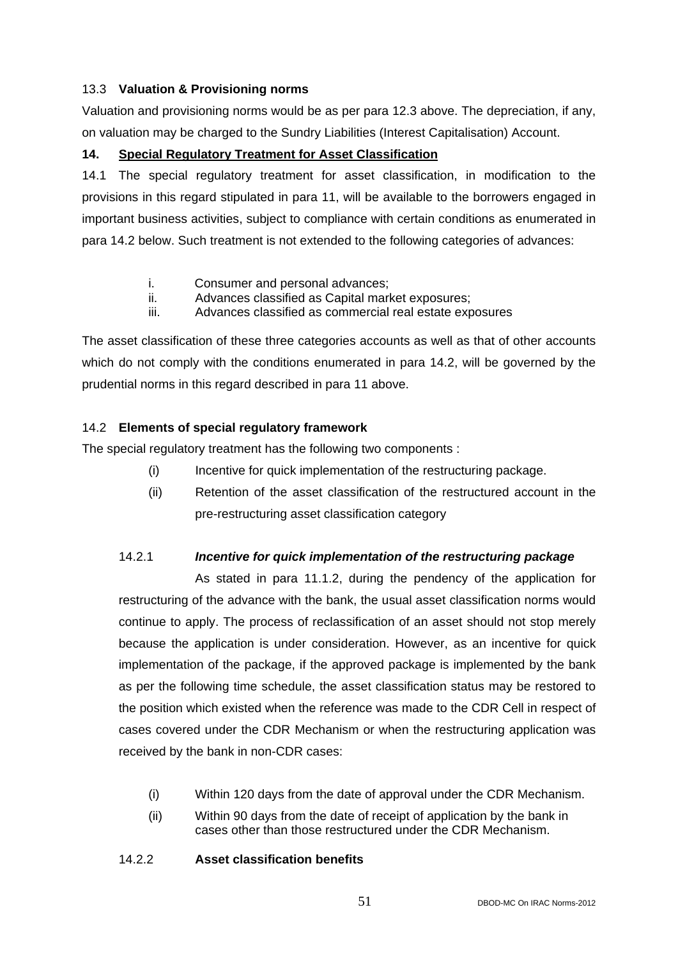### 13.3 **Valuation & Provisioning norms**

Valuation and provisioning norms would be as per para 12.3 above. The depreciation, if any, on valuation may be charged to the Sundry Liabilities (Interest Capitalisation) Account.

### **14. Special Regulatory Treatment for Asset Classification**

14.1 The special regulatory treatment for asset classification, in modification to the provisions in this regard stipulated in para 11, will be available to the borrowers engaged in important business activities, subject to compliance with certain conditions as enumerated in para 14.2 below. Such treatment is not extended to the following categories of advances:

- i. Consumer and personal advances;
- ii. Advances classified as Capital market exposures;
- iii. Advances classified as commercial real estate exposures

The asset classification of these three categories accounts as well as that of other accounts which do not comply with the conditions enumerated in para 14.2, will be governed by the prudential norms in this regard described in [para](http://10.24.1.98/kmt/GetDocument.asp?PageRef=rbic/restrctrng_advbks.htm#3) 11 above.

### 14.2 **Elements of special regulatory framework**

The special regulatory treatment has the following two components :

- (i) Incentive for quick implementation of the restructuring package.
- (ii) Retention of the asset classification of the restructured account in the pre-restructuring asset classification category

### 14.2.1 *Incentive for quick implementation of the restructuring package*

 As stated in para 11.1.2, during the pendency of the application for restructuring of the advance with the bank, the usual asset classification norms would continue to apply. The process of reclassification of an asset should not stop merely because the application is under consideration. However, as an incentive for quick implementation of the package, if the approved package is implemented by the bank as per the following time schedule, the asset classification status may be restored to the position which existed when the reference was made to the CDR Cell in respect of cases covered under the CDR Mechanism or when the restructuring application was received by the bank in non-CDR cases:

- (i) Within 120 days from the date of approval under the CDR Mechanism.
- (ii) Within 90 days from the date of receipt of application by the bank in cases other than those restructured under the CDR Mechanism.

### 14.2.2 **Asset classification benefits**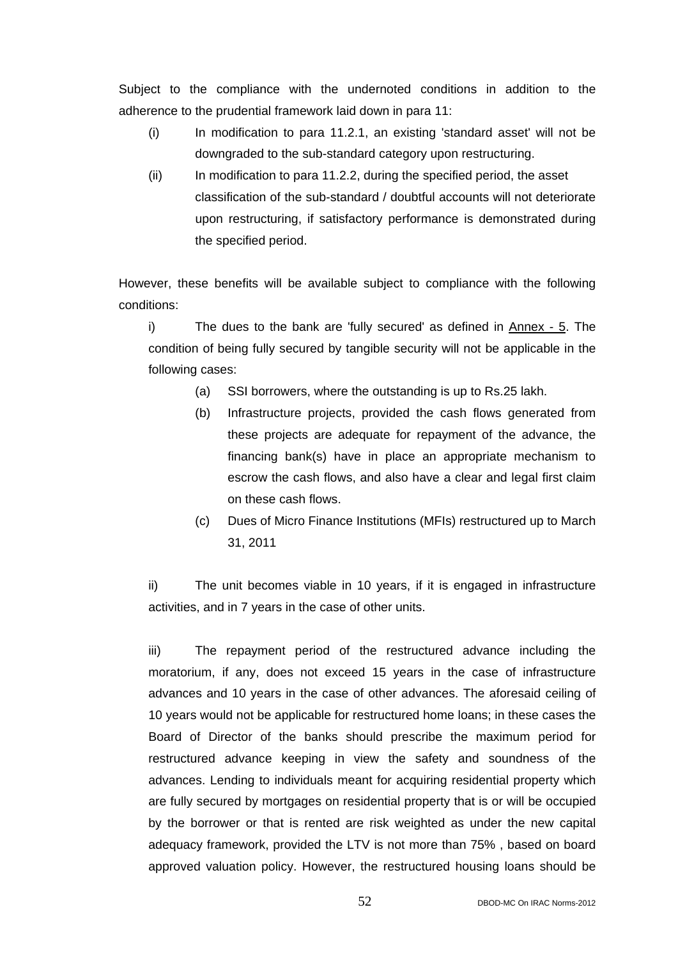Subject to the compliance with the undernoted conditions in addition to the adherence to the prudential framework laid down in para 11:

- (i) In modification to para 11.2.1, an existing 'standard asset' will not be downgraded to the sub-standard category upon restructuring.
- (ii) In modification to para 11.2.2, during the specified period, the asset classification of the sub-standard / doubtful accounts will not deteriorate upon restructuring, if satisfactory performance is demonstrated during the specified period.

 However, these benefits will be available subject to compliance with the following conditions:

i) The dues to the bank are 'fully secured' as defined in [Annex - 5](http://10.24.1.98/kmt/GetDocument.asp?PageRef=rbic/restrctrng_advbks.htm#ann2). The condition of being fully secured by tangible security will not be applicable in the following cases:

- (a) SSI borrowers, where the outstanding is up to Rs.25 lakh.
- (b) Infrastructure projects, provided the cash flows generated from these projects are adequate for repayment of the advance, the financing bank(s) have in place an appropriate mechanism to escrow the cash flows, and also have a clear and legal first claim on these cash flows.
- (c) Dues of Micro Finance Institutions (MFIs) restructured up to March 31, 2011

 ii) The unit becomes viable in 10 years, if it is engaged in infrastructure activities, and in 7 years in the case of other units.

iii) The repayment period of the restructured advance including the moratorium, if any, does not exceed 15 years in the case of infrastructure advances and 10 years in the case of other advances. The aforesaid ceiling of 10 years would not be applicable for restructured home loans; in these cases the Board of Director of the banks should prescribe the maximum period for restructured advance keeping in view the safety and soundness of the advances. Lending to individuals meant for acquiring residential property which are fully secured by mortgages on residential property that is or will be occupied by the borrower or that is rented are risk weighted as under the new capital adequacy framework, provided the LTV is not more than 75% , based on board approved valuation policy. However, the restructured housing loans should be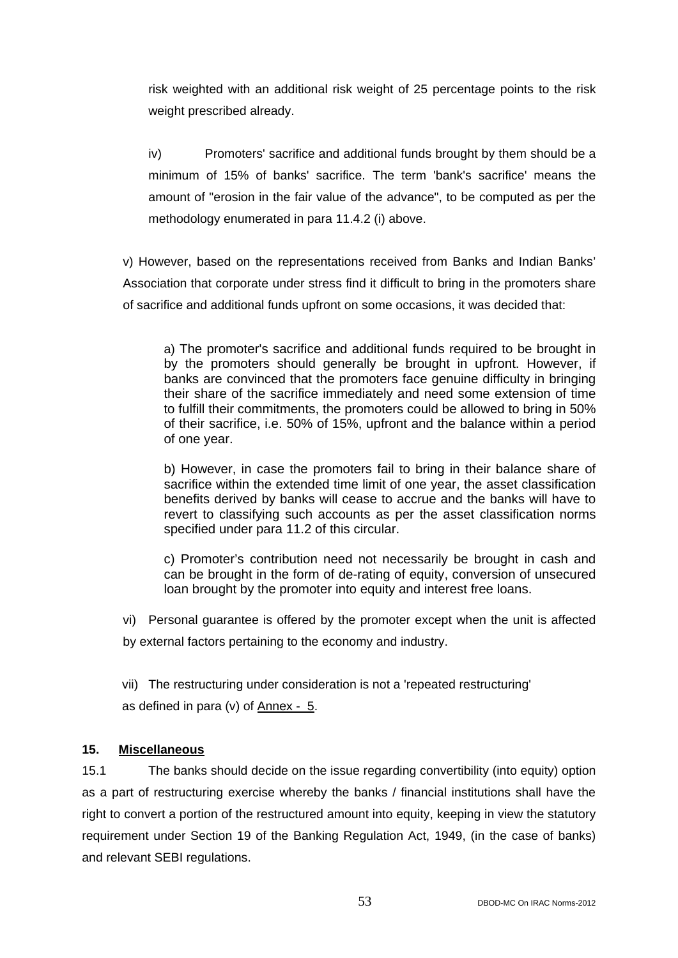risk weighted with an additional risk weight of 25 percentage points to the risk weight prescribed already.

iv) Promoters' sacrifice and additional funds brought by them should be a minimum of 15% of banks' sacrifice. The term 'bank's sacrifice' means the amount of "erosion in the fair value of the advance", to be computed as per the methodology enumerated in para 11.4.2 (i) above.

v) However, based on the representations received from Banks and Indian Banks' Association that corporate under stress find it difficult to bring in the promoters share of sacrifice and additional funds upfront on some occasions, it was decided that:

a) The promoter's sacrifice and additional funds required to be brought in by the promoters should generally be brought in upfront. However, if banks are convinced that the promoters face genuine difficulty in bringing their share of the sacrifice immediately and need some extension of time to fulfill their commitments, the promoters could be allowed to bring in 50% of their sacrifice, i.e. 50% of 15%, upfront and the balance within a period of one year.

b) However, in case the promoters fail to bring in their balance share of sacrifice within the extended time limit of one year, the asset classification benefits derived by banks will cease to accrue and the banks will have to revert to classifying such accounts as per the asset classification norms specified under para 11.2 of this circular.

c) Promoter's contribution need not necessarily be brought in cash and can be brought in the form of de-rating of equity, conversion of unsecured loan brought by the promoter into equity and interest free loans.

vi) Personal guarantee is offered by the promoter except when the unit is affected by external factors pertaining to the economy and industry.

 vii) The restructuring under consideration is not a 'repeated restructuring' as defined in para (v) of  $Annex - 5$ .

## **15. Miscellaneous**

15.1 The banks should decide on the issue regarding convertibility (into equity) option as a part of restructuring exercise whereby the banks / financial institutions shall have the right to convert a portion of the restructured amount into equity, keeping in view the statutory requirement under Section 19 of the Banking Regulation Act, 1949, (in the case of banks) and relevant SEBI regulations.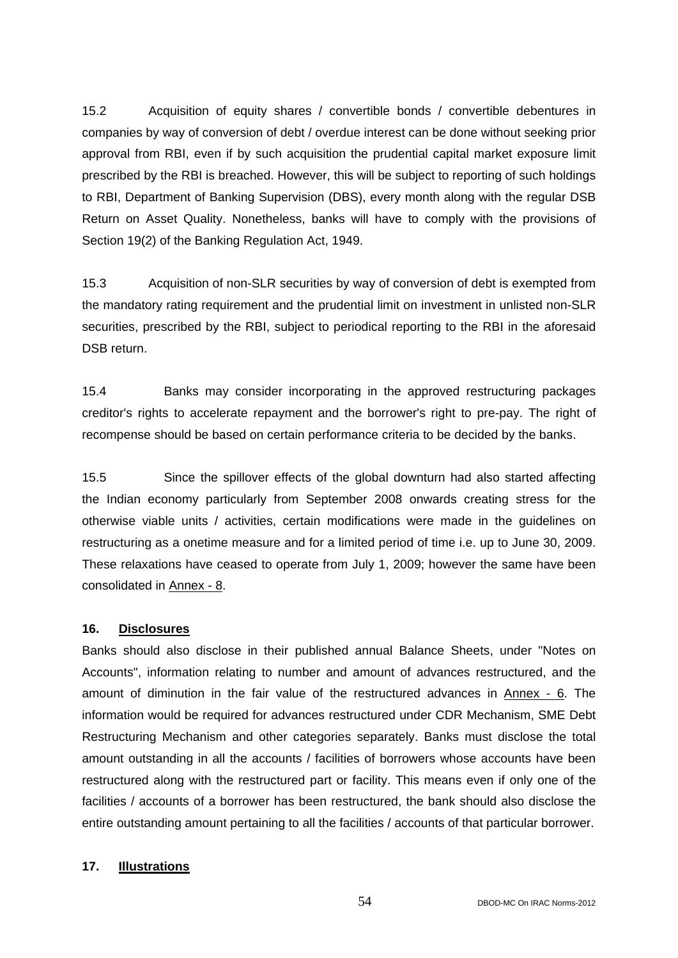15.2 Acquisition of equity shares / convertible bonds / convertible debentures in companies by way of conversion of debt / overdue interest can be done without seeking prior approval from RBI, even if by such acquisition the prudential capital market exposure limit prescribed by the RBI is breached. However, this will be subject to reporting of such holdings to RBI, Department of Banking Supervision (DBS), every month along with the regular DSB Return on Asset Quality. Nonetheless, banks will have to comply with the provisions of Section 19(2) of the Banking Regulation Act, 1949.

15.3 Acquisition of non-SLR securities by way of conversion of debt is exempted from the mandatory rating requirement and the prudential limit on investment in unlisted non-SLR securities, prescribed by the RBI, subject to periodical reporting to the RBI in the aforesaid DSB return.

15.4 Banks may consider incorporating in the approved restructuring packages creditor's rights to accelerate repayment and the borrower's right to pre-pay. The right of recompense should be based on certain performance criteria to be decided by the banks.

15.5 Since the spillover effects of the global downturn had also started affecting the Indian economy particularly from September 2008 onwards creating stress for the otherwise viable units / activities, certain modifications were made in the guidelines on restructuring as a onetime measure and for a limited period of time i.e. up to June 30, 2009. These relaxations have ceased to operate from July 1, 2009; however the same have been consolidated in Annex - 8.

### **16. Disclosures**

Banks should also disclose in their published annual Balance Sheets, under "Notes on Accounts", information relating to number and amount of advances restructured, and the amount of diminution in the fair value of the restructured advances in [Annex -](http://10.24.1.98/kmt/GetDocument.asp?PageRef=rbic/restrctrng_advbks.htm#ann3) 6. The information would be required for advances restructured under CDR Mechanism, SME Debt Restructuring Mechanism and other categories separately. Banks must disclose the total amount outstanding in all the accounts / facilities of borrowers whose accounts have been restructured along with the restructured part or facility. This means even if only one of the facilities / accounts of a borrower has been restructured, the bank should also disclose the entire outstanding amount pertaining to all the facilities / accounts of that particular borrower.

### **17. Illustrations**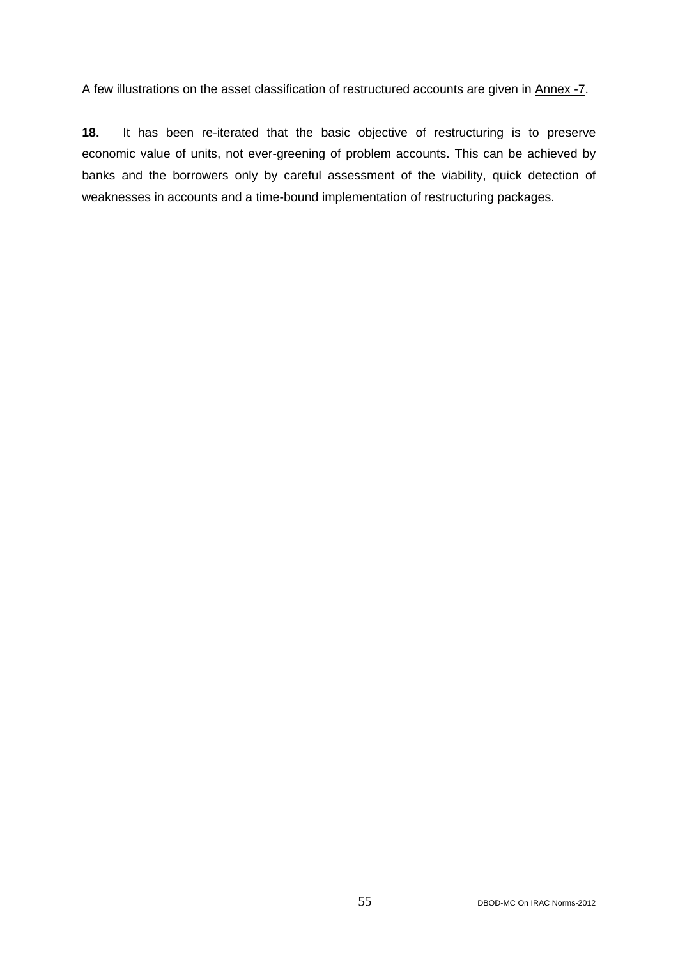A few illustrations on the asset classification of restructured accounts are given in [Annex -7](http://10.24.1.98/kmt/GetDocument.asp?PageRef=rbic/restrctrng_advbks.htm#ann4).

**18.** It has been re-iterated that the basic objective of restructuring is to preserve economic value of units, not ever-greening of problem accounts. This can be achieved by banks and the borrowers only by careful assessment of the viability, quick detection of weaknesses in accounts and a time-bound implementation of restructuring packages.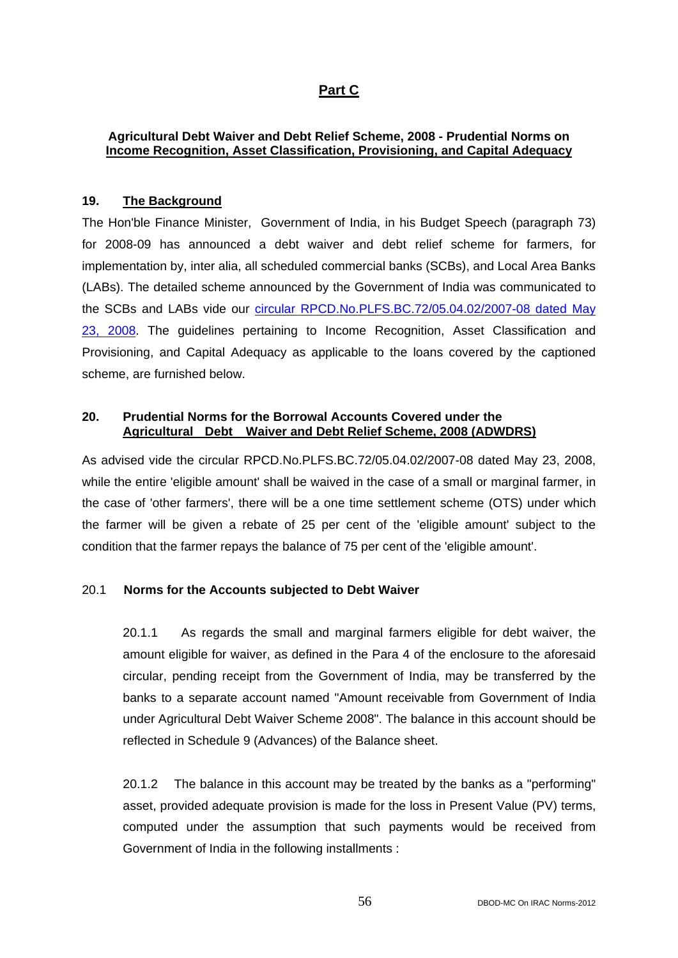# **Part C**

### **Agricultural Debt Waiver and Debt Relief Scheme, 2008 - Prudential Norms on Income Recognition, Asset Classification, Provisioning, and Capital Adequacy**

### **19. The Background**

The Hon'ble Finance Minister, Government of India, in his Budget Speech (paragraph 73) for 2008-09 has announced a debt waiver and debt relief scheme for farmers, for implementation by, inter alia, all scheduled commercial banks (SCBs), and Local Area Banks (LABs). The detailed scheme announced by the Government of India was communicated to the SCBs and LABs vide our [circular RPCD.No.PLFS.BC.72/05.04.02/2007-08 dated May](http://rbi.org.in/scripts/NotificationUser.aspx?Id=4190&Mode=0)  [23, 2008](http://rbi.org.in/scripts/NotificationUser.aspx?Id=4190&Mode=0). The guidelines pertaining to Income Recognition, Asset Classification and Provisioning, and Capital Adequacy as applicable to the loans covered by the captioned scheme, are furnished below.

### **20. Prudential Norms for the Borrowal Accounts Covered under the Agricultural Debt Waiver and Debt Relief Scheme, 2008 (ADWDRS)**

As advised vide the circular RPCD.No.PLFS.BC.72/05.04.02/2007-08 dated May 23, 2008, while the entire 'eligible amount' shall be waived in the case of a small or marginal farmer, in the case of 'other farmers', there will be a one time settlement scheme (OTS) under which the farmer will be given a rebate of 25 per cent of the 'eligible amount' subject to the condition that the farmer repays the balance of 75 per cent of the 'eligible amount'.

### 20.1 **Norms for the Accounts subjected to Debt Waiver**

20.1.1 As regards the small and marginal farmers eligible for debt waiver, the amount eligible for waiver, as defined in the Para 4 of the enclosure to the aforesaid circular, pending receipt from the Government of India, may be transferred by the banks to a separate account named "Amount receivable from Government of India under Agricultural Debt Waiver Scheme 2008". The balance in this account should be reflected in Schedule 9 (Advances) of the Balance sheet.

20.1.2 The balance in this account may be treated by the banks as a "performing" asset, provided adequate provision is made for the loss in Present Value (PV) terms, computed under the assumption that such payments would be received from Government of India in the following installments :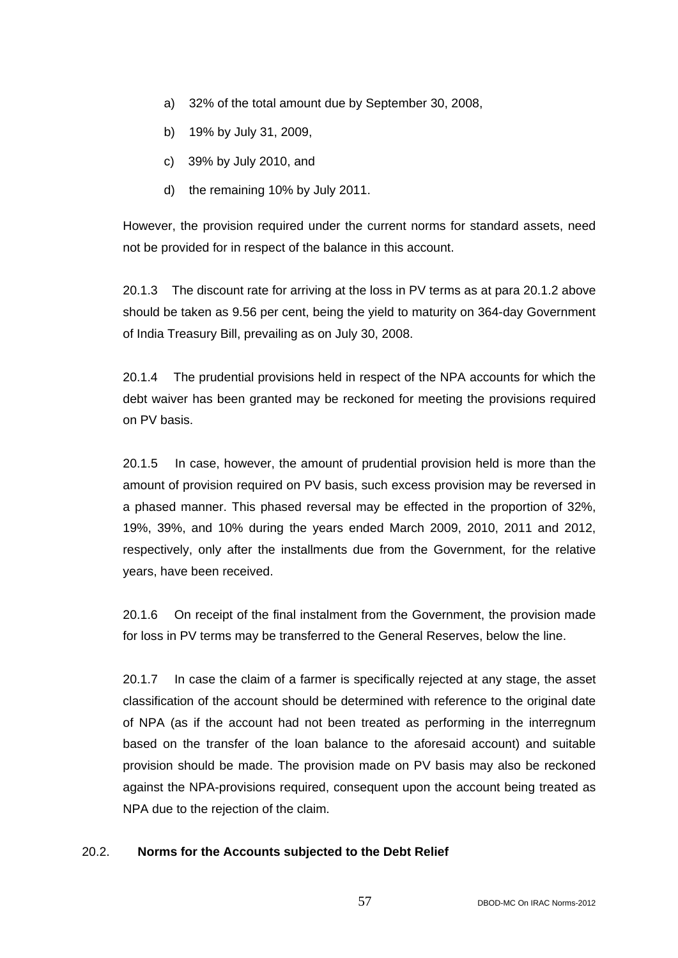- a) 32% of the total amount due by September 30, 2008,
- b) 19% by July 31, 2009,
- c) 39% by July 2010, and
- d) the remaining 10% by July 2011.

However, the provision required under the current norms for standard assets, need not be provided for in respect of the balance in this account.

20.1.3 The discount rate for arriving at the loss in PV terms as at para 20.1.2 above should be taken as 9.56 per cent, being the yield to maturity on 364-day Government of India Treasury Bill, prevailing as on July 30, 2008.

20.1.4 The prudential provisions held in respect of the NPA accounts for which the debt waiver has been granted may be reckoned for meeting the provisions required on PV basis.

20.1.5 In case, however, the amount of prudential provision held is more than the amount of provision required on PV basis, such excess provision may be reversed in a phased manner. This phased reversal may be effected in the proportion of 32%, 19%, 39%, and 10% during the years ended March 2009, 2010, 2011 and 2012, respectively, only after the installments due from the Government, for the relative years, have been received.

20.1.6 On receipt of the final instalment from the Government, the provision made for loss in PV terms may be transferred to the General Reserves, below the line.

20.1.7 In case the claim of a farmer is specifically rejected at any stage, the asset classification of the account should be determined with reference to the original date of NPA (as if the account had not been treated as performing in the interregnum based on the transfer of the loan balance to the aforesaid account) and suitable provision should be made. The provision made on PV basis may also be reckoned against the NPA-provisions required, consequent upon the account being treated as NPA due to the rejection of the claim.

## 20.2. **Norms for the Accounts subjected to the Debt Relief**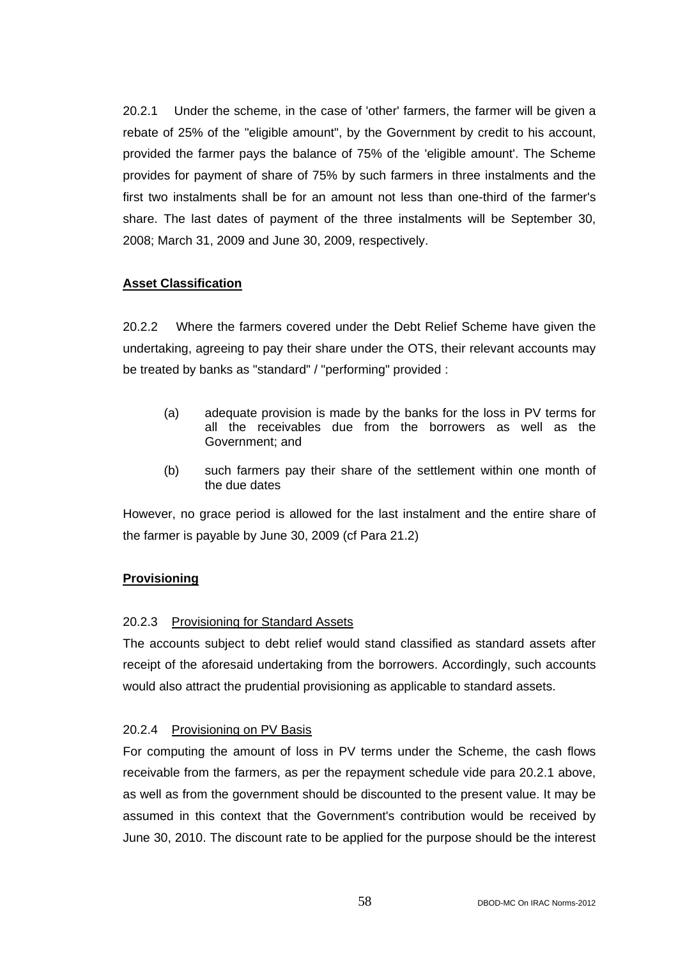20.2.1 Under the scheme, in the case of 'other' farmers, the farmer will be given a rebate of 25% of the "eligible amount", by the Government by credit to his account, provided the farmer pays the balance of 75% of the 'eligible amount'. The Scheme provides for payment of share of 75% by such farmers in three instalments and the first two instalments shall be for an amount not less than one-third of the farmer's share. The last dates of payment of the three instalments will be September 30, 2008; March 31, 2009 and June 30, 2009, respectively.

### **Asset Classification**

20.2.2 Where the farmers covered under the Debt Relief Scheme have given the undertaking, agreeing to pay their share under the OTS, their relevant accounts may be treated by banks as "standard" / "performing" provided :

- (a) adequate provision is made by the banks for the loss in PV terms for all the receivables due from the borrowers as well as the Government; and
- (b) such farmers pay their share of the settlement within one month of the due dates

However, no grace period is allowed for the last instalment and the entire share of the farmer is payable by June 30, 2009 (cf Para 21.2)

## **Provisioning**

### 20.2.3 Provisioning for Standard Assets

The accounts subject to debt relief would stand classified as standard assets after receipt of the aforesaid undertaking from the borrowers. Accordingly, such accounts would also attract the prudential provisioning as applicable to standard assets.

### 20.2.4 Provisioning on PV Basis

For computing the amount of loss in PV terms under the Scheme, the cash flows receivable from the farmers, as per the repayment schedule vide para 20.2.1 above, as well as from the government should be discounted to the present value. It may be assumed in this context that the Government's contribution would be received by June 30, 2010. The discount rate to be applied for the purpose should be the interest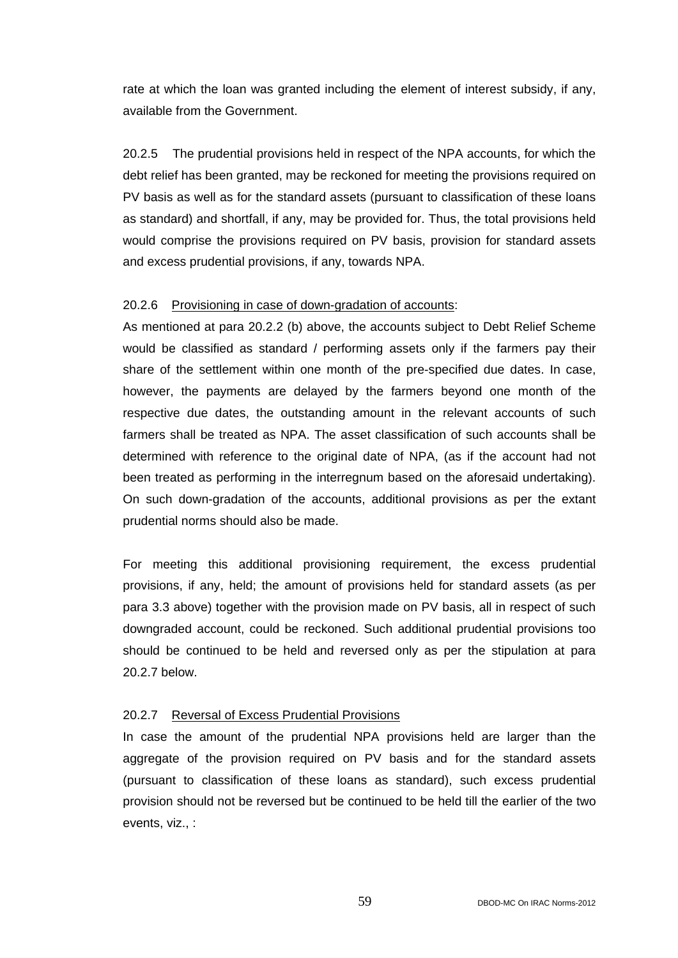rate at which the loan was granted including the element of interest subsidy, if any, available from the Government.

20.2.5 The prudential provisions held in respect of the NPA accounts, for which the debt relief has been granted, may be reckoned for meeting the provisions required on PV basis as well as for the standard assets (pursuant to classification of these loans as standard) and shortfall, if any, may be provided for. Thus, the total provisions held would comprise the provisions required on PV basis, provision for standard assets and excess prudential provisions, if any, towards NPA.

#### 20.2.6 Provisioning in case of down-gradation of accounts:

As mentioned at para 20.2.2 (b) above, the accounts subject to Debt Relief Scheme would be classified as standard / performing assets only if the farmers pay their share of the settlement within one month of the pre-specified due dates. In case, however, the payments are delayed by the farmers beyond one month of the respective due dates, the outstanding amount in the relevant accounts of such farmers shall be treated as NPA. The asset classification of such accounts shall be determined with reference to the original date of NPA, (as if the account had not been treated as performing in the interregnum based on the aforesaid undertaking). On such down-gradation of the accounts, additional provisions as per the extant prudential norms should also be made.

For meeting this additional provisioning requirement, the excess prudential provisions, if any, held; the amount of provisions held for standard assets (as per para 3.3 above) together with the provision made on PV basis, all in respect of such downgraded account, could be reckoned. Such additional prudential provisions too should be continued to be held and reversed only as per the stipulation at para 20.2.7 below.

#### 20.2.7 Reversal of Excess Prudential Provisions

In case the amount of the prudential NPA provisions held are larger than the aggregate of the provision required on PV basis and for the standard assets (pursuant to classification of these loans as standard), such excess prudential provision should not be reversed but be continued to be held till the earlier of the two events, viz., :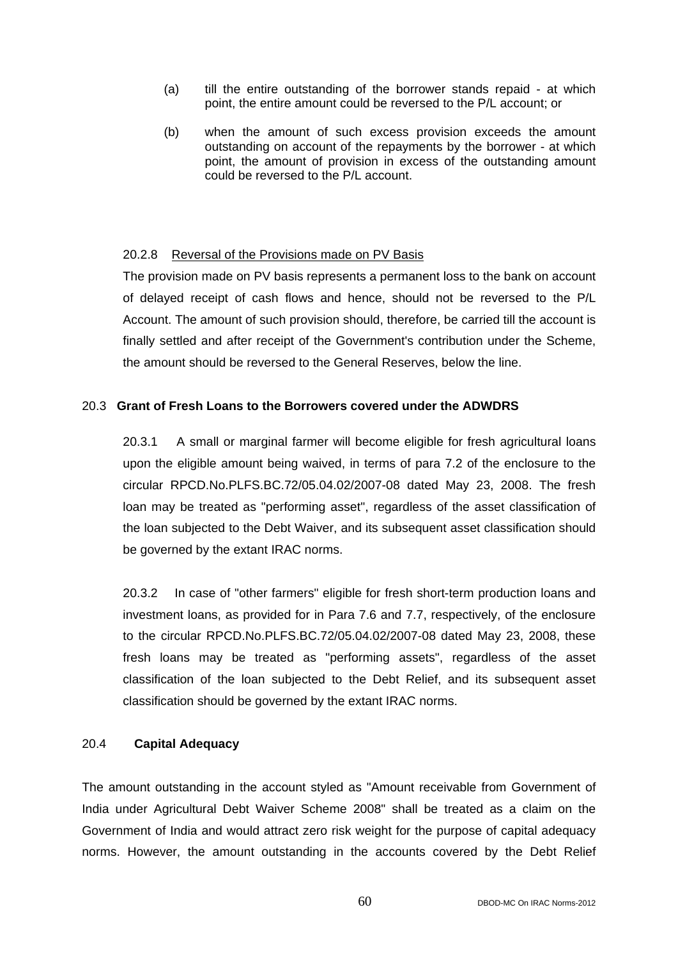- (a) till the entire outstanding of the borrower stands repaid at which point, the entire amount could be reversed to the P/L account; or
- (b) when the amount of such excess provision exceeds the amount outstanding on account of the repayments by the borrower - at which point, the amount of provision in excess of the outstanding amount could be reversed to the P/L account.

### 20.2.8 Reversal of the Provisions made on PV Basis

The provision made on PV basis represents a permanent loss to the bank on account of delayed receipt of cash flows and hence, should not be reversed to the P/L Account. The amount of such provision should, therefore, be carried till the account is finally settled and after receipt of the Government's contribution under the Scheme, the amount should be reversed to the General Reserves, below the line.

#### 20.3 **Grant of Fresh Loans to the Borrowers covered under the ADWDRS**

20.3.1 A small or marginal farmer will become eligible for fresh agricultural loans upon the eligible amount being waived, in terms of para 7.2 of the enclosure to the circular RPCD.No.PLFS.BC.72/05.04.02/2007-08 dated May 23, 2008. The fresh loan may be treated as "performing asset", regardless of the asset classification of the loan subjected to the Debt Waiver, and its subsequent asset classification should be governed by the extant IRAC norms.

20.3.2 In case of "other farmers" eligible for fresh short-term production loans and investment loans, as provided for in Para 7.6 and 7.7, respectively, of the enclosure to the circular RPCD.No.PLFS.BC.72/05.04.02/2007-08 dated May 23, 2008, these fresh loans may be treated as "performing assets", regardless of the asset classification of the loan subjected to the Debt Relief, and its subsequent asset classification should be governed by the extant IRAC norms.

#### 20.4 **Capital Adequacy**

The amount outstanding in the account styled as "Amount receivable from Government of India under Agricultural Debt Waiver Scheme 2008" shall be treated as a claim on the Government of India and would attract zero risk weight for the purpose of capital adequacy norms. However, the amount outstanding in the accounts covered by the Debt Relief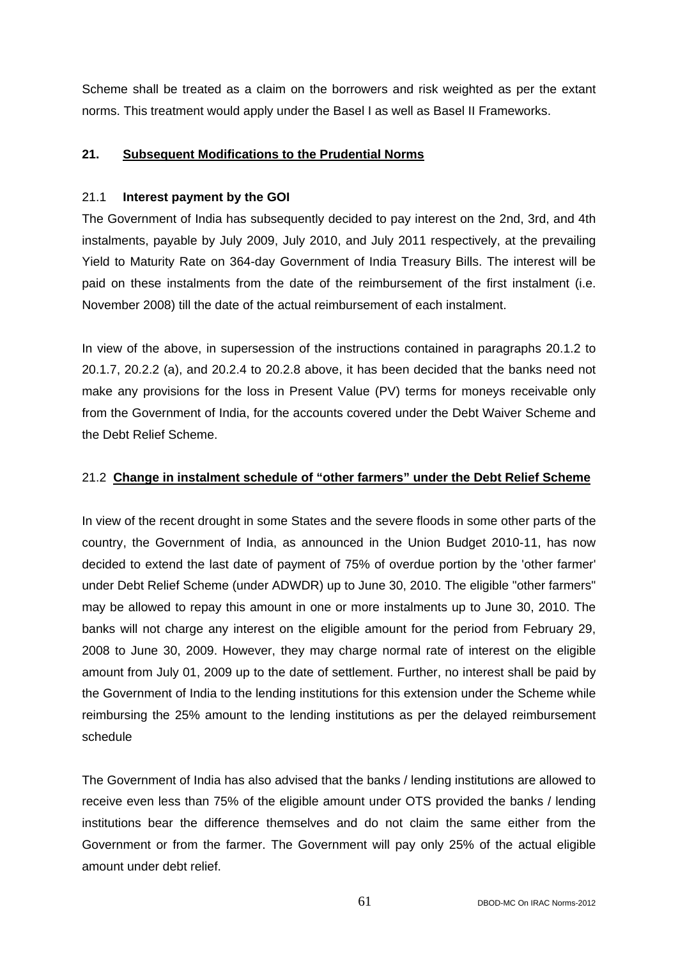Scheme shall be treated as a claim on the borrowers and risk weighted as per the extant norms. This treatment would apply under the Basel I as well as Basel II Frameworks.

### **21. Subsequent Modifications to the Prudential Norms**

#### 21.1 **Interest payment by the GOI**

The Government of India has subsequently decided to pay interest on the 2nd, 3rd, and 4th instalments, payable by July 2009, July 2010, and July 2011 respectively, at the prevailing Yield to Maturity Rate on 364-day Government of India Treasury Bills. The interest will be paid on these instalments from the date of the reimbursement of the first instalment (i.e. November 2008) till the date of the actual reimbursement of each instalment.

In view of the above, in supersession of the instructions contained in paragraphs 20.1.2 to 20.1.7, 20.2.2 (a), and 20.2.4 to 20.2.8 above, it has been decided that the banks need not make any provisions for the loss in Present Value (PV) terms for moneys receivable only from the Government of India, for the accounts covered under the Debt Waiver Scheme and the Debt Relief Scheme.

### 21.2 **Change in instalment schedule of "other farmers" under the Debt Relief Scheme**

In view of the recent drought in some States and the severe floods in some other parts of the country, the Government of India, as announced in the Union Budget 2010-11, has now decided to extend the last date of payment of 75% of overdue portion by the 'other farmer' under Debt Relief Scheme (under ADWDR) up to June 30, 2010. The eligible "other farmers" may be allowed to repay this amount in one or more instalments up to June 30, 2010. The banks will not charge any interest on the eligible amount for the period from February 29, 2008 to June 30, 2009. However, they may charge normal rate of interest on the eligible amount from July 01, 2009 up to the date of settlement. Further, no interest shall be paid by the Government of India to the lending institutions for this extension under the Scheme while reimbursing the 25% amount to the lending institutions as per the delayed reimbursement schedule

The Government of India has also advised that the banks / lending institutions are allowed to receive even less than 75% of the eligible amount under OTS provided the banks / lending institutions bear the difference themselves and do not claim the same either from the Government or from the farmer. The Government will pay only 25% of the actual eligible amount under debt relief.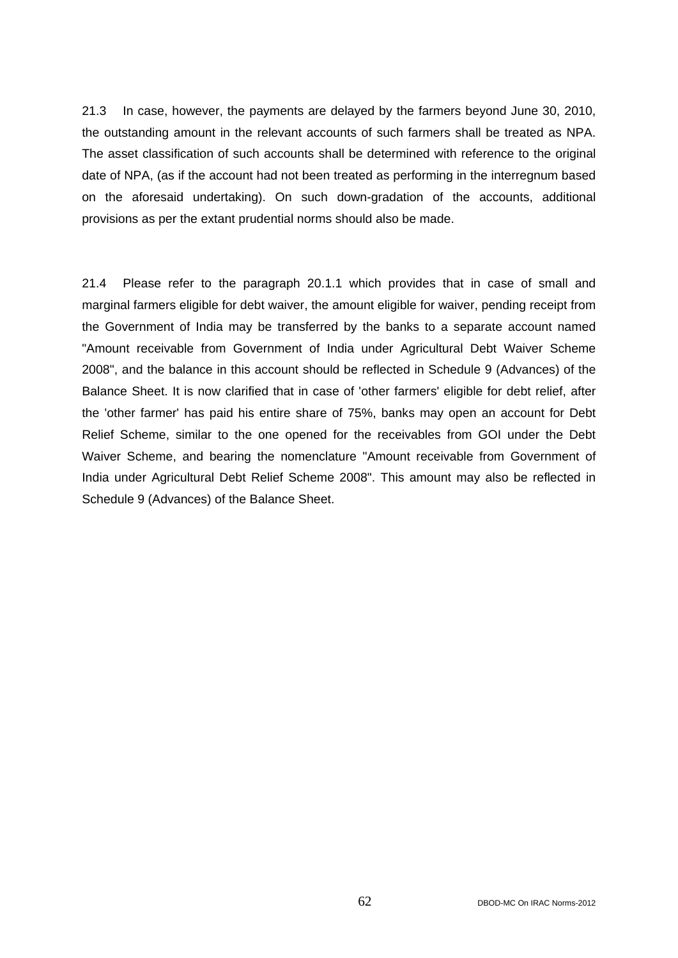21.3 In case, however, the payments are delayed by the farmers beyond June 30, 2010, the outstanding amount in the relevant accounts of such farmers shall be treated as NPA. The asset classification of such accounts shall be determined with reference to the original date of NPA, (as if the account had not been treated as performing in the interregnum based on the aforesaid undertaking). On such down-gradation of the accounts, additional provisions as per the extant prudential norms should also be made.

21.4 Please refer to the paragraph 20.1.1 which provides that in case of small and marginal farmers eligible for debt waiver, the amount eligible for waiver, pending receipt from the Government of India may be transferred by the banks to a separate account named "Amount receivable from Government of India under Agricultural Debt Waiver Scheme 2008", and the balance in this account should be reflected in Schedule 9 (Advances) of the Balance Sheet. It is now clarified that in case of 'other farmers' eligible for debt relief, after the 'other farmer' has paid his entire share of 75%, banks may open an account for Debt Relief Scheme, similar to the one opened for the receivables from GOI under the Debt Waiver Scheme, and bearing the nomenclature "Amount receivable from Government of India under Agricultural Debt Relief Scheme 2008". This amount may also be reflected in Schedule 9 (Advances) of the Balance Sheet.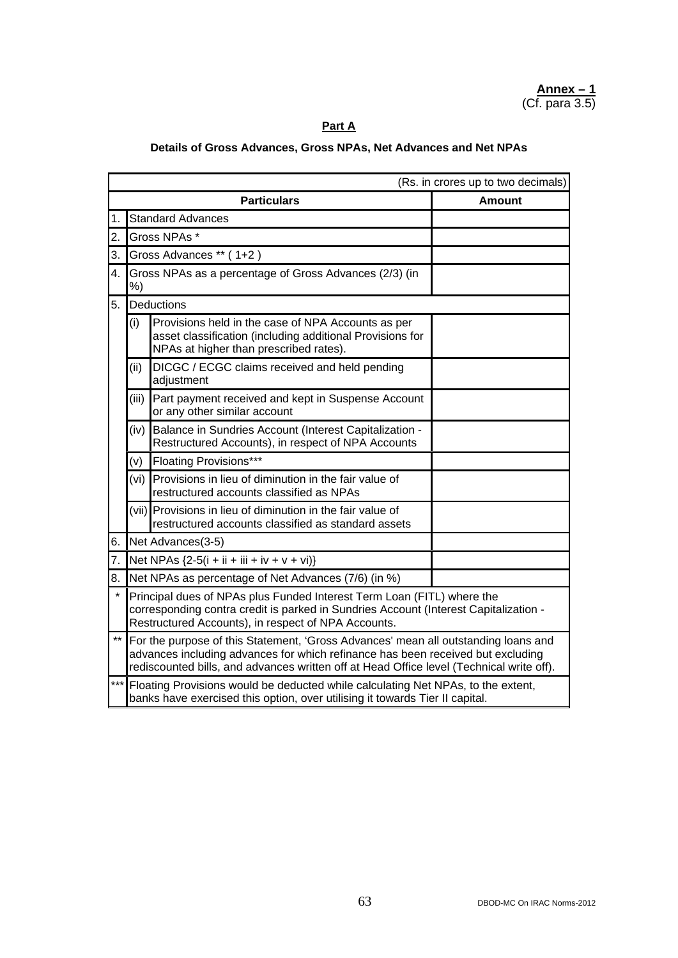### **Annex – 1** (Cf. para 3.5)

## **Part A**

#### **Details of Gross Advances, Gross NPAs, Net Advances and Net NPAs**

|                 | (Rs. in crores up to two decimals)                                                                                                                                                                                                                                |                                                                                                                                                           |               |  |  |  |
|-----------------|-------------------------------------------------------------------------------------------------------------------------------------------------------------------------------------------------------------------------------------------------------------------|-----------------------------------------------------------------------------------------------------------------------------------------------------------|---------------|--|--|--|
|                 |                                                                                                                                                                                                                                                                   | <b>Particulars</b>                                                                                                                                        | <b>Amount</b> |  |  |  |
| 1.              |                                                                                                                                                                                                                                                                   | <b>Standard Advances</b>                                                                                                                                  |               |  |  |  |
| 2.              |                                                                                                                                                                                                                                                                   | Gross NPAs *                                                                                                                                              |               |  |  |  |
| 3.              | Gross Advances ** (1+2)                                                                                                                                                                                                                                           |                                                                                                                                                           |               |  |  |  |
| 4.              | Gross NPAs as a percentage of Gross Advances (2/3) (in<br>%)                                                                                                                                                                                                      |                                                                                                                                                           |               |  |  |  |
| 5.              | <b>Deductions</b>                                                                                                                                                                                                                                                 |                                                                                                                                                           |               |  |  |  |
|                 | (i)                                                                                                                                                                                                                                                               | Provisions held in the case of NPA Accounts as per<br>asset classification (including additional Provisions for<br>NPAs at higher than prescribed rates). |               |  |  |  |
|                 | (ii)                                                                                                                                                                                                                                                              | DICGC / ECGC claims received and held pending<br>adjustment                                                                                               |               |  |  |  |
|                 | (iii)                                                                                                                                                                                                                                                             | Part payment received and kept in Suspense Account<br>or any other similar account                                                                        |               |  |  |  |
|                 | (iv)                                                                                                                                                                                                                                                              | Balance in Sundries Account (Interest Capitalization -<br>Restructured Accounts), in respect of NPA Accounts                                              |               |  |  |  |
|                 | (v)                                                                                                                                                                                                                                                               | <b>Floating Provisions***</b>                                                                                                                             |               |  |  |  |
|                 | (vi)                                                                                                                                                                                                                                                              | Provisions in lieu of diminution in the fair value of<br>restructured accounts classified as NPAs                                                         |               |  |  |  |
|                 |                                                                                                                                                                                                                                                                   | (vii) Provisions in lieu of diminution in the fair value of<br>restructured accounts classified as standard assets                                        |               |  |  |  |
| 6.              |                                                                                                                                                                                                                                                                   | Net Advances(3-5)                                                                                                                                         |               |  |  |  |
| 7.              |                                                                                                                                                                                                                                                                   | Net NPAs $\{2-5(i + ii + iii + iv + v + vi)\}$                                                                                                            |               |  |  |  |
| 8.              | Net NPAs as percentage of Net Advances (7/6) (in %)                                                                                                                                                                                                               |                                                                                                                                                           |               |  |  |  |
| $^\star$        | Principal dues of NPAs plus Funded Interest Term Loan (FITL) where the<br>corresponding contra credit is parked in Sundries Account (Interest Capitalization -<br>Restructured Accounts), in respect of NPA Accounts.                                             |                                                                                                                                                           |               |  |  |  |
| $^{\star\star}$ | For the purpose of this Statement, 'Gross Advances' mean all outstanding loans and<br>advances including advances for which refinance has been received but excluding<br>rediscounted bills, and advances written off at Head Office level (Technical write off). |                                                                                                                                                           |               |  |  |  |
| ***             | Floating Provisions would be deducted while calculating Net NPAs, to the extent,<br>banks have exercised this option, over utilising it towards Tier II capital.                                                                                                  |                                                                                                                                                           |               |  |  |  |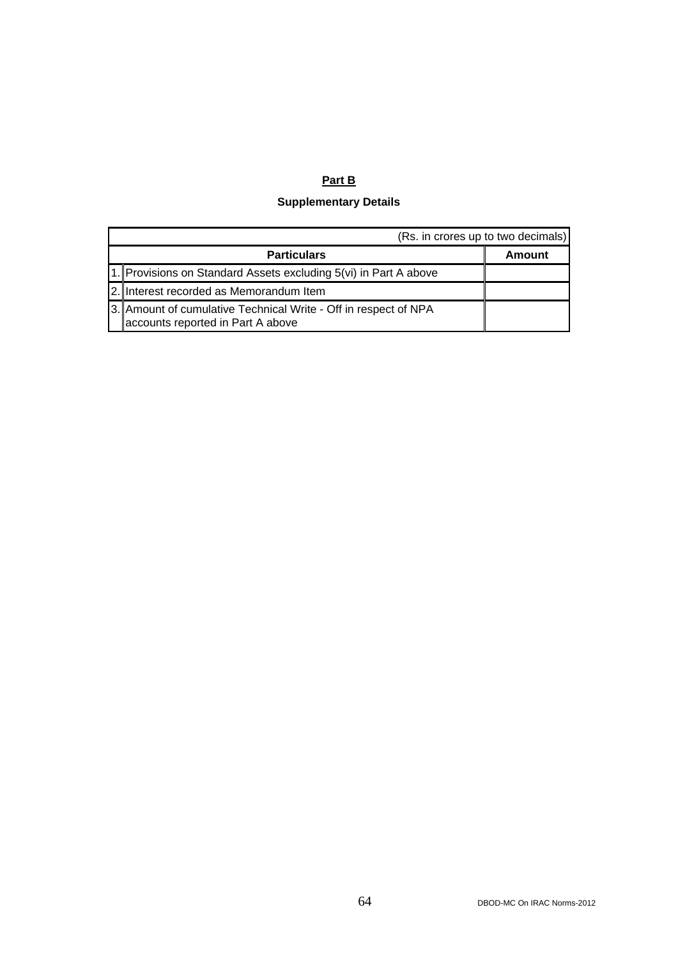# **Part B**

# **Supplementary Details**

| (Rs. in crores up to two decimals)                                                                   |        |  |  |  |
|------------------------------------------------------------------------------------------------------|--------|--|--|--|
| <b>Particulars</b>                                                                                   | Amount |  |  |  |
| 1. Provisions on Standard Assets excluding 5(vi) in Part A above                                     |        |  |  |  |
| 2. Interest recorded as Memorandum Item                                                              |        |  |  |  |
| 3. Amount of cumulative Technical Write - Off in respect of NPA<br>accounts reported in Part A above |        |  |  |  |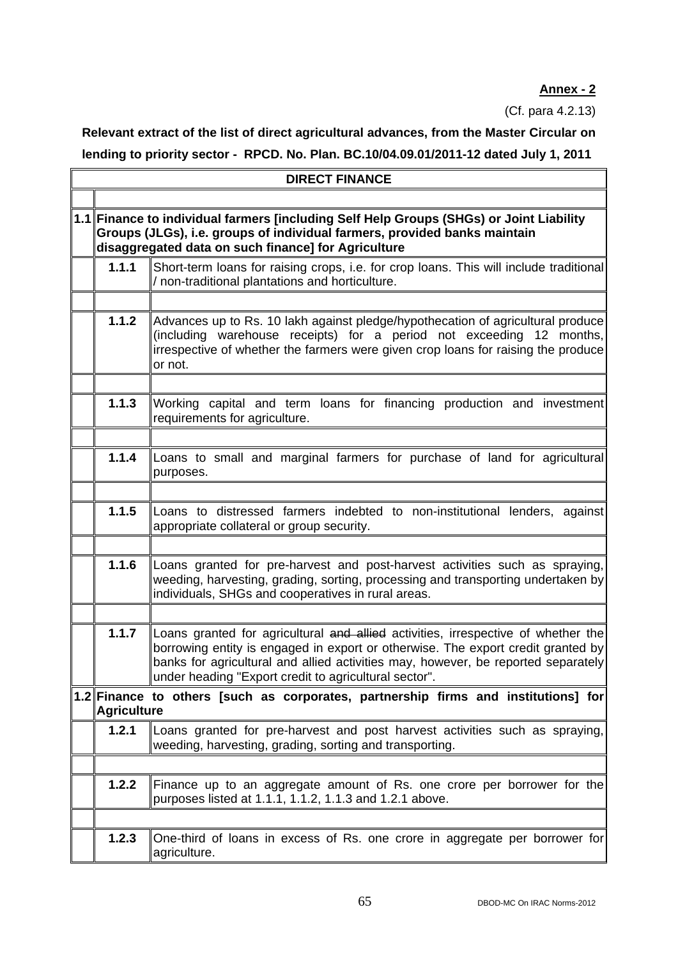**Annex - 2**

(Cf. para 4.2.13)

**Relevant extract of the list of direct agricultural advances, from the Master Circular on lending to priority sector - RPCD. No. Plan. BC.10/04.09.01/2011-12 dated July 1, 2011**

| <b>DIRECT FINANCE</b>                                                                                                                                                                                                       |                                                                                                                                                                                                                                                                                                                     |  |  |  |  |  |
|-----------------------------------------------------------------------------------------------------------------------------------------------------------------------------------------------------------------------------|---------------------------------------------------------------------------------------------------------------------------------------------------------------------------------------------------------------------------------------------------------------------------------------------------------------------|--|--|--|--|--|
|                                                                                                                                                                                                                             |                                                                                                                                                                                                                                                                                                                     |  |  |  |  |  |
| 1.1∥Finance to individual farmers [including Self Help Groups (SHGs) or Joint Liability<br>Groups (JLGs), i.e. groups of individual farmers, provided banks maintain<br>disaggregated data on such finance] for Agriculture |                                                                                                                                                                                                                                                                                                                     |  |  |  |  |  |
| 1.1.1<br>Short-term loans for raising crops, i.e. for crop loans. This will include traditional<br>/ non-traditional plantations and horticulture.                                                                          |                                                                                                                                                                                                                                                                                                                     |  |  |  |  |  |
| 1.1.2                                                                                                                                                                                                                       | Advances up to Rs. 10 lakh against pledge/hypothecation of agricultural produce<br>(including warehouse receipts) for a period not exceeding 12 months,<br>irrespective of whether the farmers were given crop loans for raising the produce<br>or not.                                                             |  |  |  |  |  |
| 1.1.3                                                                                                                                                                                                                       | Working capital and term loans for financing production and investment<br>requirements for agriculture.                                                                                                                                                                                                             |  |  |  |  |  |
| 1.1.4                                                                                                                                                                                                                       | Loans to small and marginal farmers for purchase of land for agricultural<br>purposes.                                                                                                                                                                                                                              |  |  |  |  |  |
| 1.1.5                                                                                                                                                                                                                       | Loans to distressed farmers indebted to non-institutional lenders, against<br>appropriate collateral or group security.                                                                                                                                                                                             |  |  |  |  |  |
| 1.1.6                                                                                                                                                                                                                       | Loans granted for pre-harvest and post-harvest activities such as spraying,<br>weeding, harvesting, grading, sorting, processing and transporting undertaken by<br>individuals, SHGs and cooperatives in rural areas.                                                                                               |  |  |  |  |  |
| 1.1.7                                                                                                                                                                                                                       | Loans granted for agricultural and allied activities, irrespective of whether the<br>borrowing entity is engaged in export or otherwise. The export credit granted by<br>banks for agricultural and allied activities may, however, be reported separately<br>under heading "Export credit to agricultural sector". |  |  |  |  |  |
| <b>Agriculture</b>                                                                                                                                                                                                          | 1.2 Finance to others [such as corporates, partnership firms and institutions] for                                                                                                                                                                                                                                  |  |  |  |  |  |
| 1.2.1                                                                                                                                                                                                                       | Loans granted for pre-harvest and post harvest activities such as spraying,<br>weeding, harvesting, grading, sorting and transporting.                                                                                                                                                                              |  |  |  |  |  |
| 1.2.2                                                                                                                                                                                                                       | Finance up to an aggregate amount of Rs. one crore per borrower for the<br>purposes listed at 1.1.1, 1.1.2, 1.1.3 and 1.2.1 above.                                                                                                                                                                                  |  |  |  |  |  |
| 1.2.3                                                                                                                                                                                                                       | One-third of loans in excess of Rs. one crore in aggregate per borrower for<br>agriculture.                                                                                                                                                                                                                         |  |  |  |  |  |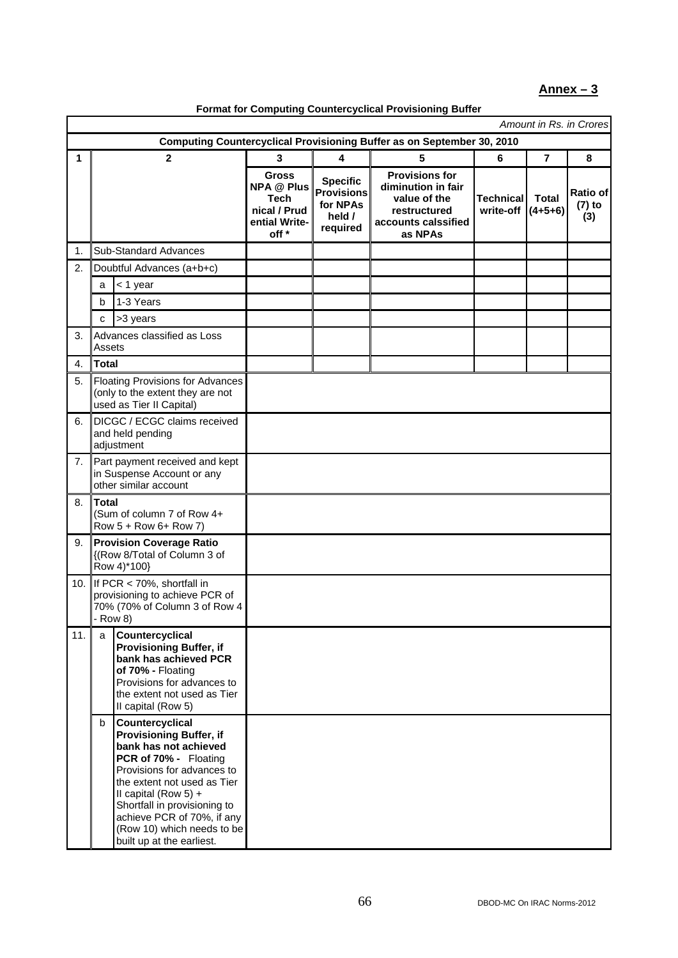## **Annex – 3**

|  |  | <b>Format for Computing Countercyclical Provisioning Buffer</b> |  |
|--|--|-----------------------------------------------------------------|--|
|  |  |                                                                 |  |

| Amount in Rs. in Crores |                                                                                                               |                                                                                                                                                                                                                                                                                                                   |                                                                                     |                                                                               |                                                                                                               |                               |                           |                           |
|-------------------------|---------------------------------------------------------------------------------------------------------------|-------------------------------------------------------------------------------------------------------------------------------------------------------------------------------------------------------------------------------------------------------------------------------------------------------------------|-------------------------------------------------------------------------------------|-------------------------------------------------------------------------------|---------------------------------------------------------------------------------------------------------------|-------------------------------|---------------------------|---------------------------|
|                         |                                                                                                               |                                                                                                                                                                                                                                                                                                                   | Computing Countercyclical Provisioning Buffer as on September 30, 2010              |                                                                               |                                                                                                               |                               |                           |                           |
| 1                       | $\mathbf{2}$                                                                                                  |                                                                                                                                                                                                                                                                                                                   | 3                                                                                   | 4                                                                             | 5                                                                                                             | 6                             | $\overline{7}$            | 8                         |
|                         |                                                                                                               |                                                                                                                                                                                                                                                                                                                   | <b>Gross</b><br><b>NPA @ Plus</b><br>Tech<br>nical / Prud<br>ential Write-<br>off * | <b>Specific</b><br><b>Provisions</b><br>for NPAs<br>held $\prime$<br>required | <b>Provisions for</b><br>diminution in fair<br>value of the<br>restructured<br>accounts calssified<br>as NPAs | <b>Technical</b><br>write-off | <b>Total</b><br>$(4+5+6)$ | Ratio of<br>(7) to<br>(3) |
| 1.                      |                                                                                                               | <b>Sub-Standard Advances</b>                                                                                                                                                                                                                                                                                      |                                                                                     |                                                                               |                                                                                                               |                               |                           |                           |
| 2.                      | Doubtful Advances (a+b+c)                                                                                     |                                                                                                                                                                                                                                                                                                                   |                                                                                     |                                                                               |                                                                                                               |                               |                           |                           |
|                         | a                                                                                                             | < 1 year                                                                                                                                                                                                                                                                                                          |                                                                                     |                                                                               |                                                                                                               |                               |                           |                           |
|                         | b                                                                                                             | 1-3 Years                                                                                                                                                                                                                                                                                                         |                                                                                     |                                                                               |                                                                                                               |                               |                           |                           |
|                         | c                                                                                                             | >3 years                                                                                                                                                                                                                                                                                                          |                                                                                     |                                                                               |                                                                                                               |                               |                           |                           |
| 3.                      | Advances classified as Loss<br>Assets                                                                         |                                                                                                                                                                                                                                                                                                                   |                                                                                     |                                                                               |                                                                                                               |                               |                           |                           |
| 4.                      | <b>Total</b>                                                                                                  |                                                                                                                                                                                                                                                                                                                   |                                                                                     |                                                                               |                                                                                                               |                               |                           |                           |
| 5.                      | <b>Floating Provisions for Advances</b><br>(only to the extent they are not<br>used as Tier II Capital)       |                                                                                                                                                                                                                                                                                                                   |                                                                                     |                                                                               |                                                                                                               |                               |                           |                           |
| 6.                      |                                                                                                               | DICGC / ECGC claims received<br>and held pending<br>adjustment                                                                                                                                                                                                                                                    |                                                                                     |                                                                               |                                                                                                               |                               |                           |                           |
| 7.                      |                                                                                                               | Part payment received and kept<br>in Suspense Account or any<br>other similar account                                                                                                                                                                                                                             |                                                                                     |                                                                               |                                                                                                               |                               |                           |                           |
| 8.                      | <b>Total</b><br>(Sum of column 7 of Row 4+<br>Row 5 + Row 6+ Row 7)                                           |                                                                                                                                                                                                                                                                                                                   |                                                                                     |                                                                               |                                                                                                               |                               |                           |                           |
| 9.                      | Provision Coverage Ratio<br>{(Row 8/Total of Column 3 of<br>Row 4)*100}                                       |                                                                                                                                                                                                                                                                                                                   |                                                                                     |                                                                               |                                                                                                               |                               |                           |                           |
| 10.                     | If PCR $<$ 70%, shortfall in<br>provisioning to achieve PCR of<br>70% (70% of Column 3 of Row 4<br>$-$ Row 8) |                                                                                                                                                                                                                                                                                                                   |                                                                                     |                                                                               |                                                                                                               |                               |                           |                           |
| 11.                     | a                                                                                                             | Countercyclical<br><b>Provisioning Buffer, if</b><br>bank has achieved PCR<br>of 70% - Floating<br>Provisions for advances to<br>the extent not used as Tier<br>II capital (Row 5)                                                                                                                                |                                                                                     |                                                                               |                                                                                                               |                               |                           |                           |
|                         | b                                                                                                             | Countercyclical<br><b>Provisioning Buffer, if</b><br>bank has not achieved<br>PCR of 70% - Floating<br>Provisions for advances to<br>the extent not used as Tier<br>II capital (Row 5) +<br>Shortfall in provisioning to<br>achieve PCR of 70%, if any<br>(Row 10) which needs to be<br>built up at the earliest. |                                                                                     |                                                                               |                                                                                                               |                               |                           |                           |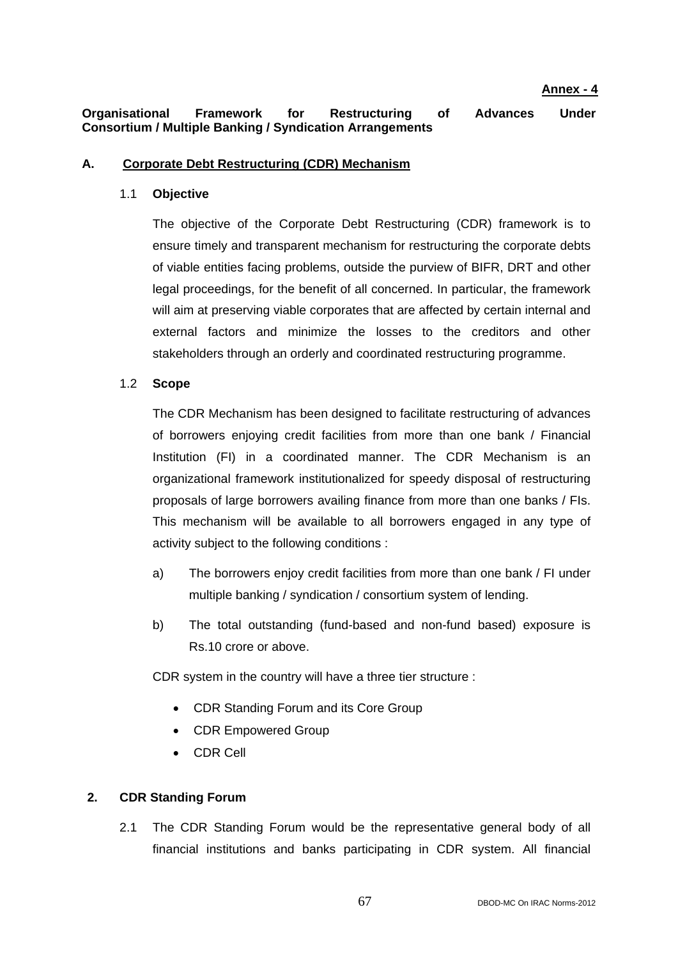### **Organisational Framework for Restructuring of Advances Under Consortium / Multiple Banking / Syndication Arrangements**

### **A. Corporate Debt Restructuring (CDR) Mechanism**

### 1.1 **Objective**

The objective of the Corporate Debt Restructuring (CDR) framework is to ensure timely and transparent mechanism for restructuring the corporate debts of viable entities facing problems, outside the purview of BIFR, DRT and other legal proceedings, for the benefit of all concerned. In particular, the framework will aim at preserving viable corporates that are affected by certain internal and external factors and minimize the losses to the creditors and other stakeholders through an orderly and coordinated restructuring programme.

### 1.2 **Scope**

The CDR Mechanism has been designed to facilitate restructuring of advances of borrowers enjoying credit facilities from more than one bank / Financial Institution (FI) in a coordinated manner. The CDR Mechanism is an organizational framework institutionalized for speedy disposal of restructuring proposals of large borrowers availing finance from more than one banks / FIs. This mechanism will be available to all borrowers engaged in any type of activity subject to the following conditions :

- a) The borrowers enjoy credit facilities from more than one bank / FI under multiple banking / syndication / consortium system of lending.
- b) The total outstanding (fund-based and non-fund based) exposure is Rs.10 crore or above.

CDR system in the country will have a three tier structure :

- CDR Standing Forum and its Core Group
- CDR Empowered Group
- CDR Cell

### **2. CDR Standing Forum**

2.1 The CDR Standing Forum would be the representative general body of all financial institutions and banks participating in CDR system. All financial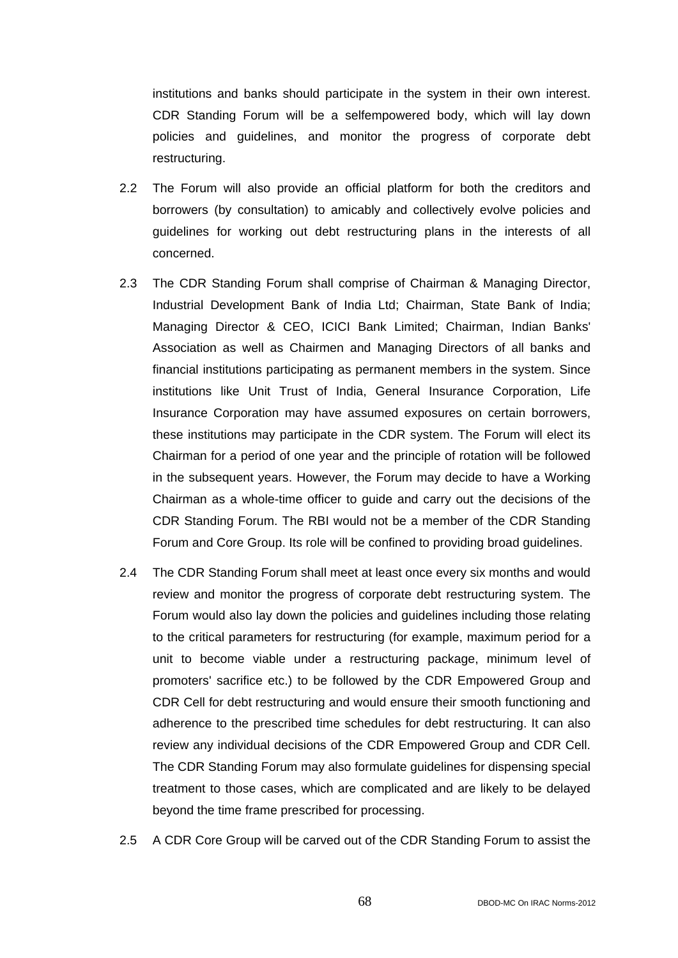institutions and banks should participate in the system in their own interest. CDR Standing Forum will be a selfempowered body, which will lay down policies and guidelines, and monitor the progress of corporate debt restructuring.

- 2.2 The Forum will also provide an official platform for both the creditors and borrowers (by consultation) to amicably and collectively evolve policies and guidelines for working out debt restructuring plans in the interests of all concerned.
- 2.3 The CDR Standing Forum shall comprise of Chairman & Managing Director, Industrial Development Bank of India Ltd; Chairman, State Bank of India; Managing Director & CEO, ICICI Bank Limited; Chairman, Indian Banks' Association as well as Chairmen and Managing Directors of all banks and financial institutions participating as permanent members in the system. Since institutions like Unit Trust of India, General Insurance Corporation, Life Insurance Corporation may have assumed exposures on certain borrowers, these institutions may participate in the CDR system. The Forum will elect its Chairman for a period of one year and the principle of rotation will be followed in the subsequent years. However, the Forum may decide to have a Working Chairman as a whole-time officer to guide and carry out the decisions of the CDR Standing Forum. The RBI would not be a member of the CDR Standing Forum and Core Group. Its role will be confined to providing broad guidelines.
- 2.4 The CDR Standing Forum shall meet at least once every six months and would review and monitor the progress of corporate debt restructuring system. The Forum would also lay down the policies and guidelines including those relating to the critical parameters for restructuring (for example, maximum period for a unit to become viable under a restructuring package, minimum level of promoters' sacrifice etc.) to be followed by the CDR Empowered Group and CDR Cell for debt restructuring and would ensure their smooth functioning and adherence to the prescribed time schedules for debt restructuring. It can also review any individual decisions of the CDR Empowered Group and CDR Cell. The CDR Standing Forum may also formulate guidelines for dispensing special treatment to those cases, which are complicated and are likely to be delayed beyond the time frame prescribed for processing.
- 2.5 A CDR Core Group will be carved out of the CDR Standing Forum to assist the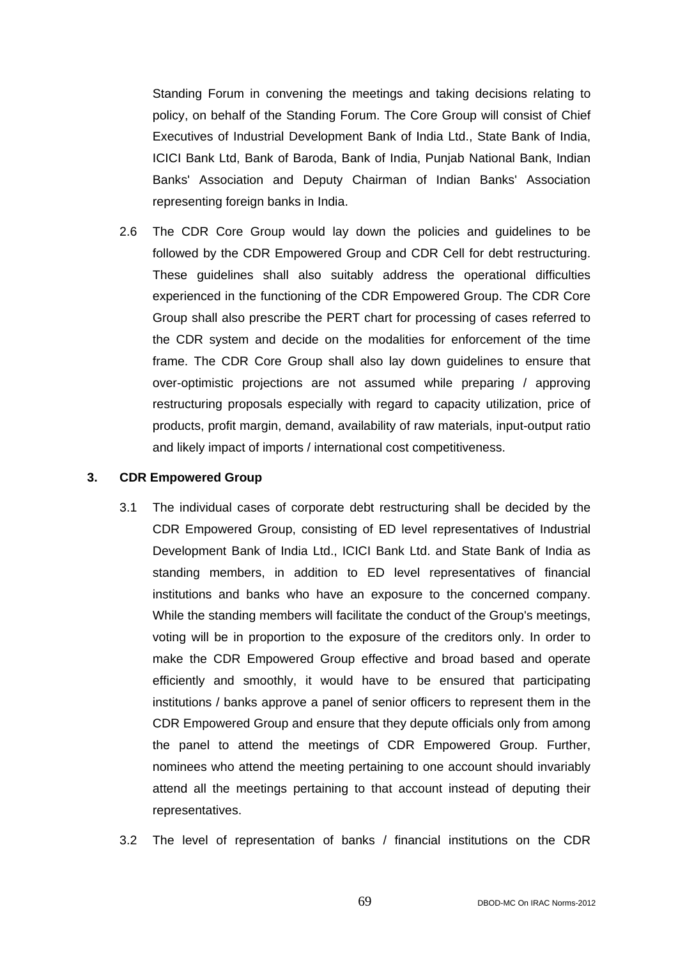Standing Forum in convening the meetings and taking decisions relating to policy, on behalf of the Standing Forum. The Core Group will consist of Chief Executives of Industrial Development Bank of India Ltd., State Bank of India, ICICI Bank Ltd, Bank of Baroda, Bank of India, Punjab National Bank, Indian Banks' Association and Deputy Chairman of Indian Banks' Association representing foreign banks in India.

2.6 The CDR Core Group would lay down the policies and guidelines to be followed by the CDR Empowered Group and CDR Cell for debt restructuring. These guidelines shall also suitably address the operational difficulties experienced in the functioning of the CDR Empowered Group. The CDR Core Group shall also prescribe the PERT chart for processing of cases referred to the CDR system and decide on the modalities for enforcement of the time frame. The CDR Core Group shall also lay down guidelines to ensure that over-optimistic projections are not assumed while preparing / approving restructuring proposals especially with regard to capacity utilization, price of products, profit margin, demand, availability of raw materials, input-output ratio and likely impact of imports / international cost competitiveness.

### **3. CDR Empowered Group**

- 3.1 The individual cases of corporate debt restructuring shall be decided by the CDR Empowered Group, consisting of ED level representatives of Industrial Development Bank of India Ltd., ICICI Bank Ltd. and State Bank of India as standing members, in addition to ED level representatives of financial institutions and banks who have an exposure to the concerned company. While the standing members will facilitate the conduct of the Group's meetings, voting will be in proportion to the exposure of the creditors only. In order to make the CDR Empowered Group effective and broad based and operate efficiently and smoothly, it would have to be ensured that participating institutions / banks approve a panel of senior officers to represent them in the CDR Empowered Group and ensure that they depute officials only from among the panel to attend the meetings of CDR Empowered Group. Further, nominees who attend the meeting pertaining to one account should invariably attend all the meetings pertaining to that account instead of deputing their representatives.
- 3.2 The level of representation of banks / financial institutions on the CDR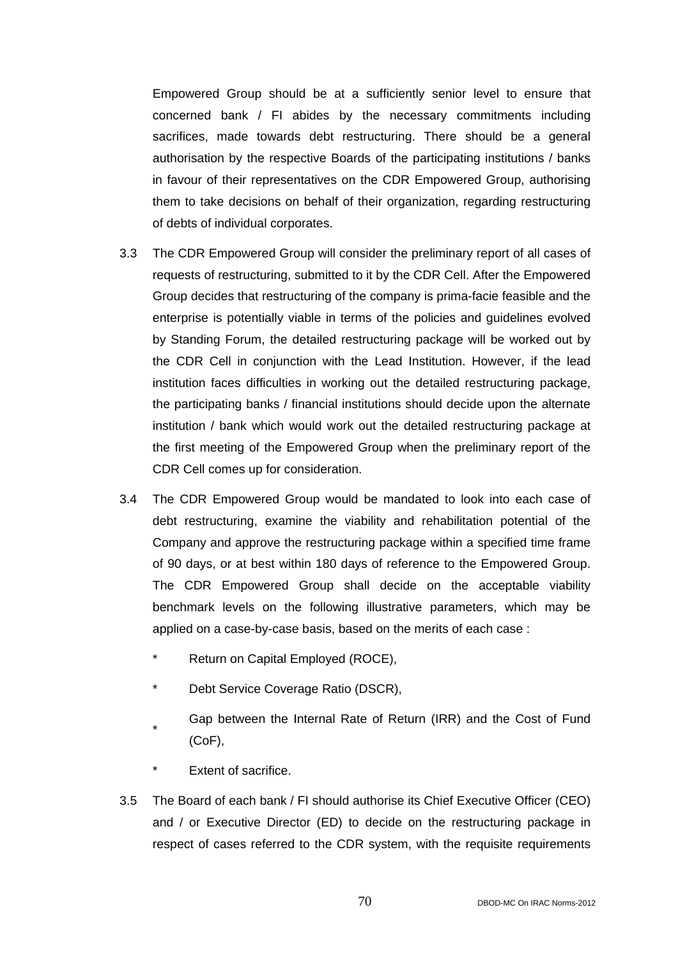Empowered Group should be at a sufficiently senior level to ensure that concerned bank / FI abides by the necessary commitments including sacrifices, made towards debt restructuring. There should be a general authorisation by the respective Boards of the participating institutions / banks in favour of their representatives on the CDR Empowered Group, authorising them to take decisions on behalf of their organization, regarding restructuring of debts of individual corporates.

- 3.3 The CDR Empowered Group will consider the preliminary report of all cases of requests of restructuring, submitted to it by the CDR Cell. After the Empowered Group decides that restructuring of the company is prima-facie feasible and the enterprise is potentially viable in terms of the policies and guidelines evolved by Standing Forum, the detailed restructuring package will be worked out by the CDR Cell in conjunction with the Lead Institution. However, if the lead institution faces difficulties in working out the detailed restructuring package, the participating banks / financial institutions should decide upon the alternate institution / bank which would work out the detailed restructuring package at the first meeting of the Empowered Group when the preliminary report of the CDR Cell comes up for consideration.
- 3.4 The CDR Empowered Group would be mandated to look into each case of debt restructuring, examine the viability and rehabilitation potential of the Company and approve the restructuring package within a specified time frame of 90 days, or at best within 180 days of reference to the Empowered Group. The CDR Empowered Group shall decide on the acceptable viability benchmark levels on the following illustrative parameters, which may be applied on a case-by-case basis, based on the merits of each case :
	- Return on Capital Employed (ROCE),
	- Debt Service Coverage Ratio (DSCR),
	- Gap between the Internal Rate of Return (IRR) and the Cost of Fund (CoF),
	- Extent of sacrifice.
- 3.5 The Board of each bank / FI should authorise its Chief Executive Officer (CEO) and / or Executive Director (ED) to decide on the restructuring package in respect of cases referred to the CDR system, with the requisite requirements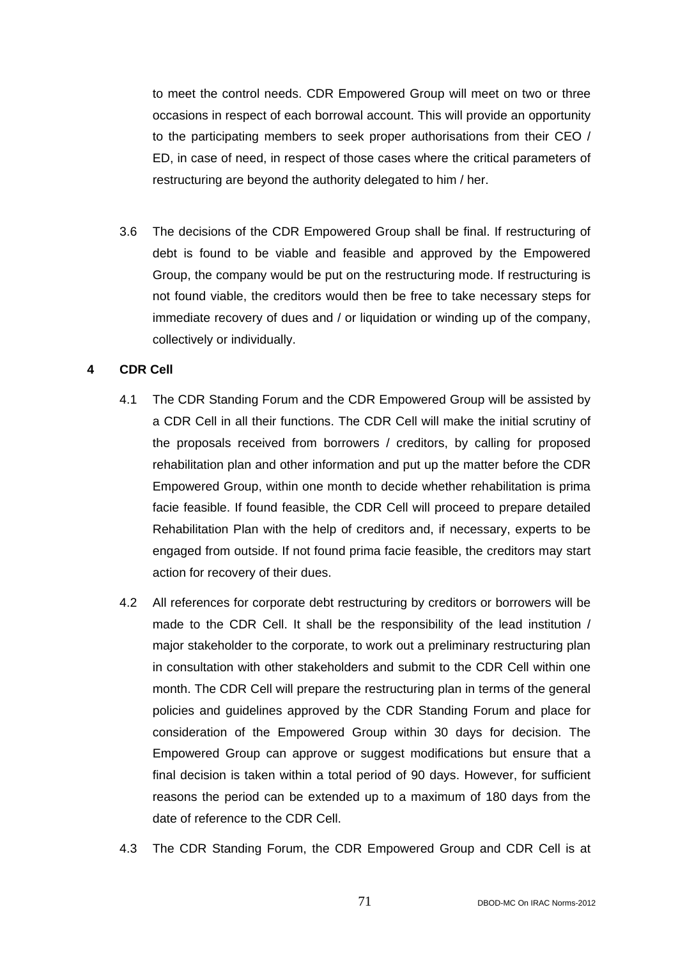to meet the control needs. CDR Empowered Group will meet on two or three occasions in respect of each borrowal account. This will provide an opportunity to the participating members to seek proper authorisations from their CEO / ED, in case of need, in respect of those cases where the critical parameters of restructuring are beyond the authority delegated to him / her.

3.6 The decisions of the CDR Empowered Group shall be final. If restructuring of debt is found to be viable and feasible and approved by the Empowered Group, the company would be put on the restructuring mode. If restructuring is not found viable, the creditors would then be free to take necessary steps for immediate recovery of dues and / or liquidation or winding up of the company, collectively or individually.

### **4 CDR Cell**

- 4.1 The CDR Standing Forum and the CDR Empowered Group will be assisted by a CDR Cell in all their functions. The CDR Cell will make the initial scrutiny of the proposals received from borrowers / creditors, by calling for proposed rehabilitation plan and other information and put up the matter before the CDR Empowered Group, within one month to decide whether rehabilitation is prima facie feasible. If found feasible, the CDR Cell will proceed to prepare detailed Rehabilitation Plan with the help of creditors and, if necessary, experts to be engaged from outside. If not found prima facie feasible, the creditors may start action for recovery of their dues.
- 4.2 All references for corporate debt restructuring by creditors or borrowers will be made to the CDR Cell. It shall be the responsibility of the lead institution / major stakeholder to the corporate, to work out a preliminary restructuring plan in consultation with other stakeholders and submit to the CDR Cell within one month. The CDR Cell will prepare the restructuring plan in terms of the general policies and guidelines approved by the CDR Standing Forum and place for consideration of the Empowered Group within 30 days for decision. The Empowered Group can approve or suggest modifications but ensure that a final decision is taken within a total period of 90 days. However, for sufficient reasons the period can be extended up to a maximum of 180 days from the date of reference to the CDR Cell.
- 4.3 The CDR Standing Forum, the CDR Empowered Group and CDR Cell is at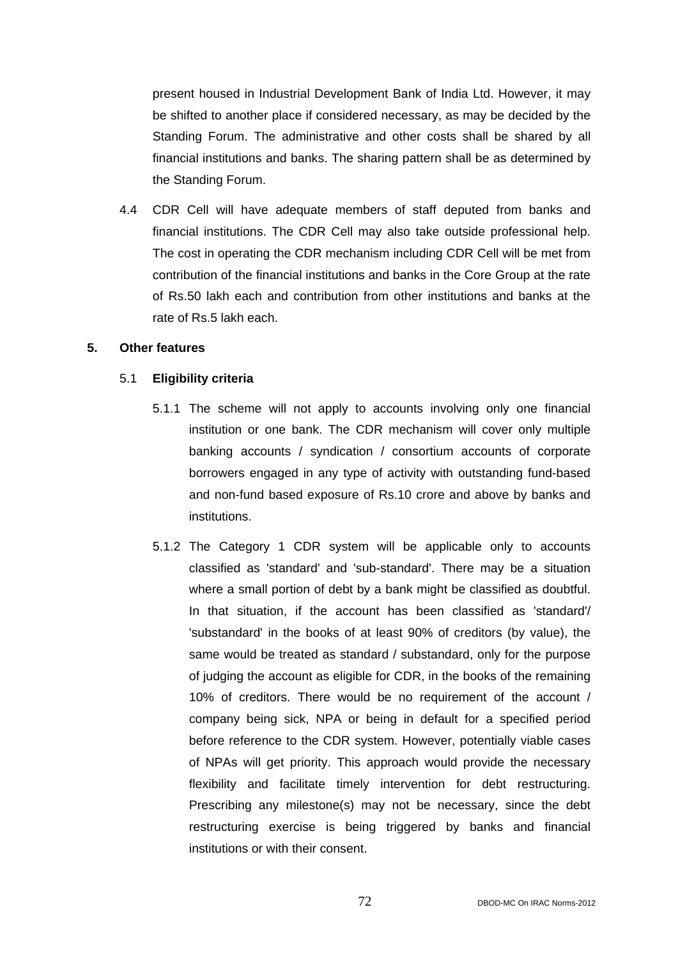present housed in Industrial Development Bank of India Ltd. However, it may be shifted to another place if considered necessary, as may be decided by the Standing Forum. The administrative and other costs shall be shared by all financial institutions and banks. The sharing pattern shall be as determined by the Standing Forum.

4.4 CDR Cell will have adequate members of staff deputed from banks and financial institutions. The CDR Cell may also take outside professional help. The cost in operating the CDR mechanism including CDR Cell will be met from contribution of the financial institutions and banks in the Core Group at the rate of Rs.50 lakh each and contribution from other institutions and banks at the rate of Rs.5 lakh each.

#### **5. Other features**

#### 5.1 **Eligibility criteria**

- 5.1.1 The scheme will not apply to accounts involving only one financial institution or one bank. The CDR mechanism will cover only multiple banking accounts / syndication / consortium accounts of corporate borrowers engaged in any type of activity with outstanding fund-based and non-fund based exposure of Rs.10 crore and above by banks and institutions.
- 5.1.2 The Category 1 CDR system will be applicable only to accounts classified as 'standard' and 'sub-standard'. There may be a situation where a small portion of debt by a bank might be classified as doubtful. In that situation, if the account has been classified as 'standard'/ 'substandard' in the books of at least 90% of creditors (by value), the same would be treated as standard / substandard, only for the purpose of judging the account as eligible for CDR, in the books of the remaining 10% of creditors. There would be no requirement of the account / company being sick, NPA or being in default for a specified period before reference to the CDR system. However, potentially viable cases of NPAs will get priority. This approach would provide the necessary flexibility and facilitate timely intervention for debt restructuring. Prescribing any milestone(s) may not be necessary, since the debt restructuring exercise is being triggered by banks and financial institutions or with their consent.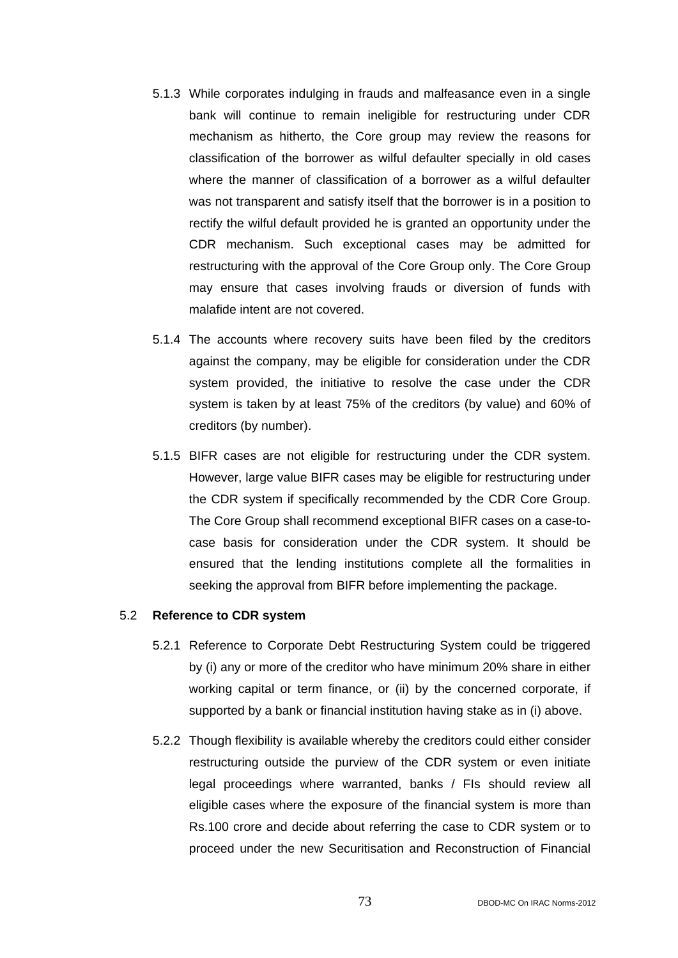- 5.1.3 While corporates indulging in frauds and malfeasance even in a single bank will continue to remain ineligible for restructuring under CDR mechanism as hitherto, the Core group may review the reasons for classification of the borrower as wilful defaulter specially in old cases where the manner of classification of a borrower as a wilful defaulter was not transparent and satisfy itself that the borrower is in a position to rectify the wilful default provided he is granted an opportunity under the CDR mechanism. Such exceptional cases may be admitted for restructuring with the approval of the Core Group only. The Core Group may ensure that cases involving frauds or diversion of funds with malafide intent are not covered.
- 5.1.4 The accounts where recovery suits have been filed by the creditors against the company, may be eligible for consideration under the CDR system provided, the initiative to resolve the case under the CDR system is taken by at least 75% of the creditors (by value) and 60% of creditors (by number).
- 5.1.5 BIFR cases are not eligible for restructuring under the CDR system. However, large value BIFR cases may be eligible for restructuring under the CDR system if specifically recommended by the CDR Core Group. The Core Group shall recommend exceptional BIFR cases on a case-tocase basis for consideration under the CDR system. It should be ensured that the lending institutions complete all the formalities in seeking the approval from BIFR before implementing the package.

#### 5.2 **Reference to CDR system**

- 5.2.1 Reference to Corporate Debt Restructuring System could be triggered by (i) any or more of the creditor who have minimum 20% share in either working capital or term finance, or (ii) by the concerned corporate, if supported by a bank or financial institution having stake as in (i) above.
- 5.2.2 Though flexibility is available whereby the creditors could either consider restructuring outside the purview of the CDR system or even initiate legal proceedings where warranted, banks / FIs should review all eligible cases where the exposure of the financial system is more than Rs.100 crore and decide about referring the case to CDR system or to proceed under the new Securitisation and Reconstruction of Financial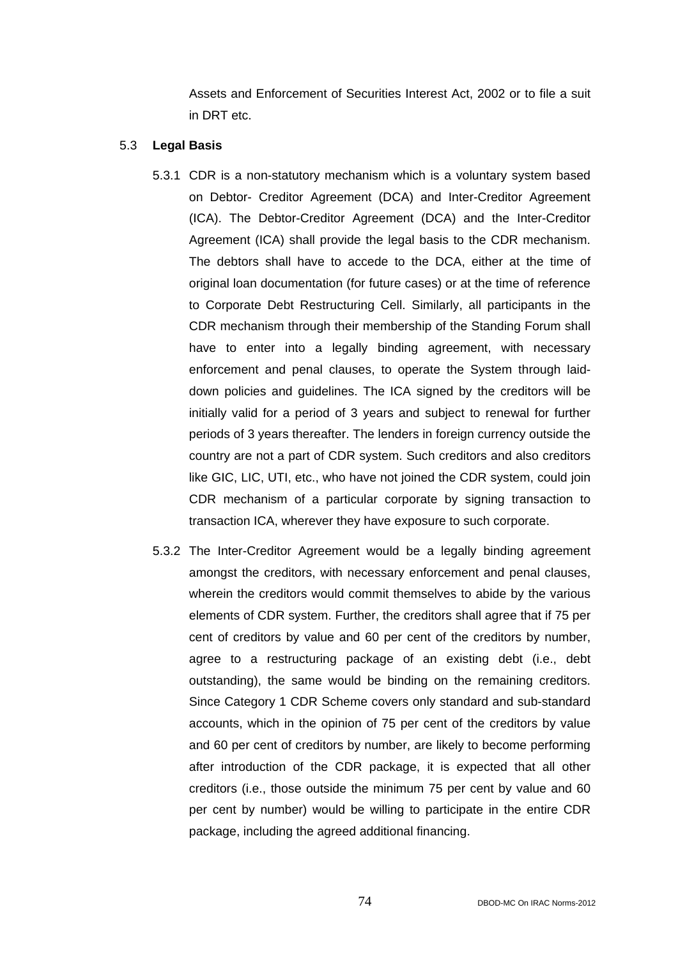Assets and Enforcement of Securities Interest Act, 2002 or to file a suit in DRT etc.

## 5.3 **Legal Basis**

- 5.3.1 CDR is a non-statutory mechanism which is a voluntary system based on Debtor- Creditor Agreement (DCA) and Inter-Creditor Agreement (ICA). The Debtor-Creditor Agreement (DCA) and the Inter-Creditor Agreement (ICA) shall provide the legal basis to the CDR mechanism. The debtors shall have to accede to the DCA, either at the time of original loan documentation (for future cases) or at the time of reference to Corporate Debt Restructuring Cell. Similarly, all participants in the CDR mechanism through their membership of the Standing Forum shall have to enter into a legally binding agreement, with necessary enforcement and penal clauses, to operate the System through laiddown policies and guidelines. The ICA signed by the creditors will be initially valid for a period of 3 years and subject to renewal for further periods of 3 years thereafter. The lenders in foreign currency outside the country are not a part of CDR system. Such creditors and also creditors like GIC, LIC, UTI, etc., who have not joined the CDR system, could join CDR mechanism of a particular corporate by signing transaction to transaction ICA, wherever they have exposure to such corporate.
- 5.3.2 The Inter-Creditor Agreement would be a legally binding agreement amongst the creditors, with necessary enforcement and penal clauses, wherein the creditors would commit themselves to abide by the various elements of CDR system. Further, the creditors shall agree that if 75 per cent of creditors by value and 60 per cent of the creditors by number, agree to a restructuring package of an existing debt (i.e., debt outstanding), the same would be binding on the remaining creditors. Since Category 1 CDR Scheme covers only standard and sub-standard accounts, which in the opinion of 75 per cent of the creditors by value and 60 per cent of creditors by number, are likely to become performing after introduction of the CDR package, it is expected that all other creditors (i.e., those outside the minimum 75 per cent by value and 60 per cent by number) would be willing to participate in the entire CDR package, including the agreed additional financing.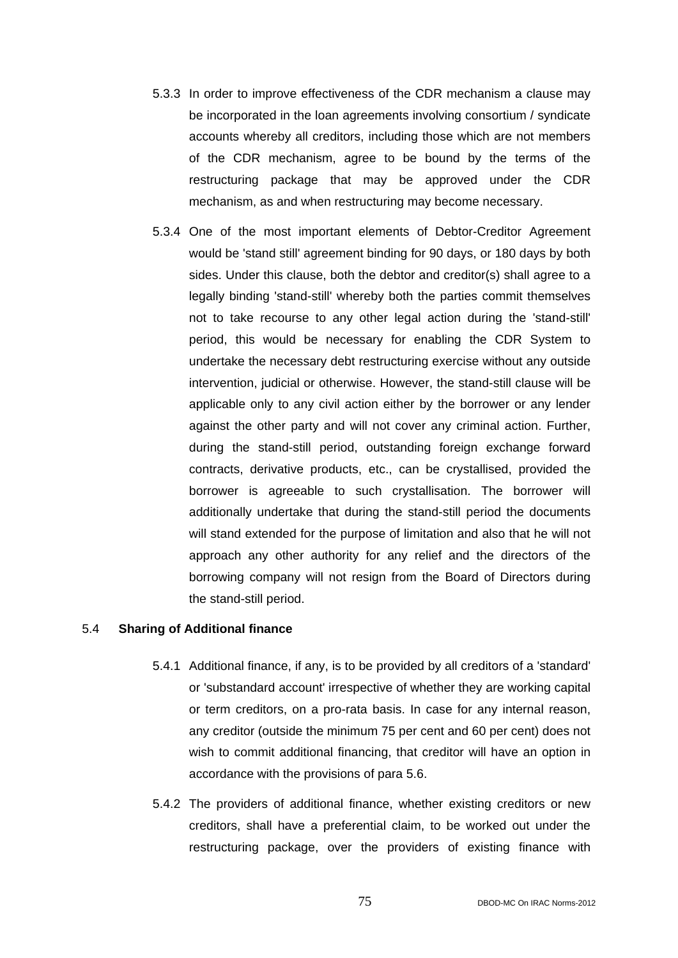- 5.3.3 In order to improve effectiveness of the CDR mechanism a clause may be incorporated in the loan agreements involving consortium / syndicate accounts whereby all creditors, including those which are not members of the CDR mechanism, agree to be bound by the terms of the restructuring package that may be approved under the CDR mechanism, as and when restructuring may become necessary.
- 5.3.4 One of the most important elements of Debtor-Creditor Agreement would be 'stand still' agreement binding for 90 days, or 180 days by both sides. Under this clause, both the debtor and creditor(s) shall agree to a legally binding 'stand-still' whereby both the parties commit themselves not to take recourse to any other legal action during the 'stand-still' period, this would be necessary for enabling the CDR System to undertake the necessary debt restructuring exercise without any outside intervention, judicial or otherwise. However, the stand-still clause will be applicable only to any civil action either by the borrower or any lender against the other party and will not cover any criminal action. Further, during the stand-still period, outstanding foreign exchange forward contracts, derivative products, etc., can be crystallised, provided the borrower is agreeable to such crystallisation. The borrower will additionally undertake that during the stand-still period the documents will stand extended for the purpose of limitation and also that he will not approach any other authority for any relief and the directors of the borrowing company will not resign from the Board of Directors during the stand-still period.

#### 5.4 **Sharing of Additional finance**

- 5.4.1 Additional finance, if any, is to be provided by all creditors of a 'standard' or 'substandard account' irrespective of whether they are working capital or term creditors, on a pro-rata basis. In case for any internal reason, any creditor (outside the minimum 75 per cent and 60 per cent) does not wish to commit additional financing, that creditor will have an option in accordance with the provisions of para 5.6.
- 5.4.2 The providers of additional finance, whether existing creditors or new creditors, shall have a preferential claim, to be worked out under the restructuring package, over the providers of existing finance with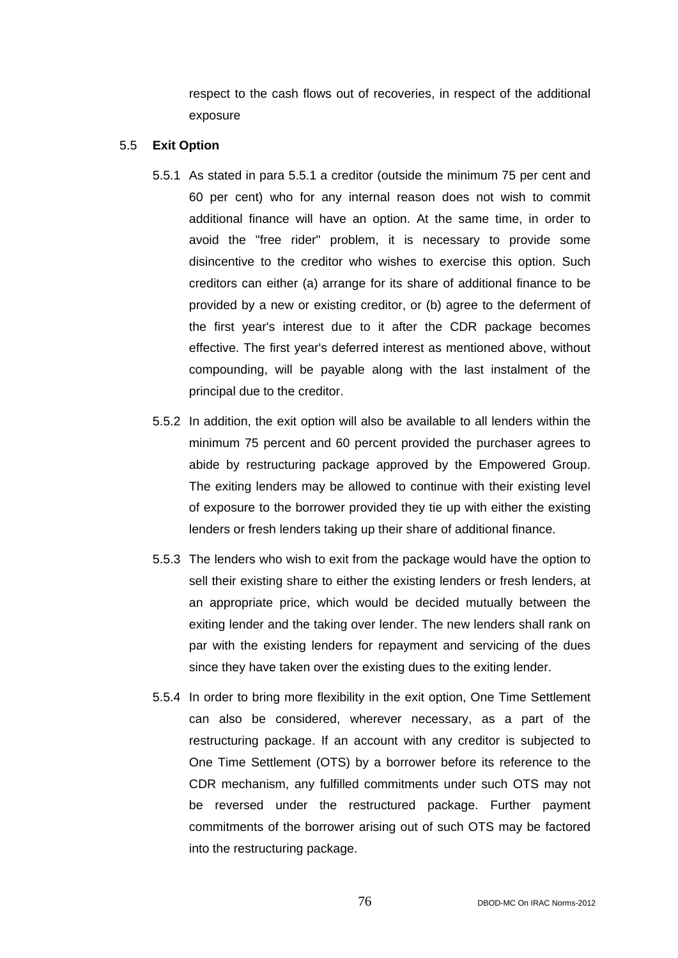respect to the cash flows out of recoveries, in respect of the additional exposure

## 5.5 **Exit Option**

- 5.5.1 As stated in para 5.5.1 a creditor (outside the minimum 75 per cent and 60 per cent) who for any internal reason does not wish to commit additional finance will have an option. At the same time, in order to avoid the "free rider" problem, it is necessary to provide some disincentive to the creditor who wishes to exercise this option. Such creditors can either (a) arrange for its share of additional finance to be provided by a new or existing creditor, or (b) agree to the deferment of the first year's interest due to it after the CDR package becomes effective. The first year's deferred interest as mentioned above, without compounding, will be payable along with the last instalment of the principal due to the creditor.
- 5.5.2 In addition, the exit option will also be available to all lenders within the minimum 75 percent and 60 percent provided the purchaser agrees to abide by restructuring package approved by the Empowered Group. The exiting lenders may be allowed to continue with their existing level of exposure to the borrower provided they tie up with either the existing lenders or fresh lenders taking up their share of additional finance.
- 5.5.3 The lenders who wish to exit from the package would have the option to sell their existing share to either the existing lenders or fresh lenders, at an appropriate price, which would be decided mutually between the exiting lender and the taking over lender. The new lenders shall rank on par with the existing lenders for repayment and servicing of the dues since they have taken over the existing dues to the exiting lender.
- 5.5.4 In order to bring more flexibility in the exit option, One Time Settlement can also be considered, wherever necessary, as a part of the restructuring package. If an account with any creditor is subjected to One Time Settlement (OTS) by a borrower before its reference to the CDR mechanism, any fulfilled commitments under such OTS may not be reversed under the restructured package. Further payment commitments of the borrower arising out of such OTS may be factored into the restructuring package.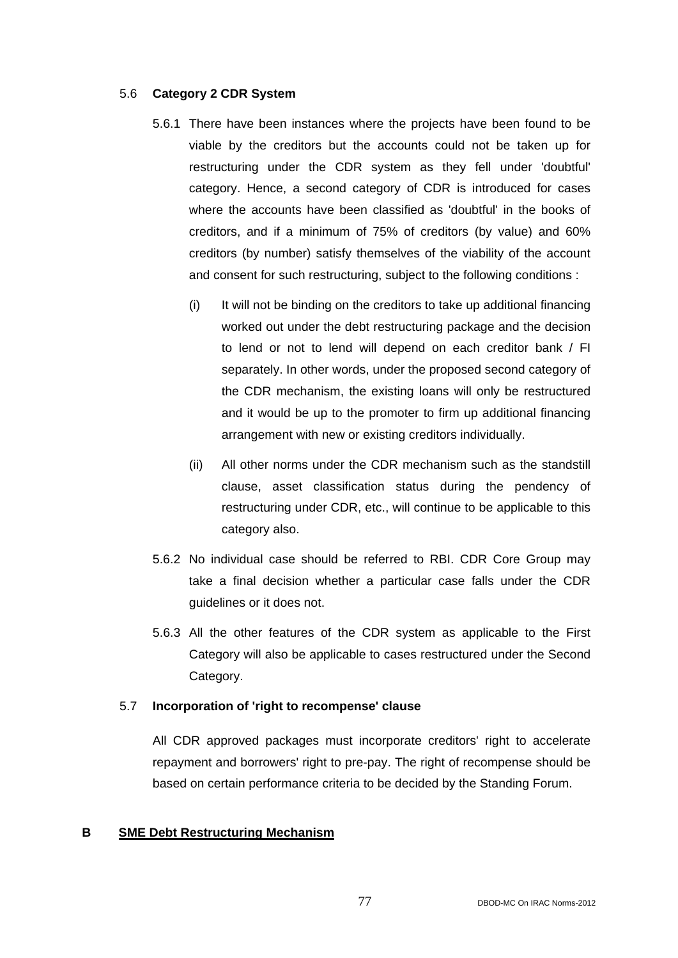## 5.6 **Category 2 CDR System**

- 5.6.1 There have been instances where the projects have been found to be viable by the creditors but the accounts could not be taken up for restructuring under the CDR system as they fell under 'doubtful' category. Hence, a second category of CDR is introduced for cases where the accounts have been classified as 'doubtful' in the books of creditors, and if a minimum of 75% of creditors (by value) and 60% creditors (by number) satisfy themselves of the viability of the account and consent for such restructuring, subject to the following conditions :
	- (i) It will not be binding on the creditors to take up additional financing worked out under the debt restructuring package and the decision to lend or not to lend will depend on each creditor bank / FI separately. In other words, under the proposed second category of the CDR mechanism, the existing loans will only be restructured and it would be up to the promoter to firm up additional financing arrangement with new or existing creditors individually.
	- (ii) All other norms under the CDR mechanism such as the standstill clause, asset classification status during the pendency of restructuring under CDR, etc., will continue to be applicable to this category also.
- 5.6.2 No individual case should be referred to RBI. CDR Core Group may take a final decision whether a particular case falls under the CDR guidelines or it does not.
- 5.6.3 All the other features of the CDR system as applicable to the First Category will also be applicable to cases restructured under the Second Category.

### 5.7 **Incorporation of 'right to recompense' clause**

All CDR approved packages must incorporate creditors' right to accelerate repayment and borrowers' right to pre-pay. The right of recompense should be based on certain performance criteria to be decided by the Standing Forum.

### **B SME Debt Restructuring Mechanism**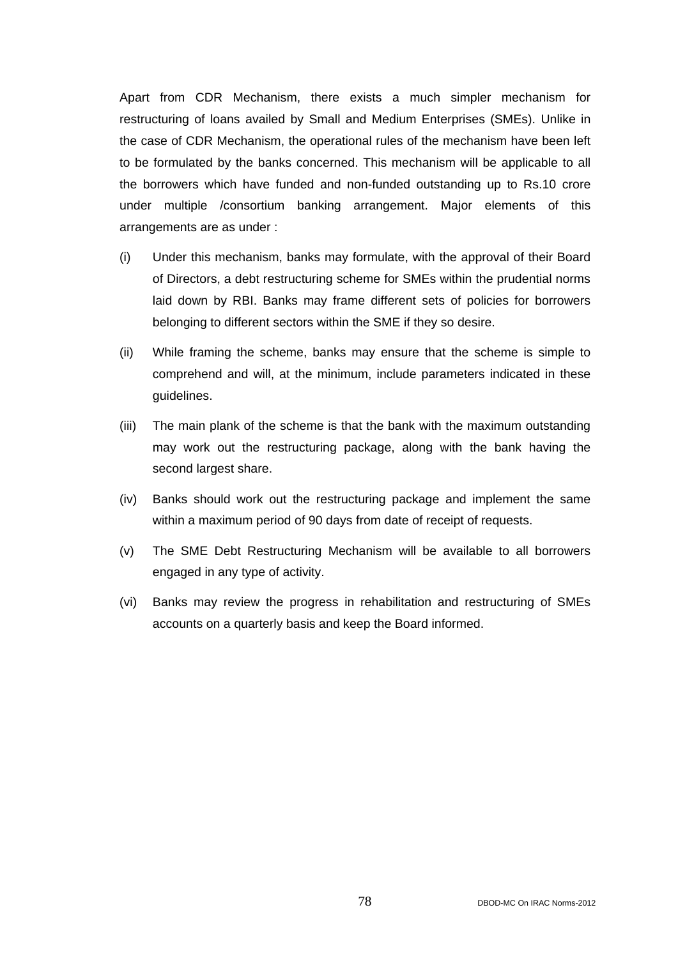Apart from CDR Mechanism, there exists a much simpler mechanism for restructuring of loans availed by Small and Medium Enterprises (SMEs). Unlike in the case of CDR Mechanism, the operational rules of the mechanism have been left to be formulated by the banks concerned. This mechanism will be applicable to all the borrowers which have funded and non-funded outstanding up to Rs.10 crore under multiple /consortium banking arrangement. Major elements of this arrangements are as under :

- (i) Under this mechanism, banks may formulate, with the approval of their Board of Directors, a debt restructuring scheme for SMEs within the prudential norms laid down by RBI. Banks may frame different sets of policies for borrowers belonging to different sectors within the SME if they so desire.
- (ii) While framing the scheme, banks may ensure that the scheme is simple to comprehend and will, at the minimum, include parameters indicated in these guidelines.
- (iii) The main plank of the scheme is that the bank with the maximum outstanding may work out the restructuring package, along with the bank having the second largest share.
- (iv) Banks should work out the restructuring package and implement the same within a maximum period of 90 days from date of receipt of requests.
- (v) The SME Debt Restructuring Mechanism will be available to all borrowers engaged in any type of activity.
- (vi) Banks may review the progress in rehabilitation and restructuring of SMEs accounts on a quarterly basis and keep the Board informed.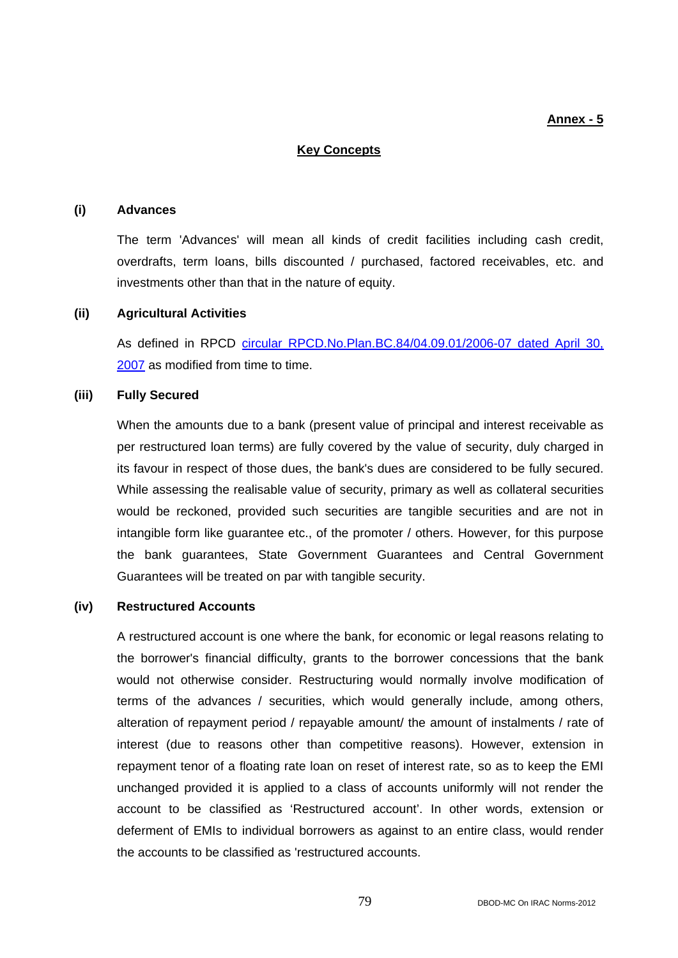## **Key Concepts**

#### **(i) Advances**

The term 'Advances' will mean all kinds of credit facilities including cash credit, overdrafts, term loans, bills discounted / purchased, factored receivables, etc. and investments other than that in the nature of equity.

#### **(ii) Agricultural Activities**

As defined in RPCD [circular RPCD.No.Plan.BC.84/04.09.01/2006-07 dated April 30,](http://rbi.org.in/scripts/NotificationUser.aspx?Id=3465&Mode=0)  [2007](http://rbi.org.in/scripts/NotificationUser.aspx?Id=3465&Mode=0) as modified from time to time.

### **(iii) Fully Secured**

When the amounts due to a bank (present value of principal and interest receivable as per restructured loan terms) are fully covered by the value of security, duly charged in its favour in respect of those dues, the bank's dues are considered to be fully secured. While assessing the realisable value of security, primary as well as collateral securities would be reckoned, provided such securities are tangible securities and are not in intangible form like guarantee etc., of the promoter / others. However, for this purpose the bank guarantees, State Government Guarantees and Central Government Guarantees will be treated on par with tangible security.

### **(iv) Restructured Accounts**

A restructured account is one where the bank, for economic or legal reasons relating to the borrower's financial difficulty, grants to the borrower concessions that the bank would not otherwise consider. Restructuring would normally involve modification of terms of the advances / securities, which would generally include, among others, alteration of repayment period / repayable amount/ the amount of instalments / rate of interest (due to reasons other than competitive reasons). However, extension in repayment tenor of a floating rate loan on reset of interest rate, so as to keep the EMI unchanged provided it is applied to a class of accounts uniformly will not render the account to be classified as 'Restructured account'. In other words, extension or deferment of EMIs to individual borrowers as against to an entire class, would render the accounts to be classified as 'restructured accounts.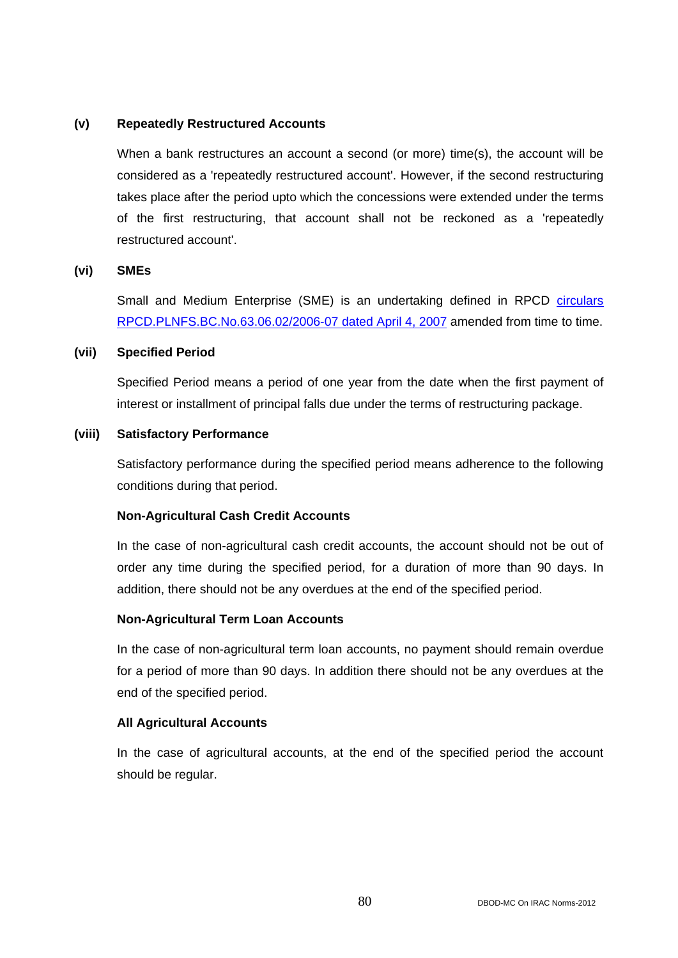## **(v) Repeatedly Restructured Accounts**

When a bank restructures an account a second (or more) time(s), the account will be considered as a 'repeatedly restructured account'. However, if the second restructuring takes place after the period upto which the concessions were extended under the terms of the first restructuring, that account shall not be reckoned as a 'repeatedly restructured account'.

### **(vi) SMEs**

Small and Medium Enterprise (SME) is an undertaking defined in RPCD [circulars](http://rbi.org.in/scripts/NotificationUser.aspx?Id=3391&Mode=0)  [RPCD.PLNFS.BC.No.63.06.02/2006-07 dated April 4, 2007](http://rbi.org.in/scripts/NotificationUser.aspx?Id=3391&Mode=0) amended from time to time.

#### **(vii) Specified Period**

Specified Period means a period of one year from the date when the first payment of interest or installment of principal falls due under the terms of restructuring package.

#### **(viii) Satisfactory Performance**

Satisfactory performance during the specified period means adherence to the following conditions during that period.

### **Non-Agricultural Cash Credit Accounts**

In the case of non-agricultural cash credit accounts, the account should not be out of order any time during the specified period, for a duration of more than 90 days. In addition, there should not be any overdues at the end of the specified period.

### **Non-Agricultural Term Loan Accounts**

In the case of non-agricultural term loan accounts, no payment should remain overdue for a period of more than 90 days. In addition there should not be any overdues at the end of the specified period.

#### **All Agricultural Accounts**

In the case of agricultural accounts, at the end of the specified period the account should be regular.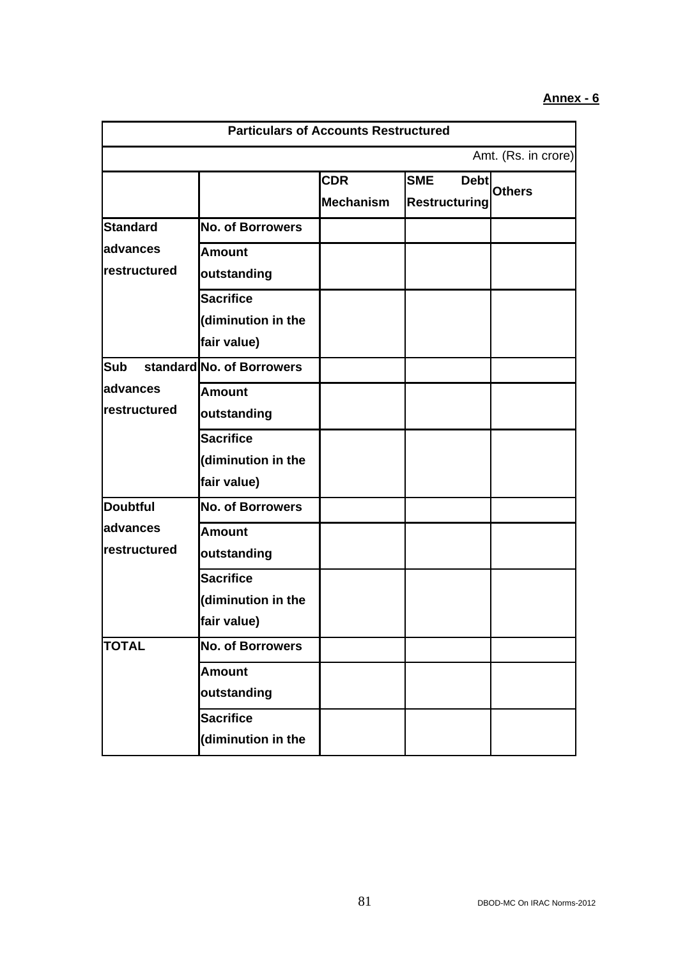| <b>Particulars of Accounts Restructured</b> |                           |                  |                           |                     |  |  |  |
|---------------------------------------------|---------------------------|------------------|---------------------------|---------------------|--|--|--|
|                                             |                           |                  |                           | Amt. (Rs. in crore) |  |  |  |
|                                             |                           | <b>CDR</b>       | <b>SME</b><br><b>Debt</b> | <b>Others</b>       |  |  |  |
|                                             |                           | <b>Mechanism</b> | <b>Restructuring</b>      |                     |  |  |  |
| <b>Standard</b>                             | No. of Borrowers          |                  |                           |                     |  |  |  |
| advances                                    | <b>Amount</b>             |                  |                           |                     |  |  |  |
| restructured                                | outstanding               |                  |                           |                     |  |  |  |
|                                             | <b>Sacrifice</b>          |                  |                           |                     |  |  |  |
|                                             | (diminution in the        |                  |                           |                     |  |  |  |
|                                             | fair value)               |                  |                           |                     |  |  |  |
| <b>Sub</b>                                  | standard No. of Borrowers |                  |                           |                     |  |  |  |
| ladvances                                   | <b>Amount</b>             |                  |                           |                     |  |  |  |
| restructured                                | outstanding               |                  |                           |                     |  |  |  |
|                                             | <b>Sacrifice</b>          |                  |                           |                     |  |  |  |
|                                             | (diminution in the        |                  |                           |                     |  |  |  |
|                                             | fair value)               |                  |                           |                     |  |  |  |
| <b>Doubtful</b>                             | No. of Borrowers          |                  |                           |                     |  |  |  |
| advances                                    | <b>Amount</b>             |                  |                           |                     |  |  |  |
| restructured                                | outstanding               |                  |                           |                     |  |  |  |
|                                             | <b>Sacrifice</b>          |                  |                           |                     |  |  |  |
|                                             | (diminution in the        |                  |                           |                     |  |  |  |
|                                             | fair value)               |                  |                           |                     |  |  |  |
| <b>TOTAL</b>                                | No. of Borrowers          |                  |                           |                     |  |  |  |
|                                             | <b>Amount</b>             |                  |                           |                     |  |  |  |
|                                             | outstanding               |                  |                           |                     |  |  |  |
|                                             | <b>Sacrifice</b>          |                  |                           |                     |  |  |  |
|                                             | (diminution in the        |                  |                           |                     |  |  |  |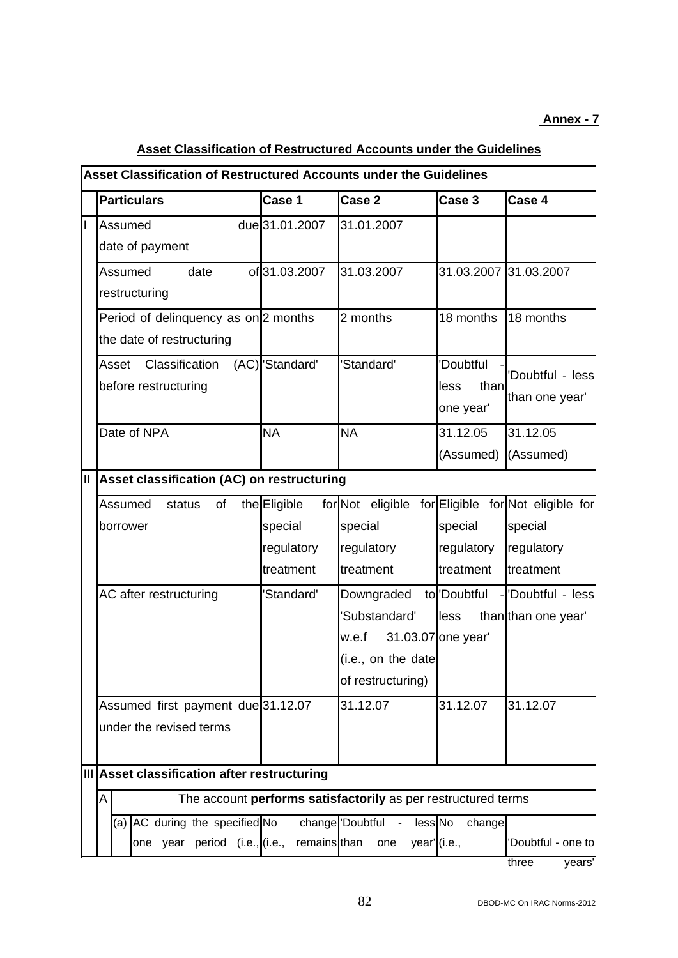# **Asset Classification of Restructured Accounts under the Guidelines**

|   | Asset Classification of Restructured Accounts under the Guidelines |                                              |                |                                                               |                       |                     |  |
|---|--------------------------------------------------------------------|----------------------------------------------|----------------|---------------------------------------------------------------|-----------------------|---------------------|--|
|   |                                                                    | <b>Particulars</b>                           | Case 1         | Case 2                                                        | Case 3                | Case 4              |  |
| L |                                                                    | Assumed                                      | due 31.01.2007 | 31.01.2007                                                    |                       |                     |  |
|   |                                                                    | date of payment                              |                |                                                               |                       |                     |  |
|   |                                                                    | Assumed<br>date                              | of 31.03.2007  | 31.03.2007                                                    | 31.03.2007 31.03.2007 |                     |  |
|   |                                                                    | restructuring                                |                |                                                               |                       |                     |  |
|   |                                                                    | Period of delinquency as on 2 months         |                | 2 months                                                      | 18 months             | 18 months           |  |
|   |                                                                    | the date of restructuring                    |                |                                                               |                       |                     |  |
|   |                                                                    | Classification<br>Asset                      | (AC) Standard' | 'Standard'                                                    | 'Doubtful             | 'Doubtful - less    |  |
|   |                                                                    | before restructuring                         |                |                                                               | than<br>less          | than one year'      |  |
|   |                                                                    |                                              |                |                                                               | one year'             |                     |  |
|   |                                                                    | Date of NPA                                  | <b>NA</b>      | <b>NA</b>                                                     | 31.12.05              | 31.12.05            |  |
|   |                                                                    |                                              |                |                                                               | (Assumed)             | (Assumed)           |  |
| Ш |                                                                    | Asset classification (AC) on restructuring   |                |                                                               |                       |                     |  |
|   |                                                                    | of<br>Assumed<br>status                      | the Eligible   | for Not eligible for Eligible for Not eligible for            |                       |                     |  |
|   |                                                                    | borrower                                     | special        | special                                                       | special               | special             |  |
|   |                                                                    |                                              | regulatory     | regulatory                                                    | regulatory            | regulatory          |  |
|   |                                                                    |                                              | treatment      | treatment                                                     | treatment             | treatment           |  |
|   |                                                                    | AC after restructuring                       | 'Standard'     | Downgraded                                                    | to Doubtful           | 'Doubtful - less    |  |
|   |                                                                    |                                              |                | 'Substandard'                                                 | less                  | than than one year' |  |
|   |                                                                    |                                              |                | w.e.f                                                         | 31.03.07 one year'    |                     |  |
|   |                                                                    |                                              |                | (i.e., on the date                                            |                       |                     |  |
|   |                                                                    |                                              |                | of restructuring)                                             |                       |                     |  |
|   |                                                                    | Assumed first payment due 31.12.07           |                | 31.12.07                                                      | 31.12.07              | 31.12.07            |  |
|   |                                                                    | under the revised terms                      |                |                                                               |                       |                     |  |
|   |                                                                    |                                              |                |                                                               |                       |                     |  |
|   |                                                                    | III Asset classification after restructuring |                |                                                               |                       |                     |  |
|   | A                                                                  |                                              |                | The account performs satisfactorily as per restructured terms |                       |                     |  |
|   |                                                                    | (a) $AC$ during the specified No             |                | change Doubtful<br>less No<br>$\qquad \qquad \blacksquare$    | change                |                     |  |
|   |                                                                    | one year period (i.e., (i.e.,                | remains than   | year'(i.e.,<br>one                                            |                       | 'Doubtful - one to  |  |

three years'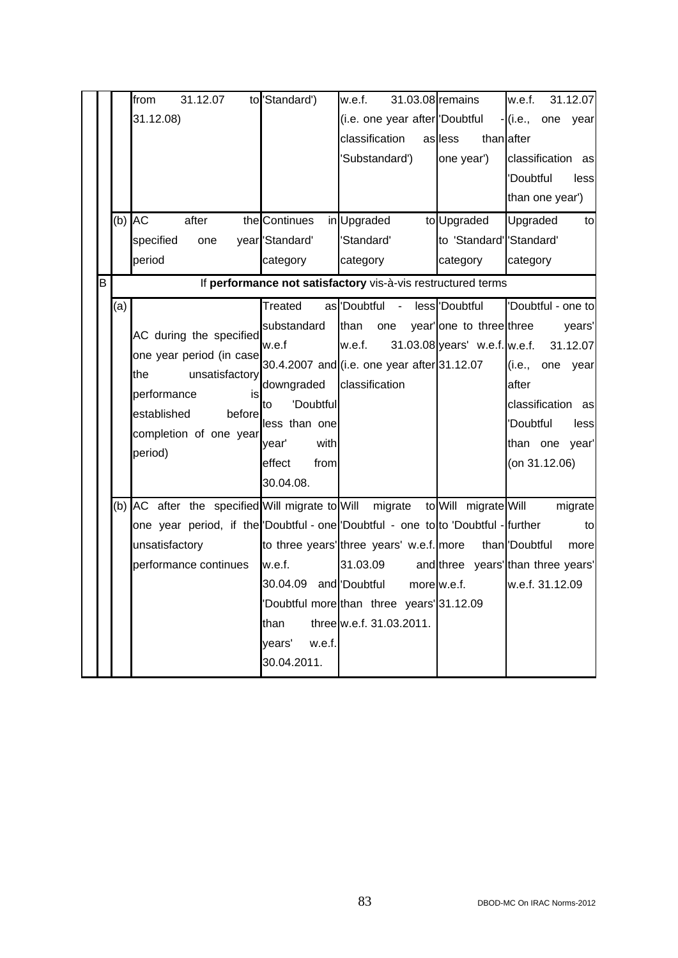|  |   |     | from           | 31.12.07                                                                          |        | to 'Standard')                                               |           | w.e.f.      |                          | 31.03.08 remains                   | w.e.f.              |     | 31.12.07           |
|--|---|-----|----------------|-----------------------------------------------------------------------------------|--------|--------------------------------------------------------------|-----------|-------------|--------------------------|------------------------------------|---------------------|-----|--------------------|
|  |   |     | 31.12.08)      |                                                                                   |        |                                                              |           |             |                          | (i.e. one year after Doubtful      | $-$ (i.e.,          | one | year               |
|  |   |     |                |                                                                                   |        |                                                              |           |             | classification           | asless                             | than after          |     |                    |
|  |   |     |                |                                                                                   |        |                                                              |           |             | 'Substandard')           | one year')                         | classification as   |     |                    |
|  |   |     |                |                                                                                   |        |                                                              |           |             |                          |                                    | 'Doubtful           |     | less               |
|  |   |     |                |                                                                                   |        |                                                              |           |             |                          |                                    | than one year')     |     |                    |
|  |   |     | $(b)$ AC       | after                                                                             |        | the Continues                                                |           | in Upgraded |                          | to Upgraded                        | Upgraded            |     | to                 |
|  |   |     | specified      | one                                                                               |        | year 'Standard'                                              |           | 'Standard'  |                          | to 'Standard' Standard'            |                     |     |                    |
|  |   |     | period         |                                                                                   |        | category                                                     |           | category    |                          | category                           | category            |     |                    |
|  | B |     |                |                                                                                   |        | If performance not satisfactory vis-à-vis restructured terms |           |             |                          |                                    |                     |     |                    |
|  |   | (a) |                |                                                                                   |        | Treated                                                      |           |             |                          | as Doubtful - less Doubtful        |                     |     | 'Doubtful - one to |
|  |   |     |                | AC during the specified                                                           |        | substandard                                                  |           | than        | one                      | year one to three three            |                     |     | years'             |
|  |   |     |                | one year period (in case                                                          |        | w.e.f                                                        |           | w.e.f.      |                          | 31.03.08 years' w.e.f. w.e.f.      |                     |     | 31.12.07           |
|  |   |     | the            |                                                                                   |        | 30.4.2007 and (i.e. one year after 31.12.07                  |           |             |                          |                                    | (i.e.,              |     | one year           |
|  |   |     |                | unsatisfactory                                                                    |        | downgraded                                                   |           |             | classification           |                                    | after               |     |                    |
|  |   |     | performance    |                                                                                   | is     | to                                                           | 'Doubtful |             |                          |                                    | classification      |     | as                 |
|  |   |     | established    |                                                                                   | before | less than one                                                |           |             |                          |                                    | 'Doubtful           |     | less               |
|  |   |     |                | completion of one year                                                            |        | year'                                                        | with      |             |                          |                                    | than one year'      |     |                    |
|  |   |     | period)        |                                                                                   |        | effect                                                       | from      |             |                          |                                    | $($ on 31.12.06 $)$ |     |                    |
|  |   |     |                |                                                                                   |        | 30.04.08.                                                    |           |             |                          |                                    |                     |     |                    |
|  |   |     |                | (b) AC after the specified Will migrate to Will                                   |        |                                                              |           |             | migrate                  | to Will migrate Will               |                     |     | migrate            |
|  |   |     |                | one year period, if the 'Doubtful - one 'Doubtful - one to to 'Doubtful - further |        |                                                              |           |             |                          |                                    |                     |     | to                 |
|  |   |     | unsatisfactory |                                                                                   |        | to three years' three years' w.e.f. more                     |           |             |                          |                                    | than Doubtful       |     | more               |
|  |   |     |                | performance continues                                                             |        | w.e.f.                                                       |           | 31.03.09    |                          | and three years' than three years' |                     |     |                    |
|  |   |     |                |                                                                                   |        | 30.04.09 and Doubtful                                        |           |             |                          | more w.e.f.                        | w.e.f. 31.12.09     |     |                    |
|  |   |     |                |                                                                                   |        | 'Doubtful more than three years' 31.12.09                    |           |             |                          |                                    |                     |     |                    |
|  |   |     |                |                                                                                   |        | than                                                         |           |             | three w.e.f. 31.03.2011. |                                    |                     |     |                    |
|  |   |     |                |                                                                                   |        | years'                                                       | w.e.f.    |             |                          |                                    |                     |     |                    |
|  |   |     |                |                                                                                   |        | 30.04.2011.                                                  |           |             |                          |                                    |                     |     |                    |
|  |   |     |                |                                                                                   |        |                                                              |           |             |                          |                                    |                     |     |                    |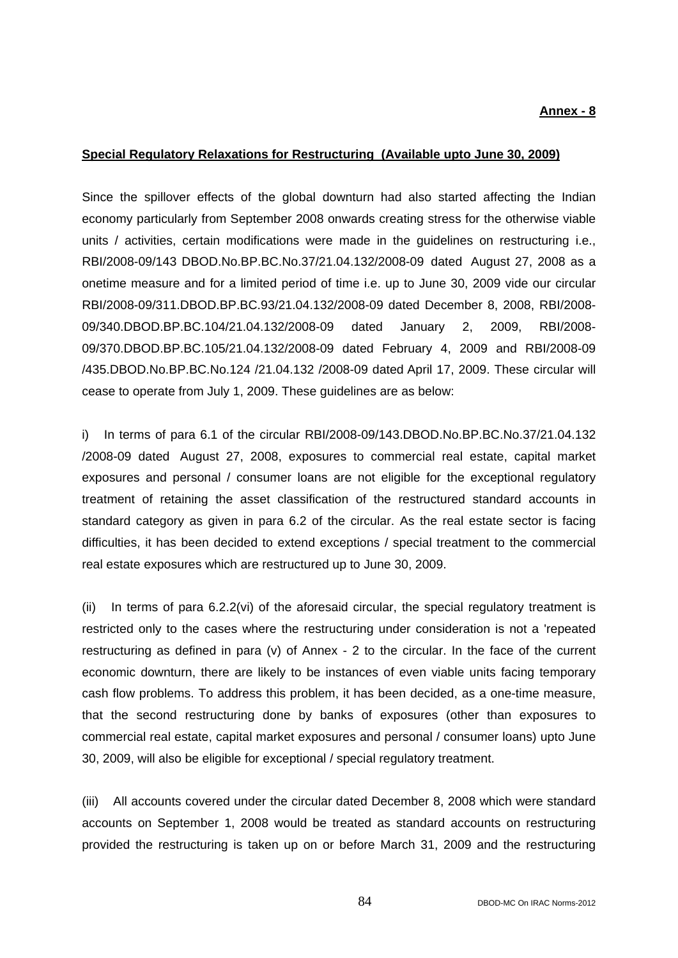#### **Special Regulatory Relaxations for Restructuring (Available upto June 30, 2009)**

Since the spillover effects of the global downturn had also started affecting the Indian economy particularly from September 2008 onwards creating stress for the otherwise viable units / activities, certain modifications were made in the guidelines on restructuring i.e., RBI/2008-09/143 DBOD.No.BP.BC.No.37/21.04.132/2008-09 dated August 27, 2008 as a onetime measure and for a limited period of time i.e. up to June 30, 2009 vide our circular RBI/2008-09/311[.DBOD.BP.BC.93/21.04.132/2008-09](http://10.24.1.98/kmt/GetDocument.asp?PageRef=regulator/rbi/dbod/rbi9308-12-2008.htm) dated December 8, 2008, RBI/2008- 09/340.[DBOD.BP.BC.104/21.04.132/2008-09](http://10.24.1.98/kmt/GetDocument.asp?PageRef=regulator/rbi/dbod/rbi9308-12-2008.htm) dated January 2, 2009, RBI/2008- 09/370.[DBOD.BP.BC.105/21.04.132/2008-09](http://10.24.1.98/kmt/GetDocument.asp?PageRef=regulator/rbi/dbod/rbi9308-12-2008.htm) dated February 4, 2009 and RBI/2008-09 /435.DBOD.No.BP.BC.No.124 /21.04.132 /2008-09 dated April 17, 2009. These circular will cease to operate from July 1, 2009. These guidelines are as below:

i) In terms of [para 6.1](http://10.24.1.98/kmt/GetDocument.asp?PageRef=rbic/restrctrng_advbks.htm#para6.1) of the circular RBI/2008-09/143.DBOD.No.BP.BC.No.37/21.04.132 /2008-09 dated August 27, 2008, exposures to commercial real estate, capital market exposures and personal / consumer loans are not eligible for the exceptional regulatory treatment of retaining the asset classification of the restructured standard accounts in standard category as given in [para 6.2](http://10.24.1.98/kmt/GetDocument.asp?PageRef=rbic/restrctrng_advbks.htm#6.2) of the circular. As the real estate sector is facing difficulties, it has been decided to extend exceptions / special treatment to the commercial real estate exposures which are restructured up to June 30, 2009.

(ii) In terms of [para 6.2.2\(vi\)](http://10.24.1.98/kmt/GetDocument.asp?PageRef=rbic/restrctrng_advbks.htm#6.2.2vi) of the aforesaid circular, the special regulatory treatment is restricted only to the cases where the restructuring under consideration is not a 'repeated restructuring as defined in [para \(v\)](http://10.24.1.98/kmt/GetDocument.asp?PageRef=rbic/restrctrng_advbks.htm#parav) of Annex - 2 to the circular. In the face of the current economic downturn, there are likely to be instances of even viable units facing temporary cash flow problems. To address this problem, it has been decided, as a one-time measure, that the second restructuring done by banks of exposures (other than exposures to commercial real estate, capital market exposures and personal / consumer loans) upto June 30, 2009, will also be eligible for exceptional / special regulatory treatment.

(iii) All accounts covered under the circular dated December 8, 2008 which were standard accounts on September 1, 2008 would be treated as standard accounts on restructuring provided the restructuring is taken up on or before March 31, 2009 and the restructuring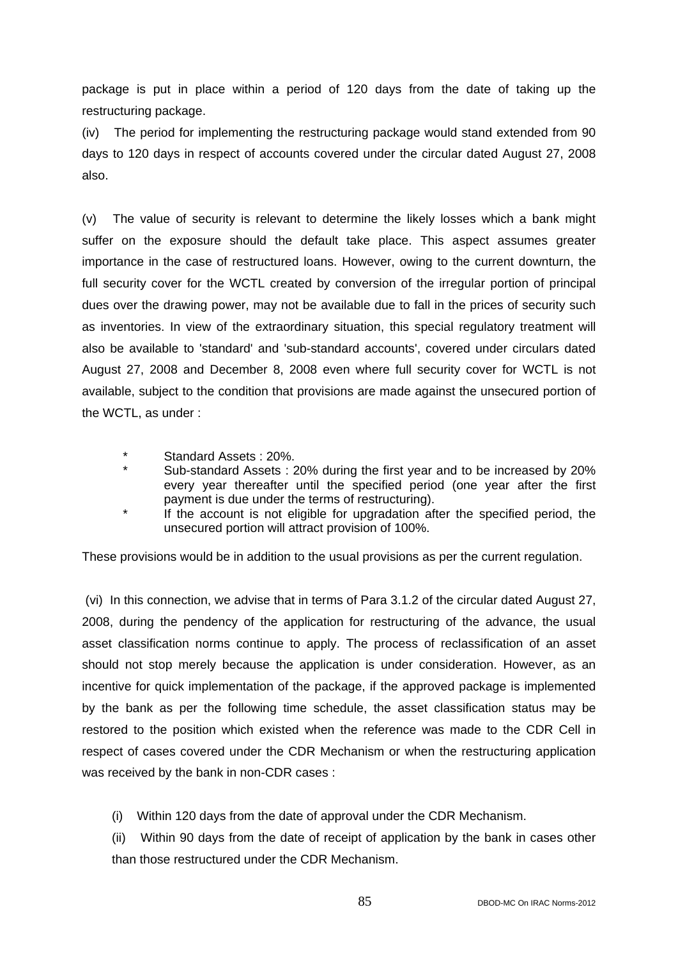package is put in place within a period of 120 days from the date of taking up the restructuring package.

(iv) The period for implementing the restructuring package would stand extended from 90 days to 120 days in respect of accounts covered under the circular dated August 27, 2008 also.

(v) The value of security is relevant to determine the likely losses which a bank might suffer on the exposure should the default take place. This aspect assumes greater importance in the case of restructured loans. However, owing to the current downturn, the full security cover for the WCTL created by conversion of the irregular portion of principal dues over the drawing power, may not be available due to fall in the prices of security such as inventories. In view of the extraordinary situation, this special regulatory treatment will also be available to 'standard' and 'sub-standard accounts', covered under circulars dated [August 27, 2008](http://10.24.1.98/kmt/GetDocument.asp?PageRef=regulator/rbi/dbod/rbi3727-08-2008.htm) and [December 8, 2008](http://10.24.1.98/kmt/GetDocument.asp?PageRef=regulator/rbi/dbod/rbi9308-12-2008.htm) even where full security cover for WCTL is not available, subject to the condition that provisions are made against the unsecured portion of the WCTL, as under :

- Standard Assets : 20%.
- Sub-standard Assets : 20% during the first year and to be increased by 20% every year thereafter until the specified period (one year after the first payment is due under the terms of restructuring).
- If the account is not eligible for upgradation after the specified period, the unsecured portion will attract provision of 100%.

These provisions would be in addition to the usual provisions as per the current regulation.

 (vi) In this connection, we advise that in terms of [Para 3.1.2](http://10.24.1.98/kmt/GetDocument.asp?PageRef=rbic/restrctrng_advbks.htm#3.1) of the circular dated August 27, 2008, during the pendency of the application for restructuring of the advance, the usual asset classification norms continue to apply. The process of reclassification of an asset should not stop merely because the application is under consideration. However, as an incentive for quick implementation of the package, if the approved package is implemented by the bank as per the following time schedule, the asset classification status may be restored to the position which existed when the reference was made to the CDR Cell in respect of cases covered under the CDR Mechanism or when the restructuring application was received by the bank in non-CDR cases :

(i) Within 120 days from the date of approval under the CDR Mechanism.

(ii) Within 90 days from the date of receipt of application by the bank in cases other than those restructured under the CDR Mechanism.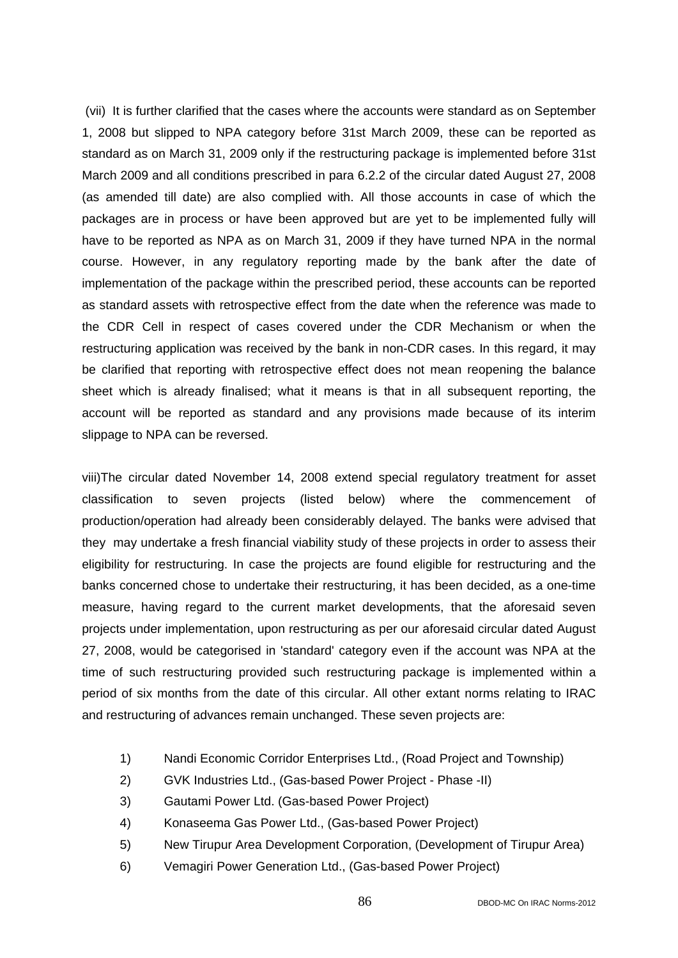(vii) It is further clarified that the cases where the accounts were standard as on September 1, 2008 but slipped to NPA category before 31st March 2009, these can be reported as standard as on March 31, 2009 only if the restructuring package is implemented before 31st March 2009 and all conditions prescribed in [para 6.2.2](http://10.24.1.98/kmt/GetDocument.asp?PageRef=rbic/restrctrng_advbks.htm#6.2.1) of the circular dated August 27, 2008 (as amended till date) are also complied with. All those accounts in case of which the packages are in process or have been approved but are yet to be implemented fully will have to be reported as NPA as on March 31, 2009 if they have turned NPA in the normal course. However, in any regulatory reporting made by the bank after the date of implementation of the package within the prescribed period, these accounts can be reported as standard assets with retrospective effect from the date when the reference was made to the CDR Cell in respect of cases covered under the CDR Mechanism or when the restructuring application was received by the bank in non-CDR cases. In this regard, it may be clarified that reporting with retrospective effect does not mean reopening the balance sheet which is already finalised; what it means is that in all subsequent reporting, the account will be reported as standard and any provisions made because of its interim slippage to NPA can be reversed.

viii)The circular dated November 14, 2008 extend special regulatory treatment for asset classification to seven projects (listed below) where the commencement of production/operation had already been considerably delayed. The banks were advised that they may undertake a fresh financial viability study of these projects in order to assess their eligibility for restructuring. In case the projects are found eligible for restructuring and the banks concerned chose to undertake their restructuring, it has been decided, as a one-time measure, having regard to the current market developments, that the aforesaid seven projects under implementation, upon restructuring as per our aforesaid circular dated August 27, 2008, would be categorised in 'standard' category even if the account was NPA at the time of such restructuring provided such restructuring package is implemented within a period of six months from the date of this circular. All other extant norms relating to IRAC and restructuring of advances remain unchanged. These seven projects are:

- 1) Nandi Economic Corridor Enterprises Ltd., (Road Project and Township)
- 2) GVK Industries Ltd., (Gas-based Power Project Phase -II)
- 3) Gautami Power Ltd. (Gas-based Power Project)
- 4) Konaseema Gas Power Ltd., (Gas-based Power Project)
- 5) New Tirupur Area Development Corporation, (Development of Tirupur Area)
- 6) Vemagiri Power Generation Ltd., (Gas-based Power Project)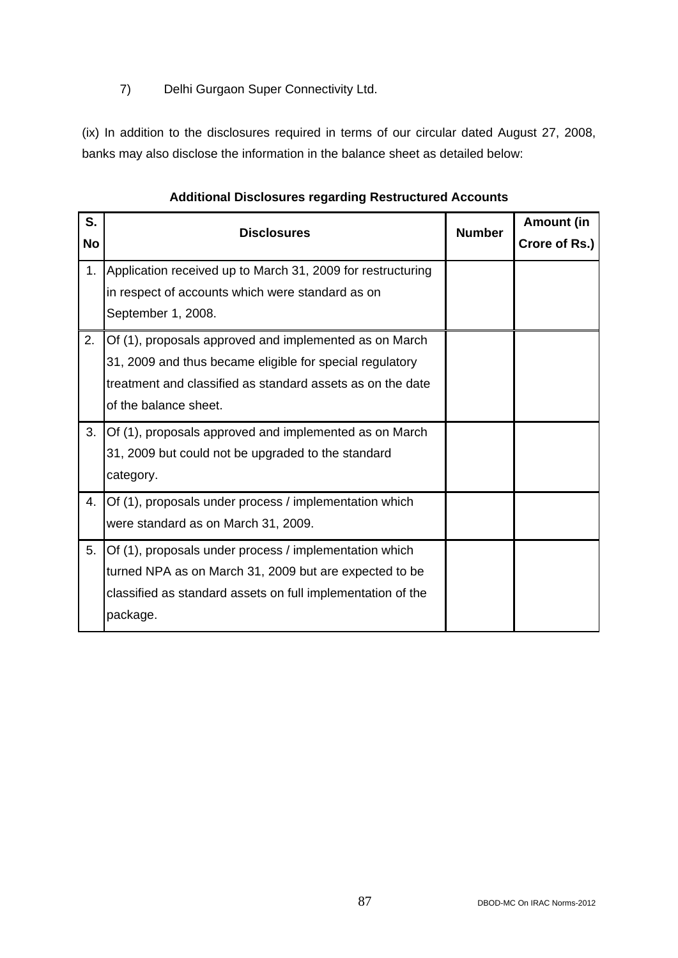## 7) Delhi Gurgaon Super Connectivity Ltd.

(ix) In addition to the disclosures required in terms of our circular dated August 27, 2008, banks may also disclose the information in the balance sheet as detailed below:

| S.<br><b>No</b> | <b>Disclosures</b>                                                                                                                                                                                        | <b>Number</b> | <b>Amount (in</b><br>Crore of Rs.) |
|-----------------|-----------------------------------------------------------------------------------------------------------------------------------------------------------------------------------------------------------|---------------|------------------------------------|
| 1.              | Application received up to March 31, 2009 for restructuring<br>in respect of accounts which were standard as on<br>September 1, 2008.                                                                     |               |                                    |
| 2.              | Of (1), proposals approved and implemented as on March<br>31, 2009 and thus became eligible for special regulatory<br>treatment and classified as standard assets as on the date<br>of the balance sheet. |               |                                    |
| 3.              | Of (1), proposals approved and implemented as on March<br>31, 2009 but could not be upgraded to the standard<br>category.                                                                                 |               |                                    |
| 4.              | Of (1), proposals under process / implementation which<br>were standard as on March 31, 2009.                                                                                                             |               |                                    |
| 5.              | Of (1), proposals under process / implementation which<br>turned NPA as on March 31, 2009 but are expected to be<br>classified as standard assets on full implementation of the<br>package.               |               |                                    |

## **Additional Disclosures regarding Restructured Accounts**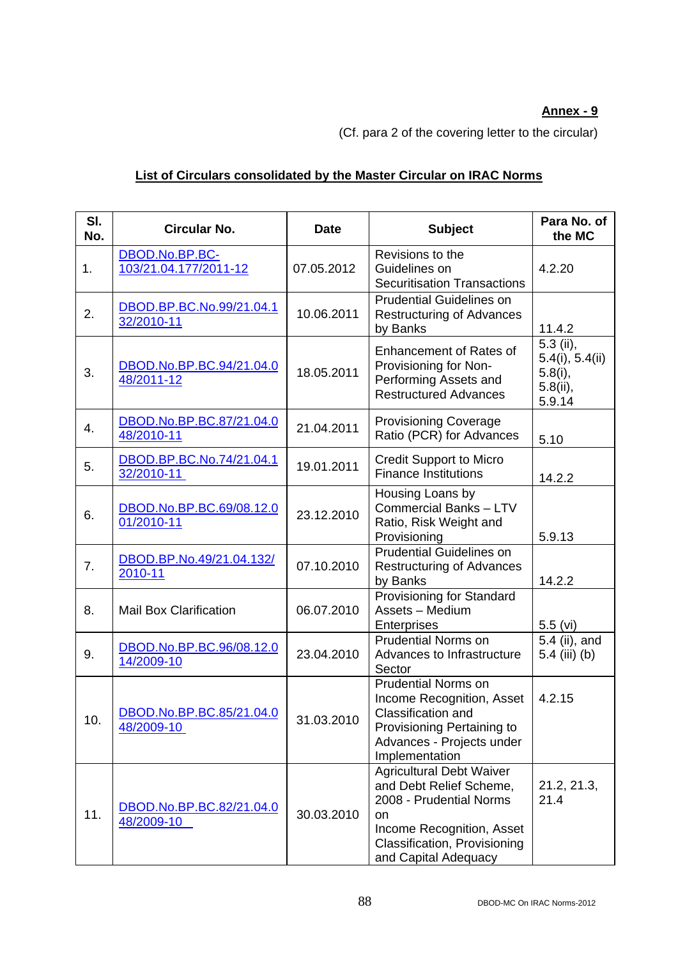(Cf. para 2 of the covering letter to the circular)

## **List of Circulars consolidated by the Master Circular on IRAC Norms**

| SI.<br>No. | <b>Circular No.</b>                     | <b>Date</b> | <b>Subject</b>                                                                                                                                                                          | Para No. of<br>the MC                                                         |
|------------|-----------------------------------------|-------------|-----------------------------------------------------------------------------------------------------------------------------------------------------------------------------------------|-------------------------------------------------------------------------------|
| 1.         | DBOD.No.BP.BC-<br>103/21.04.177/2011-12 | 07.05.2012  | Revisions to the<br>Guidelines on<br><b>Securitisation Transactions</b>                                                                                                                 | 4.2.20                                                                        |
| 2.         | DBOD.BP.BC.No.99/21.04.1<br>32/2010-11  | 10.06.2011  | <b>Prudential Guidelines on</b><br><b>Restructuring of Advances</b><br>by Banks                                                                                                         | 11.4.2                                                                        |
| 3.         | DBOD.No.BP.BC.94/21.04.0<br>48/2011-12  | 18.05.2011  | <b>Enhancement of Rates of</b><br>Provisioning for Non-<br>Performing Assets and<br><b>Restructured Advances</b>                                                                        | $\overline{5.3}$ (ii),<br>5.4(i), 5.4(ii)<br>5.8(i),<br>$5.8(ii)$ ,<br>5.9.14 |
| 4.         | DBOD.No.BP.BC.87/21.04.0<br>48/2010-11  | 21.04.2011  | <b>Provisioning Coverage</b><br>Ratio (PCR) for Advances                                                                                                                                | 5.10                                                                          |
| 5.         | DBOD.BP.BC.No.74/21.04.1<br>32/2010-11  | 19.01.2011  | <b>Credit Support to Micro</b><br><b>Finance Institutions</b>                                                                                                                           | 14.2.2                                                                        |
| 6.         | DBOD.No.BP.BC.69/08.12.0<br>01/2010-11  | 23.12.2010  | Housing Loans by<br><b>Commercial Banks - LTV</b><br>Ratio, Risk Weight and<br>Provisioning                                                                                             | 5.9.13                                                                        |
| 7.         | DBOD.BP.No.49/21.04.132/<br>2010-11     | 07.10.2010  | <b>Prudential Guidelines on</b><br><b>Restructuring of Advances</b><br>by Banks                                                                                                         | 14.2.2                                                                        |
| 8.         | <b>Mail Box Clarification</b>           | 06.07.2010  | Provisioning for Standard<br>Assets - Medium<br>Enterprises                                                                                                                             | 5.5 (vi)                                                                      |
| 9.         | DBOD.No.BP.BC.96/08.12.0<br>14/2009-10  | 23.04.2010  | <b>Prudential Norms on</b><br>Advances to Infrastructure<br>Sector                                                                                                                      | 5.4 (ii), and<br>5.4 (iii) (b)                                                |
| 10.        | DBOD.No.BP.BC.85/21.04.0<br>48/2009-10  | 31.03.2010  | <b>Prudential Norms on</b><br>Income Recognition, Asset<br><b>Classification and</b><br>Provisioning Pertaining to<br>Advances - Projects under<br>Implementation                       | 4.2.15                                                                        |
| 11.        | DBOD.No.BP.BC.82/21.04.0<br>48/2009-10  | 30.03.2010  | <b>Agricultural Debt Waiver</b><br>and Debt Relief Scheme,<br>2008 - Prudential Norms<br><b>on</b><br>Income Recognition, Asset<br>Classification, Provisioning<br>and Capital Adequacy | 21.2, 21.3,<br>21.4                                                           |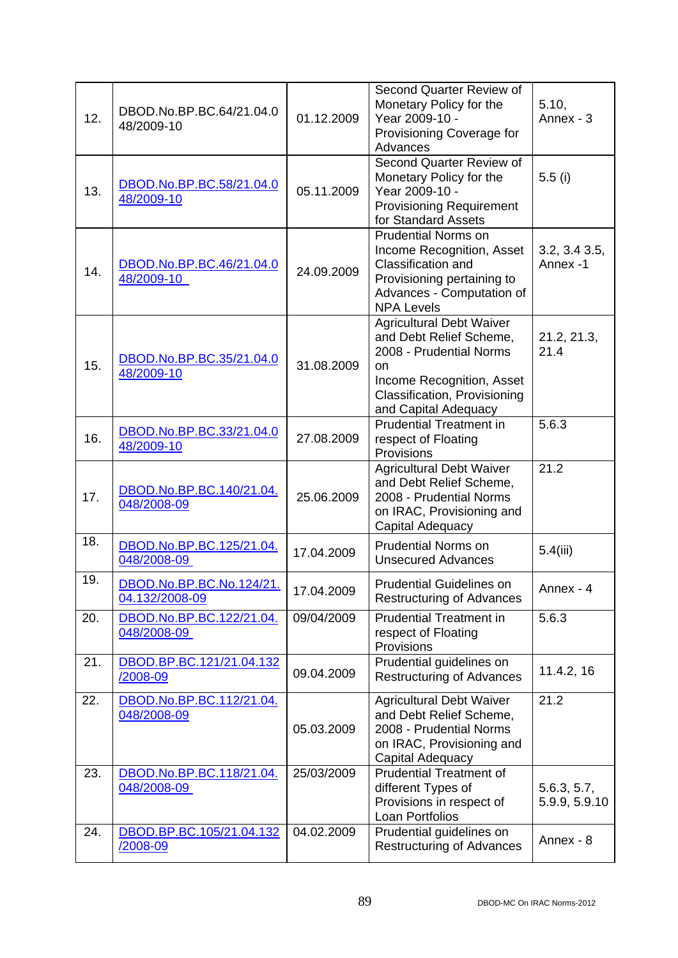| 12. | DBOD.No.BP.BC.64/21.04.0<br>48/2009-10     | 01.12.2009 | Second Quarter Review of<br>Monetary Policy for the<br>Year 2009-10 -<br>Provisioning Coverage for<br>Advances                                                                   | 5.10,<br>Annex - 3           |
|-----|--------------------------------------------|------------|----------------------------------------------------------------------------------------------------------------------------------------------------------------------------------|------------------------------|
| 13. | DBOD.No.BP.BC.58/21.04.0<br>48/2009-10     | 05.11.2009 | Second Quarter Review of<br>Monetary Policy for the<br>Year 2009-10 -<br><b>Provisioning Requirement</b><br>for Standard Assets                                                  | 5.5(i)                       |
| 14. | DBOD.No.BP.BC.46/21.04.0<br>48/2009-10     | 24.09.2009 | <b>Prudential Norms on</b><br>Income Recognition, Asset<br>Classification and<br>Provisioning pertaining to<br>Advances - Computation of<br><b>NPA Levels</b>                    | 3.2, 3.43.5,<br>Annex -1     |
| 15. | DBOD.No.BP.BC.35/21.04.0<br>48/2009-10     | 31.08.2009 | <b>Agricultural Debt Waiver</b><br>and Debt Relief Scheme,<br>2008 - Prudential Norms<br>on<br>Income Recognition, Asset<br>Classification, Provisioning<br>and Capital Adequacy | 21.2, 21.3,<br>21.4          |
| 16. | DBOD.No.BP.BC.33/21.04.0<br>48/2009-10     | 27.08.2009 | <b>Prudential Treatment in</b><br>respect of Floating<br>Provisions                                                                                                              | 5.6.3                        |
| 17. | DBOD.No.BP.BC.140/21.04.<br>048/2008-09    | 25.06.2009 | <b>Agricultural Debt Waiver</b><br>and Debt Relief Scheme,<br>2008 - Prudential Norms<br>on IRAC, Provisioning and<br>Capital Adequacy                                           | 21.2                         |
| 18. | DBOD.No.BP.BC.125/21.04.<br>048/2008-09    | 17.04.2009 | <b>Prudential Norms on</b><br><b>Unsecured Advances</b>                                                                                                                          | 5.4(iii)                     |
| 19. | DBOD.No.BP.BC.No.124/21.<br>04.132/2008-09 | 17.04.2009 | <b>Prudential Guidelines on</b><br><b>Restructuring of Advances</b>                                                                                                              | Annex - 4                    |
| 20. | DBOD.No.BP.BC.122/21.04.<br>048/2008-09    | 09/04/2009 | <b>Prudential Treatment in</b><br>respect of Floating<br>Provisions                                                                                                              | 5.6.3                        |
| 21. | DBOD.BP.BC.121/21.04.132<br>/2008-09       | 09.04.2009 | Prudential guidelines on<br><b>Restructuring of Advances</b>                                                                                                                     | 11.4.2, 16                   |
| 22. | DBOD.No.BP.BC.112/21.04.<br>048/2008-09    | 05.03.2009 | <b>Agricultural Debt Waiver</b><br>and Debt Relief Scheme,<br>2008 - Prudential Norms<br>on IRAC, Provisioning and<br>Capital Adequacy                                           | 21.2                         |
| 23. | DBOD.No.BP.BC.118/21.04.<br>048/2008-09    | 25/03/2009 | <b>Prudential Treatment of</b><br>different Types of<br>Provisions in respect of<br>Loan Portfolios                                                                              | 5.6.3, 5.7,<br>5.9.9, 5.9.10 |
| 24. | DBOD.BP.BC.105/21.04.132<br>/2008-09       | 04.02.2009 | Prudential guidelines on<br><b>Restructuring of Advances</b>                                                                                                                     | Annex - 8                    |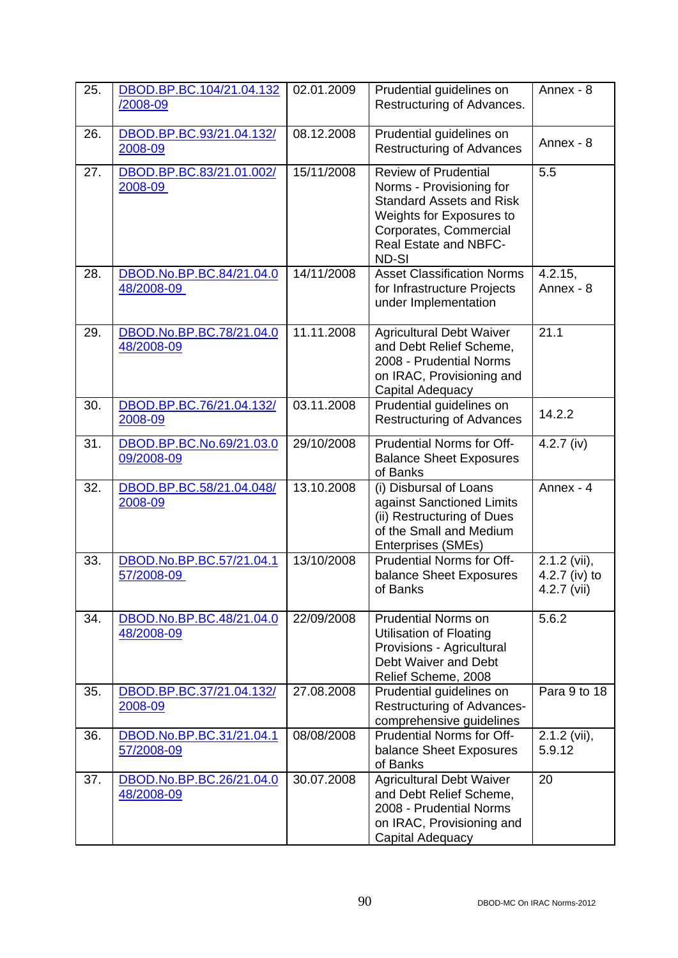| 25. | DBOD.BP.BC.104/21.04.132<br>/2008-09   | 02.01.2009 | Prudential guidelines on<br>Restructuring of Advances.                                                                                                                                           | Annex - 8                                      |
|-----|----------------------------------------|------------|--------------------------------------------------------------------------------------------------------------------------------------------------------------------------------------------------|------------------------------------------------|
| 26. | DBOD.BP.BC.93/21.04.132/<br>2008-09    | 08.12.2008 | Prudential guidelines on<br><b>Restructuring of Advances</b>                                                                                                                                     | Annex - 8                                      |
| 27. | DBOD.BP.BC.83/21.01.002/<br>2008-09    | 15/11/2008 | <b>Review of Prudential</b><br>Norms - Provisioning for<br><b>Standard Assets and Risk</b><br>Weights for Exposures to<br>Corporates, Commercial<br><b>Real Estate and NBFC-</b><br><b>ND-SI</b> | 5.5                                            |
| 28. | DBOD.No.BP.BC.84/21.04.0<br>48/2008-09 | 14/11/2008 | <b>Asset Classification Norms</b><br>for Infrastructure Projects<br>under Implementation                                                                                                         | $4.2.15$ ,<br>Annex - 8                        |
| 29. | DBOD.No.BP.BC.78/21.04.0<br>48/2008-09 | 11.11.2008 | <b>Agricultural Debt Waiver</b><br>and Debt Relief Scheme,<br>2008 - Prudential Norms<br>on IRAC, Provisioning and<br>Capital Adequacy                                                           | 21.1                                           |
| 30. | DBOD.BP.BC.76/21.04.132/<br>2008-09    | 03.11.2008 | Prudential guidelines on<br><b>Restructuring of Advances</b>                                                                                                                                     | 14.2.2                                         |
| 31. | DBOD.BP.BC.No.69/21.03.0<br>09/2008-09 | 29/10/2008 | Prudential Norms for Off-<br><b>Balance Sheet Exposures</b><br>of Banks                                                                                                                          | $4.2.7$ (iv)                                   |
| 32. | DBOD.BP.BC.58/21.04.048/<br>2008-09    | 13.10.2008 | (i) Disbursal of Loans<br>against Sanctioned Limits<br>(ii) Restructuring of Dues<br>of the Small and Medium<br>Enterprises (SMEs)                                                               | Annex - 4                                      |
| 33. | DBOD.No.BP.BC.57/21.04.1<br>57/2008-09 | 13/10/2008 | Prudential Norms for Off-<br>balance Sheet Exposures<br>of Banks                                                                                                                                 | $2.1.2$ (vii),<br>4.2.7 (iv) to<br>4.2.7 (vii) |
| 34. | DBOD.No.BP.BC.48/21.04.0<br>48/2008-09 | 22/09/2008 | <b>Prudential Norms on</b><br><b>Utilisation of Floating</b><br>Provisions - Agricultural<br>Debt Waiver and Debt<br>Relief Scheme, 2008                                                         | 5.6.2                                          |
| 35. | DBOD.BP.BC.37/21.04.132/<br>2008-09    | 27.08.2008 | Prudential guidelines on<br><b>Restructuring of Advances-</b><br>comprehensive guidelines                                                                                                        | Para 9 to 18                                   |
| 36. | DBOD.No.BP.BC.31/21.04.1<br>57/2008-09 | 08/08/2008 | Prudential Norms for Off-<br>balance Sheet Exposures<br>of Banks                                                                                                                                 | 2.1.2 (vii),<br>5.9.12                         |
| 37. | DBOD.No.BP.BC.26/21.04.0<br>48/2008-09 | 30.07.2008 | <b>Agricultural Debt Waiver</b><br>and Debt Relief Scheme,<br>2008 - Prudential Norms<br>on IRAC, Provisioning and<br>Capital Adequacy                                                           | 20                                             |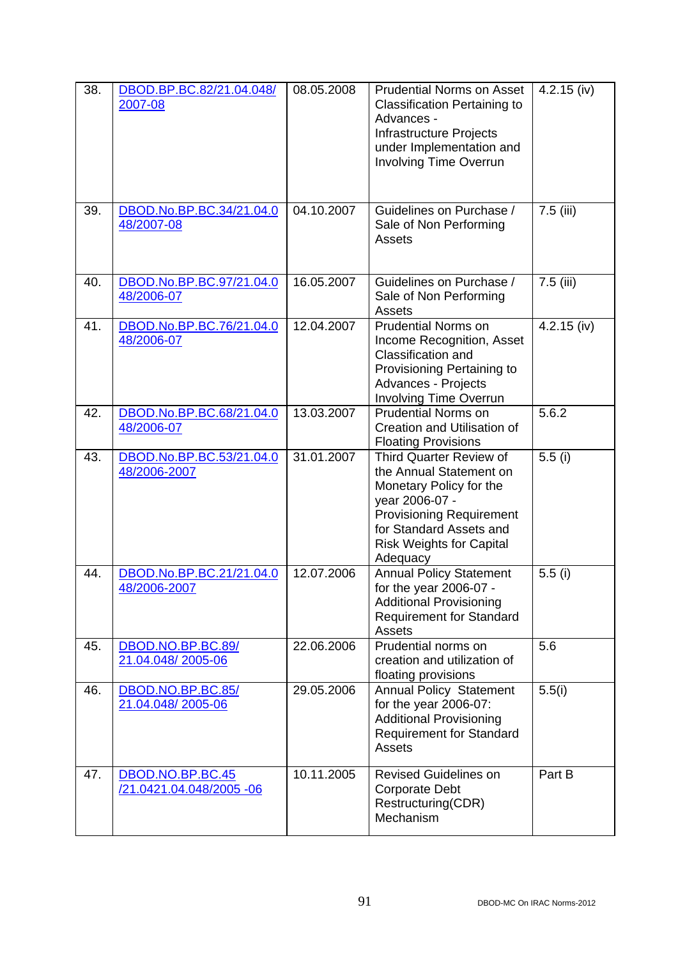| 38. | DBOD.BP.BC.82/21.04.048/<br>2007-08          | 08.05.2008 | <b>Prudential Norms on Asset</b><br><b>Classification Pertaining to</b><br>Advances -<br>Infrastructure Projects<br>under Implementation and<br><b>Involving Time Overrun</b>                                       | $4.2.15$ (iv) |
|-----|----------------------------------------------|------------|---------------------------------------------------------------------------------------------------------------------------------------------------------------------------------------------------------------------|---------------|
| 39. | DBOD.No.BP.BC.34/21.04.0<br>48/2007-08       | 04.10.2007 | Guidelines on Purchase /<br>Sale of Non Performing<br><b>Assets</b>                                                                                                                                                 | 7.5 (iii)     |
| 40. | DBOD.No.BP.BC.97/21.04.0<br>48/2006-07       | 16.05.2007 | Guidelines on Purchase /<br>Sale of Non Performing<br>Assets                                                                                                                                                        | 7.5 (iii)     |
| 41. | DBOD.No.BP.BC.76/21.04.0<br>48/2006-07       | 12.04.2007 | Prudential Norms on<br>Income Recognition, Asset<br><b>Classification and</b><br>Provisioning Pertaining to<br>Advances - Projects<br><b>Involving Time Overrun</b>                                                 | $4.2.15$ (iv) |
| 42. | DBOD.No.BP.BC.68/21.04.0<br>48/2006-07       | 13.03.2007 | <b>Prudential Norms on</b><br>Creation and Utilisation of<br><b>Floating Provisions</b>                                                                                                                             | 5.6.2         |
| 43. | DBOD.No.BP.BC.53/21.04.0<br>48/2006-2007     | 31.01.2007 | <b>Third Quarter Review of</b><br>the Annual Statement on<br>Monetary Policy for the<br>year 2006-07 -<br><b>Provisioning Requirement</b><br>for Standard Assets and<br><b>Risk Weights for Capital</b><br>Adequacy | 5.5(i)        |
| 44. | DBOD.No.BP.BC.21/21.04.0<br>48/2006-2007     | 12.07.2006 | <b>Annual Policy Statement</b><br>for the year $2006-07$ -<br><b>Additional Provisioning</b><br><b>Requirement for Standard</b><br><b>Assets</b>                                                                    | 5.5(i)        |
| 45. | DBOD.NO.BP.BC.89/<br>21.04.048/2005-06       | 22.06.2006 | Prudential norms on<br>creation and utilization of<br>floating provisions                                                                                                                                           | 5.6           |
| 46. | DBOD.NO.BP.BC.85/<br>21.04.048/2005-06       | 29.05.2006 | <b>Annual Policy Statement</b><br>for the year 2006-07:<br><b>Additional Provisioning</b><br><b>Requirement for Standard</b><br>Assets                                                                              | 5.5(i)        |
| 47. | DBOD.NO.BP.BC.45<br>/21.0421.04.048/2005 -06 | 10.11.2005 | <b>Revised Guidelines on</b><br><b>Corporate Debt</b><br>Restructuring(CDR)<br>Mechanism                                                                                                                            | Part B        |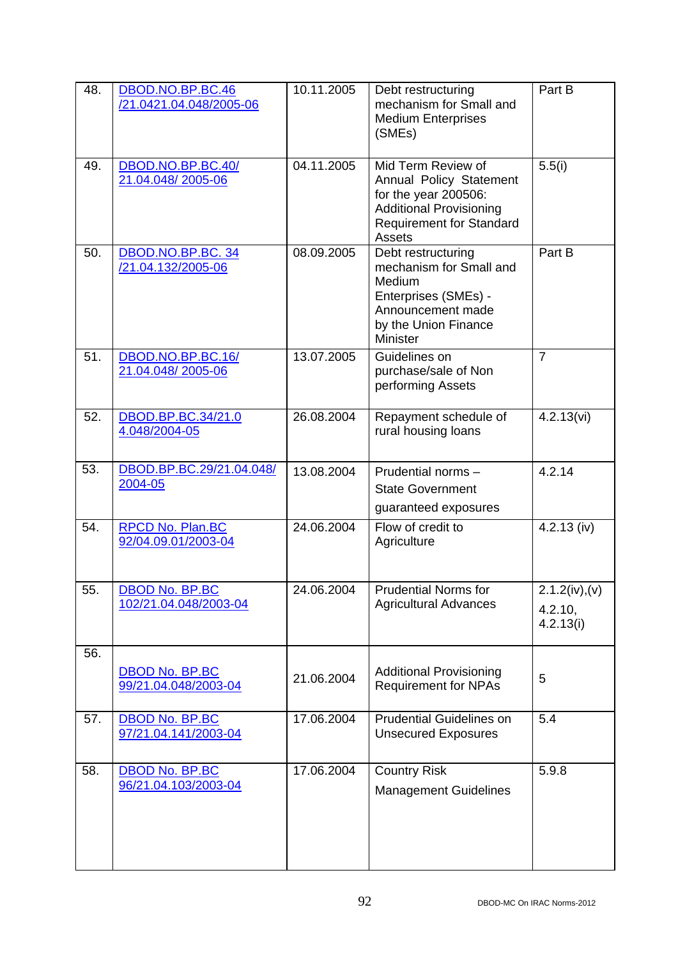| 48. | DBOD.NO.BP.BC.46<br>/21.0421.04.048/2005-06    | 10.11.2005 | Debt restructuring<br>mechanism for Small and<br><b>Medium Enterprises</b><br>(SMEs)                                                                        | Part B                                 |
|-----|------------------------------------------------|------------|-------------------------------------------------------------------------------------------------------------------------------------------------------------|----------------------------------------|
| 49. | DBOD.NO.BP.BC.40/<br>21.04.048/2005-06         | 04.11.2005 | Mid Term Review of<br>Annual Policy Statement<br>for the year 200506:<br><b>Additional Provisioning</b><br><b>Requirement for Standard</b><br><b>Assets</b> | 5.5(i)                                 |
| 50. | DBOD.NO.BP.BC. 34<br>/21.04.132/2005-06        | 08.09.2005 | Debt restructuring<br>mechanism for Small and<br>Medium<br>Enterprises (SMEs) -<br>Announcement made<br>by the Union Finance<br><b>Minister</b>             | Part B                                 |
| 51. | DBOD.NO.BP.BC.16/<br>21.04.048/2005-06         | 13.07.2005 | Guidelines on<br>purchase/sale of Non<br>performing Assets                                                                                                  | $\overline{7}$                         |
| 52. | DBOD.BP.BC.34/21.0<br>4.048/2004-05            | 26.08.2004 | Repayment schedule of<br>rural housing loans                                                                                                                | 4.2.13(vi)                             |
| 53. | DBOD.BP.BC.29/21.04.048/<br>2004-05            | 13.08.2004 | Prudential norms -<br><b>State Government</b><br>guaranteed exposures                                                                                       | 4.2.14                                 |
| 54. | RPCD No. Plan.BC<br>92/04.09.01/2003-04        | 24.06.2004 | Flow of credit to<br>Agriculture                                                                                                                            | $4.2.13$ (iv)                          |
| 55. | <b>DBOD No. BP.BC</b><br>102/21.04.048/2003-04 | 24.06.2004 | <b>Prudential Norms for</b><br><b>Agricultural Advances</b>                                                                                                 | 2.1.2(iv), (v)<br>4.2.10,<br>4.2.13(i) |
| 56. | DBOD No. BP.BC<br>99/21.04.048/2003-04         | 21.06.2004 | <b>Additional Provisioning</b><br><b>Requirement for NPAs</b>                                                                                               | 5                                      |
| 57. | <b>DBOD No. BP.BC</b><br>97/21.04.141/2003-04  | 17.06.2004 | <b>Prudential Guidelines on</b><br><b>Unsecured Exposures</b>                                                                                               | 5.4                                    |
| 58. | DBOD No. BP.BC<br>96/21.04.103/2003-04         | 17.06.2004 | <b>Country Risk</b><br><b>Management Guidelines</b>                                                                                                         | 5.9.8                                  |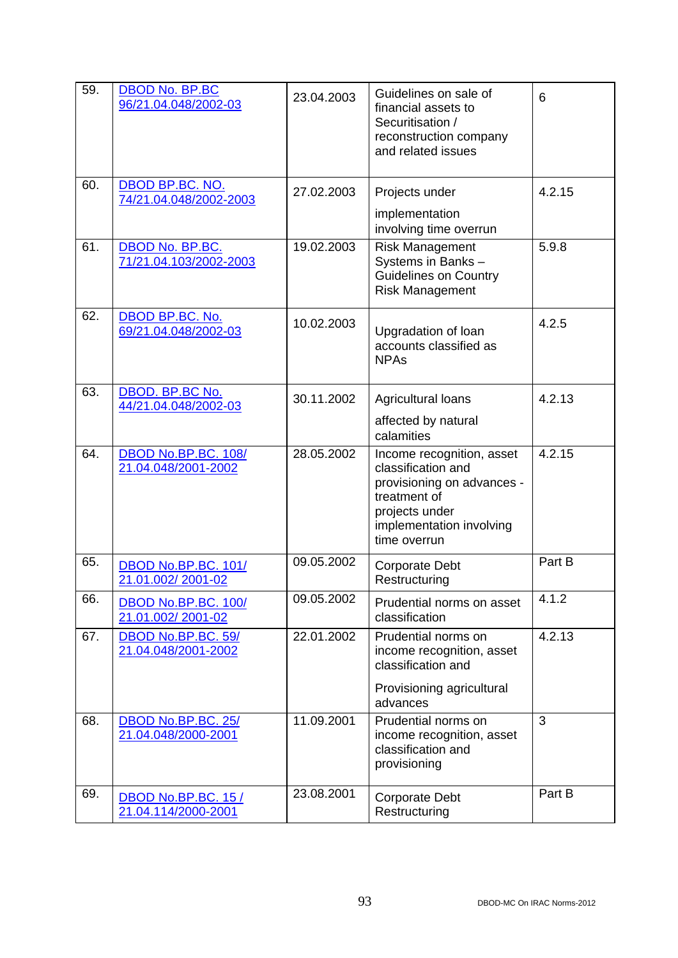| 59. | DBOD No. BP.BC<br>96/21.04.048/2002-03     | 23.04.2003 | Guidelines on sale of<br>financial assets to<br>Securitisation /<br>reconstruction company<br>and related issues                                            | 6      |
|-----|--------------------------------------------|------------|-------------------------------------------------------------------------------------------------------------------------------------------------------------|--------|
| 60. | DBOD BP.BC. NO.<br>74/21.04.048/2002-2003  | 27.02.2003 | Projects under<br>implementation<br>involving time overrun                                                                                                  | 4.2.15 |
| 61. | DBOD No. BP.BC.<br>71/21.04.103/2002-2003  | 19.02.2003 | <b>Risk Management</b><br>Systems in Banks -<br><b>Guidelines on Country</b><br><b>Risk Management</b>                                                      | 5.9.8  |
| 62. | DBOD BP.BC. No.<br>69/21.04.048/2002-03    | 10.02.2003 | Upgradation of loan<br>accounts classified as<br><b>NPAs</b>                                                                                                | 4.2.5  |
| 63. | DBOD. BP.BC No.<br>44/21.04.048/2002-03    | 30.11.2002 | Agricultural loans<br>affected by natural<br>calamities                                                                                                     | 4.2.13 |
| 64. | DBOD No.BP.BC. 108/<br>21.04.048/2001-2002 | 28.05.2002 | Income recognition, asset<br>classification and<br>provisioning on advances -<br>treatment of<br>projects under<br>implementation involving<br>time overrun | 4.2.15 |
| 65. | DBOD No.BP.BC. 101/<br>21.01.002/2001-02   | 09.05.2002 | <b>Corporate Debt</b><br>Restructuring                                                                                                                      | Part B |
| 66. | DBOD No.BP.BC. 100/<br>21.01.002/2001-02   | 09.05.2002 | Prudential norms on asset<br>classification                                                                                                                 | 4.1.2  |
| 67. | DBOD No.BP.BC. 59/<br>21.04.048/2001-2002  | 22.01.2002 | Prudential norms on<br>income recognition, asset<br>classification and                                                                                      | 4.2.13 |
|     |                                            |            | Provisioning agricultural<br>advances                                                                                                                       |        |
| 68. | DBOD No.BP.BC. 25/<br>21.04.048/2000-2001  | 11.09.2001 | Prudential norms on<br>income recognition, asset<br>classification and<br>provisioning                                                                      | 3      |
| 69. | DBOD No.BP.BC. 15 /<br>21.04.114/2000-2001 | 23.08.2001 | <b>Corporate Debt</b><br>Restructuring                                                                                                                      | Part B |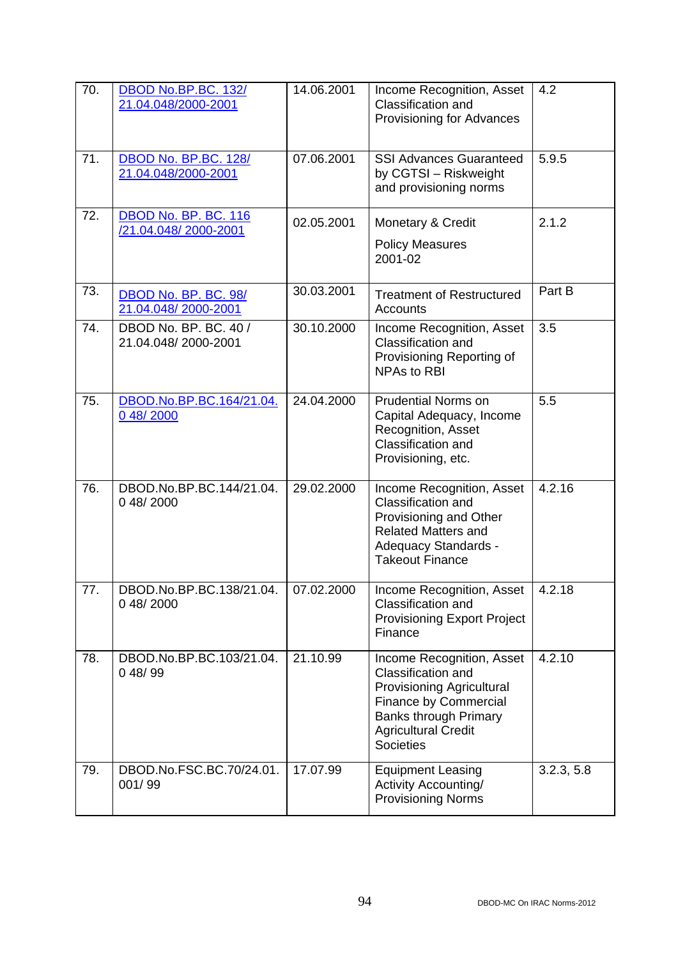| 70. | DBOD No.BP.BC. 132/<br>21.04.048/2000-2001   | 14.06.2001 | Income Recognition, Asset<br>Classification and<br>Provisioning for Advances                                                                                                                                 | 4.2        |
|-----|----------------------------------------------|------------|--------------------------------------------------------------------------------------------------------------------------------------------------------------------------------------------------------------|------------|
| 71. | DBOD No. BP.BC. 128/<br>21.04.048/2000-2001  | 07.06.2001 | <b>SSI Advances Guaranteed</b><br>by CGTSI - Riskweight<br>and provisioning norms                                                                                                                            | 5.9.5      |
| 72. | DBOD No. BP. BC. 116<br>/21.04.048/2000-2001 | 02.05.2001 | Monetary & Credit<br><b>Policy Measures</b>                                                                                                                                                                  | 2.1.2      |
|     |                                              |            | 2001-02                                                                                                                                                                                                      |            |
| 73. | DBOD No. BP. BC. 98/<br>21.04.048/2000-2001  | 30.03.2001 | <b>Treatment of Restructured</b><br>Accounts                                                                                                                                                                 | Part B     |
| 74. | DBOD No. BP. BC. 40 /<br>21.04.048/2000-2001 | 30.10.2000 | Income Recognition, Asset<br>Classification and<br>Provisioning Reporting of<br><b>NPAs to RBI</b>                                                                                                           | 3.5        |
| 75. | DBOD.No.BP.BC.164/21.04.<br>0 48/2000        | 24.04.2000 | <b>Prudential Norms on</b><br>Capital Adequacy, Income<br>Recognition, Asset<br>Classification and<br>Provisioning, etc.                                                                                     | 5.5        |
| 76. | DBOD.No.BP.BC.144/21.04.<br>0 48/2000        | 29.02.2000 | Income Recognition, Asset<br>Classification and<br>Provisioning and Other<br><b>Related Matters and</b><br>Adequacy Standards -<br><b>Takeout Finance</b>                                                    | 4.2.16     |
| 77. | DBOD.No.BP.BC.138/21.04.<br>0 48/2000        | 07.02.2000 | Income Recognition, Asset<br>Classification and<br><b>Provisioning Export Project</b><br>Finance                                                                                                             | 4.2.18     |
| 78. | DBOD.No.BP.BC.103/21.04.<br>0 48/99          | 21.10.99   | Income Recognition, Asset<br><b>Classification and</b><br><b>Provisioning Agricultural</b><br><b>Finance by Commercial</b><br><b>Banks through Primary</b><br><b>Agricultural Credit</b><br><b>Societies</b> | 4.2.10     |
| 79. | DBOD.No.FSC.BC.70/24.01.<br>001/99           | 17.07.99   | <b>Equipment Leasing</b><br><b>Activity Accounting/</b><br><b>Provisioning Norms</b>                                                                                                                         | 3.2.3, 5.8 |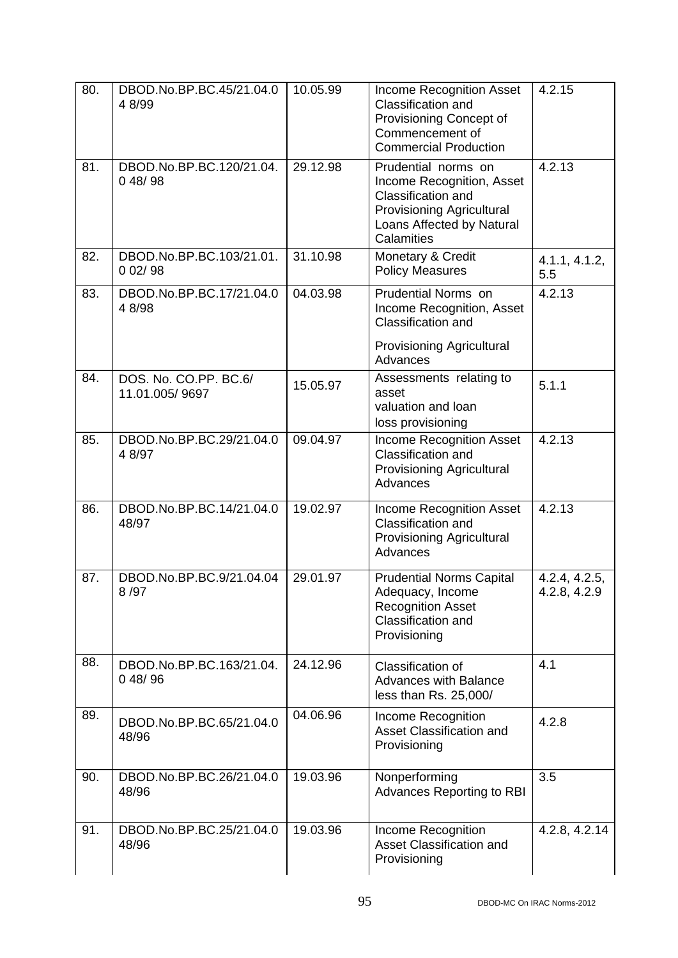| 80. | DBOD.No.BP.BC.45/21.04.0<br>4 8/99      | 10.05.99 | Income Recognition Asset<br>Classification and<br>Provisioning Concept of<br>Commencement of<br><b>Commercial Production</b>                          | 4.2.15                        |
|-----|-----------------------------------------|----------|-------------------------------------------------------------------------------------------------------------------------------------------------------|-------------------------------|
| 81. | DBOD.No.BP.BC.120/21.04.<br>048/98      | 29.12.98 | Prudential norms on<br>Income Recognition, Asset<br>Classification and<br><b>Provisioning Agricultural</b><br>Loans Affected by Natural<br>Calamities | 4.2.13                        |
| 82. | DBOD.No.BP.BC.103/21.01.<br>002/98      | 31.10.98 | Monetary & Credit<br><b>Policy Measures</b>                                                                                                           | 4.1.1, 4.1.2,<br>5.5          |
| 83. | DBOD.No.BP.BC.17/21.04.0<br>4 8/98      | 04.03.98 | Prudential Norms on<br>Income Recognition, Asset<br><b>Classification and</b><br><b>Provisioning Agricultural</b><br>Advances                         | 4.2.13                        |
| 84. | DOS. No. CO.PP. BC.6/<br>11.01.005/9697 | 15.05.97 | Assessments relating to<br>asset<br>valuation and loan<br>loss provisioning                                                                           | 5.1.1                         |
| 85. | DBOD.No.BP.BC.29/21.04.0<br>4 8/97      | 09.04.97 | Income Recognition Asset<br>Classification and<br><b>Provisioning Agricultural</b><br>Advances                                                        | 4.2.13                        |
| 86. | DBOD.No.BP.BC.14/21.04.0<br>48/97       | 19.02.97 | Income Recognition Asset<br>Classification and<br><b>Provisioning Agricultural</b><br>Advances                                                        | 4.2.13                        |
| 87. | DBOD.No.BP.BC.9/21.04.04<br>8/97        | 29.01.97 | <b>Prudential Norms Capital</b><br>Adequacy, Income<br><b>Recognition Asset</b><br><b>Classification and</b><br>Provisioning                          | 4.2.4, 4.2.5,<br>4.2.8, 4.2.9 |
| 88. | DBOD.No.BP.BC.163/21.04.<br>048/96      | 24.12.96 | Classification of<br><b>Advances with Balance</b><br>less than Rs. 25,000/                                                                            | 4.1                           |
| 89. | DBOD.No.BP.BC.65/21.04.0<br>48/96       | 04.06.96 | Income Recognition<br>Asset Classification and<br>Provisioning                                                                                        | 4.2.8                         |
| 90. | DBOD.No.BP.BC.26/21.04.0<br>48/96       | 19.03.96 | Nonperforming<br>Advances Reporting to RBI                                                                                                            | 3.5                           |
| 91. | DBOD.No.BP.BC.25/21.04.0<br>48/96       | 19.03.96 | Income Recognition<br>Asset Classification and<br>Provisioning                                                                                        | 4.2.8, 4.2.14                 |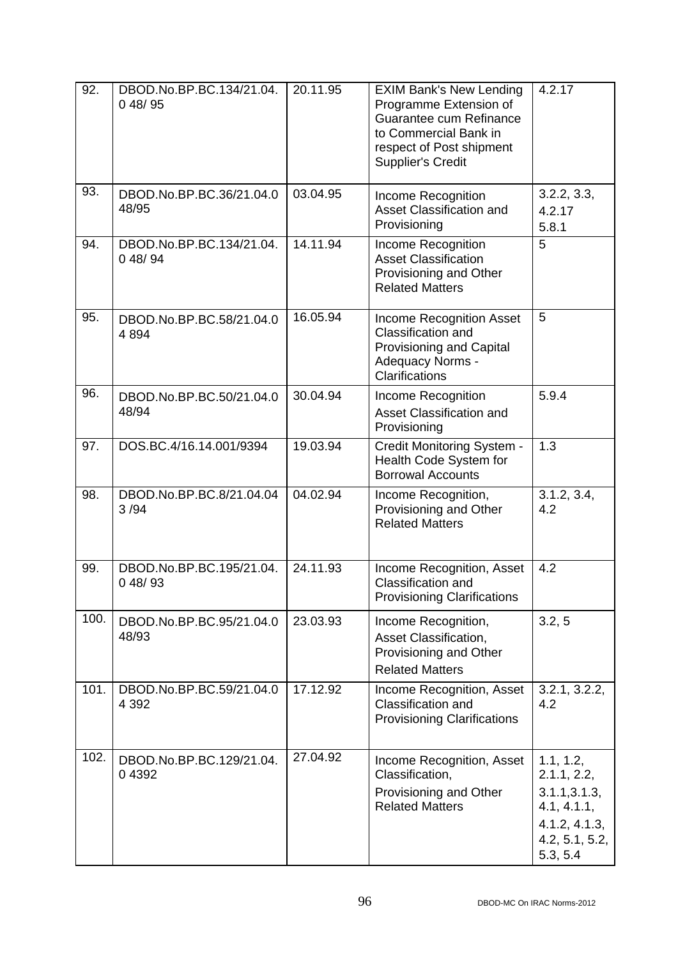| 92.  | DBOD.No.BP.BC.134/21.04.<br>0 48/95 | 20.11.95 | <b>EXIM Bank's New Lending</b><br>Programme Extension of<br>Guarantee cum Refinance<br>to Commercial Bank in<br>respect of Post shipment<br><b>Supplier's Credit</b> | 4.2.17                                                                                                  |
|------|-------------------------------------|----------|----------------------------------------------------------------------------------------------------------------------------------------------------------------------|---------------------------------------------------------------------------------------------------------|
| 93.  | DBOD.No.BP.BC.36/21.04.0<br>48/95   | 03.04.95 | Income Recognition<br>Asset Classification and<br>Provisioning                                                                                                       | 3.2.2, 3.3,<br>4.2.17<br>5.8.1                                                                          |
| 94.  | DBOD.No.BP.BC.134/21.04.<br>0 48/94 | 14.11.94 | Income Recognition<br><b>Asset Classification</b><br>Provisioning and Other<br><b>Related Matters</b>                                                                | 5                                                                                                       |
| 95.  | DBOD.No.BP.BC.58/21.04.0<br>4894    | 16.05.94 | Income Recognition Asset<br>Classification and<br>Provisioning and Capital<br>Adequacy Norms -<br>Clarifications                                                     | 5                                                                                                       |
| 96.  | DBOD.No.BP.BC.50/21.04.0<br>48/94   | 30.04.94 | Income Recognition<br>Asset Classification and<br>Provisioning                                                                                                       | 5.9.4                                                                                                   |
| 97.  | DOS.BC.4/16.14.001/9394             | 19.03.94 | Credit Monitoring System -<br>Health Code System for<br><b>Borrowal Accounts</b>                                                                                     | 1.3                                                                                                     |
| 98.  | DBOD.No.BP.BC.8/21.04.04<br>3/94    | 04.02.94 | Income Recognition,<br>Provisioning and Other<br><b>Related Matters</b>                                                                                              | 3.1.2, 3.4,<br>4.2                                                                                      |
| 99.  | DBOD.No.BP.BC.195/21.04.<br>0 48/93 | 24.11.93 | Income Recognition, Asset<br><b>Classification and</b><br><b>Provisioning Clarifications</b>                                                                         | 4.2                                                                                                     |
| 100. | DBOD.No.BP.BC.95/21.04.0<br>48/93   | 23.03.93 | Income Recognition,<br>Asset Classification,<br>Provisioning and Other<br><b>Related Matters</b>                                                                     | 3.2, 5                                                                                                  |
| 101. | DBOD.No.BP.BC.59/21.04.0<br>4 3 9 2 | 17.12.92 | Income Recognition, Asset<br>Classification and<br><b>Provisioning Clarifications</b>                                                                                | 3.2.1, 3.2.2,<br>4.2                                                                                    |
| 102. | DBOD.No.BP.BC.129/21.04.<br>04392   | 27.04.92 | Income Recognition, Asset<br>Classification,<br>Provisioning and Other<br><b>Related Matters</b>                                                                     | 1.1, 1.2,<br>2.1.1, 2.2,<br>3.1.1, 3.1.3,<br>4.1, 4.1.1,<br>4.1.2, 4.1.3,<br>4.2, 5.1, 5.2,<br>5.3, 5.4 |